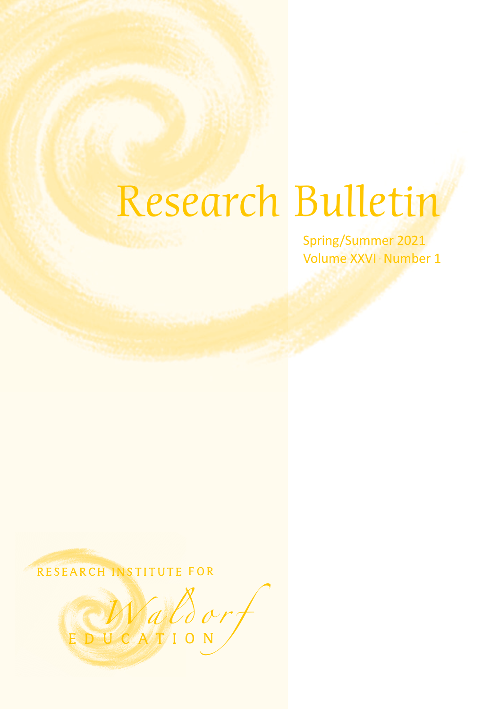# Research Bulletin

Spring/Summer 2021 Volume XXVI · Number 1

RESEARCH INSTITUTE FOR

EDUCATION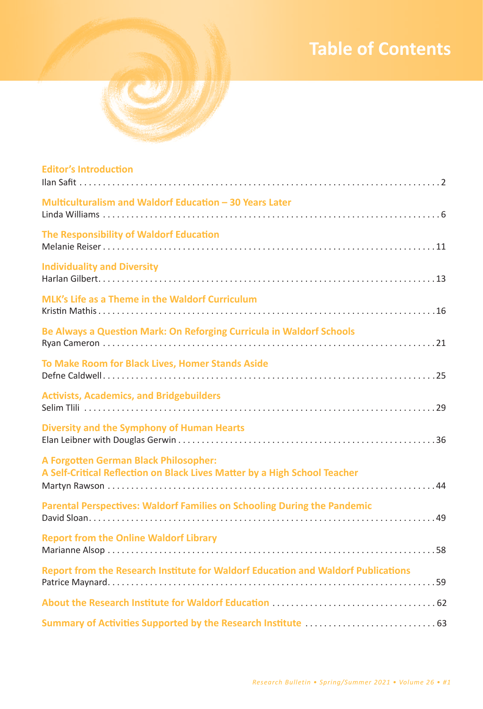# *•* **1 Table of Contents**



| <b>Editor's Introduction</b>                                                                                       |
|--------------------------------------------------------------------------------------------------------------------|
| Multiculturalism and Waldorf Education - 30 Years Later                                                            |
| The Responsibility of Waldorf Education                                                                            |
| <b>Individuality and Diversity</b>                                                                                 |
| MLK's Life as a Theme in the Waldorf Curriculum                                                                    |
| Be Always a Question Mark: On Reforging Curricula in Waldorf Schools                                               |
| To Make Room for Black Lives, Homer Stands Aside                                                                   |
| <b>Activists, Academics, and Bridgebuilders</b>                                                                    |
| <b>Diversity and the Symphony of Human Hearts</b>                                                                  |
| A Forgotten German Black Philosopher:<br>A Self-Critical Reflection on Black Lives Matter by a High School Teacher |
| Parental Perspectives: Waldorf Families on Schooling During the Pandemic                                           |
| <b>Report from the Online Waldorf Library</b>                                                                      |
| Report from the Research Institute for Waldorf Education and Waldorf Publications                                  |
|                                                                                                                    |
|                                                                                                                    |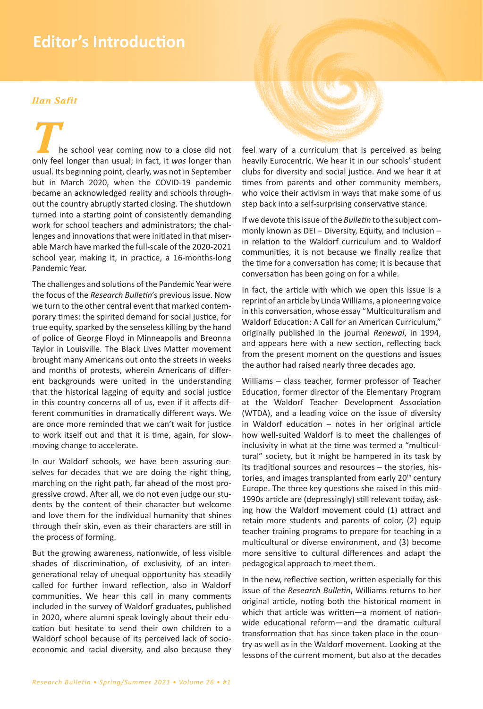# **Editor's Introduction**

#### **Han Safit**

he school year coming now to a close did not only feel longer than usual; in fact, it was longer than usual. Its beginning point, clearly, was not in September but in March 2020, when the COVID-19 pandemic became an acknowledged reality and schools throughout the country abruptly started closing. The shutdown turned into a starting point of consistently demanding work for school teachers and administrators; the challenges and innovations that were initiated in that miserable March have marked the full-scale of the 2020-2021 school year, making it, in practice, a 16-months-long Pandemic Year.

The challenges and solutions of the Pandemic Year were the focus of the Research Bulletin's previous issue. Now we turn to the other central event that marked contemporary times: the spirited demand for social justice, for true equity, sparked by the senseless killing by the hand of police of George Floyd in Minneapolis and Breonna Taylor in Louisville. The Black Lives Matter movement brought many Americans out onto the streets in weeks and months of protests, wherein Americans of different backgrounds were united in the understanding that the historical lagging of equity and social justice in this country concerns all of us, even if it affects different communities in dramatically different ways. We are once more reminded that we can't wait for justice to work itself out and that it is time, again, for slowmoving change to accelerate.

In our Waldorf schools, we have been assuring ourselves for decades that we are doing the right thing, marching on the right path, far ahead of the most progressive crowd. After all, we do not even judge our students by the content of their character but welcome and love them for the individual humanity that shines through their skin, even as their characters are still in the process of forming.

But the growing awareness, nationwide, of less visible shades of discrimination, of exclusivity, of an intergenerational relay of unequal opportunity has steadily called for further inward reflection, also in Waldorf communities. We hear this call in many comments included in the survey of Waldorf graduates, published in 2020, where alumni speak lovingly about their education but hesitate to send their own children to a Waldorf school because of its perceived lack of socioeconomic and racial diversity, and also because they



If we devote this issue of the Bulletin to the subject commonly known as DEI - Diversity, Equity, and Inclusion in relation to the Waldorf curriculum and to Waldorf communities, it is not because we finally realize that the time for a conversation has come: it is because that conversation has been going on for a while.

In fact, the article with which we open this issue is a reprint of an article by Linda Williams, a pioneering voice in this conversation, whose essay "Multiculturalism and Waldorf Education: A Call for an American Curriculum," originally published in the journal Renewal, in 1994, and appears here with a new section, reflecting back from the present moment on the questions and issues the author had raised nearly three decades ago.

Williams - class teacher, former professor of Teacher Education, former director of the Elementary Program at the Waldorf Teacher Development Association (WTDA), and a leading voice on the issue of diversity in Waldorf education - notes in her original article how well-suited Waldorf is to meet the challenges of inclusivity in what at the time was termed a "multicultural" society, but it might be hampered in its task by its traditional sources and resources - the stories, histories, and images transplanted from early 20<sup>th</sup> century Europe. The three key questions she raised in this mid-1990s article are (depressingly) still relevant today, asking how the Waldorf movement could (1) attract and retain more students and parents of color, (2) equip teacher training programs to prepare for teaching in a multicultural or diverse environment, and (3) become more sensitive to cultural differences and adapt the pedagogical approach to meet them.

In the new, reflective section, written especially for this issue of the Research Bulletin, Williams returns to her original article, noting both the historical moment in which that article was written-a moment of nationwide educational reform-and the dramatic cultural transformation that has since taken place in the country as well as in the Waldorf movement. Looking at the lessons of the current moment, but also at the decades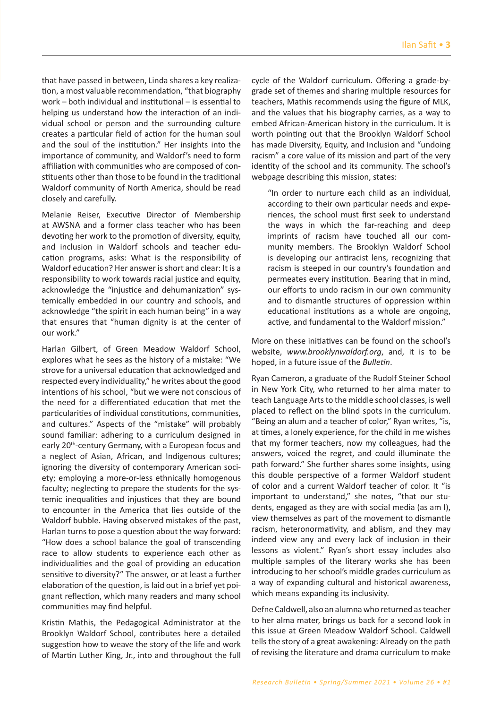that have passed in between͕ Linda shares a key realization, a most valuable recommendation, "that biography work  $-$  both individual and institutional  $-$  is essential to helping us understand how the interaction of an individual school or person and the surrounding culture creates a particular field of action for the human soul and the soul of the institution." Her insights into the importance of community, and Waldorf's need to form affiliation with communities who are composed of constituents other than those to be found in the traditional Waldorf community of North America, should be read closely and carefully.

Melanie Reiser, Executive Director of Membership at AWSNA and a former class teacher who has been devoting her work to the promotion of diversity, equity, and inclusion in Waldorf schools and teacher education programs, asks: What is the responsibility of Waldorf education? Her answer is short and clear: It is a responsibility to work towards racial justice and equity, acknowledge the "injustice and dehumanization" systemically embedded in our country and schools͕ and acknowledge "the spirit in each human being" in a way that ensures that "human dignity is at the center of our work."

Harlan Gilbert, of Green Meadow Waldorf School, explores what he sees as the history of a mistake: "We strove for a universal education that acknowledged and respected every individuality," he writes about the good intentions of his school. "but we were not conscious of the need for a differentiated education that met the particularities of individual constitutions, communities, and cultures." Aspects of the "mistake" will probably sound familiar: adhering to a curriculum designed in early 20<sup>th</sup>-century Germany, with a European focus and a neglect of Asian, African, and Indigenous cultures; ignoring the diversity of contemporary American society; employing a more-or-less ethnically homogenous faculty; neglecting to prepare the students for the systemic inequalities and injustices that they are bound to encounter in the America that lies outside of the Waldorf bubble. Having observed mistakes of the past, Harlan turns to pose a question about the way forward: ͞How does a school balance the goal of transcending race to allow students to experience each other as individualities and the goal of providing an education sensitive to diversity?" The answer, or at least a further elaboration of the question, is laid out in a brief yet poignant reflection, which many readers and many school communities may find helpful.

Kristin Mathis, the Pedagogical Administrator at the Brooklyn Waldorf School͕ contributes here a detailed suggestion how to weave the story of the life and work of Martin Luther King, Jr., into and throughout the full cycle of the Waldorf curriculum. Offering a grade-bygrade set of themes and sharing multiple resources for teachers͕ Mathis recommends using the figure of MLK͕ and the values that his biography carries, as a way to embed African-American history in the curriculum. It is worth pointing out that the Brooklyn Waldorf School has made Diversity, Equity, and Inclusion and "undoing racism<sup>"</sup> a core value of its mission and part of the very identity of the school and its community. The school's webpage describing this mission, states:

"In order to nurture each child as an individual, according to their own particular needs and experiences͕ the school must first seek to understand the ways in which the far-reaching and deep imprints of racism have touched all our community members. The Brooklyn Waldorf School is developing our antiracist lens, recognizing that racism is steeped in our country's foundation and permeates every institution. Bearing that in mind, our efforts to undo racism in our own community and to dismantle structures of oppression within educational institutions as a whole are ongoing, active, and fundamental to the Waldorf mission."

More on these initiatives can be found on the school's website, *www.brooklynwaldorf.org*, and, it is to be hoped͕ in a future issue of the *Bulletin*.

Ryan Cameron͕ a graduate of the Rudolf Steiner School in New York City͕ who returned to her alma mater to teach Language Arts to the middle school classes͕ is well placed to reflect on the blind spots in the curriculum. "Being an alum and a teacher of color," Ryan writes, "is, at times, a lonely experience, for the child in me wishes that my former teachers, now my colleagues, had the answers, voiced the regret, and could illuminate the path forward." She further shares some insights, using this double perspective of a former Waldorf student of color and a current Waldorf teacher of color. It "is important to understand," she notes, "that our students, engaged as they are with social media (as am I), view themselves as part of the movement to dismantle racism, heteronormativity, and ablism, and they may indeed view any and every lack of inclusion in their lessons as violent." Ryan's short essay includes also multiple samples of the literary works she has been introducing to her school's middle grades curriculum as a way of expanding cultural and historical awareness, which means expanding its inclusivity.

Defne Caldwell͕ also an alumna who returned as teacher to her alma mater͕ brings us back for a second look in this issue at Green Meadow Waldorf School. Caldwell tells the story of a great awakening: Already on the path of revising the literature and drama curriculum to make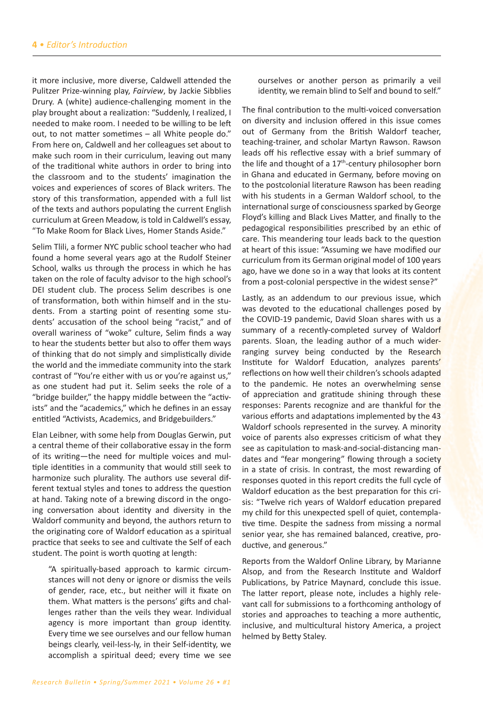it more inclusive͕ more diverse͕ Caldwell attended the Pulitzer Prize-winning play, *Fairview*, by Jackie Sibblies Drury. A (white) audience-challenging moment in the play brought about a realization: "Suddenly, I realized, I needed to make room. I needed to be willing to be left out, to not matter sometimes  $-$  all White people do." From here on͕ Caldwell and her colleagues set about to make such room in their curriculum, leaving out many of the traditional white authors in order to bring into the classroom and to the students' imagination the voices and experiences of scores of Black writers. The story of this transformation, appended with a full list of the texts and authors populating the current English curriculum at Green Meadow, is told in Caldwell's essay, ͞To Make Room for Black Lives͕ Homer Stands Aside͘͟

Selim Tlili, a former NYC public school teacher who had found a home several years ago at the Rudolf Steiner School, walks us through the process in which he has taken on the role of faculty advisor to the high school's DEI student club. The process Selim describes is one of transformation͕ both within himself and in the students. From a starting point of resenting some students' accusation of the school being "racist," and of overall wariness of "woke" culture, Selim finds a way to hear the students better but also to offer them ways of thinking that do not simply and simplistically divide the world and the immediate community into the stark contrast of "You're either with us or you're against us." as one student had put it. Selim seeks the role of a "bridge builder," the happy middle between the "activists" and the "academics," which he defines in an essay entitled "Activists, Academics, and Bridgebuilders."

Elan Leibner͕ with some help from Douglas Gerwin͕ put a central theme of their collaborative essay in the form of its writing-the need for multiple voices and multiple identities in a community that would still seek to harmonize such plurality. The authors use several different textual styles and tones to address the question at hand. Taking note of a brewing discord in the ongoing conversation about identity and diversity in the Waldorf community and beyond, the authors return to the originating core of Waldorf education as a spiritual practice that seeks to see and cultivate the Self of each student. The point is worth quoting at length:

͞A spiritually-based approach to karmic circumstances will not deny or ignore or dismiss the veils of gender, race, etc., but neither will it fixate on them. What matters is the persons' gifts and challenges rather than the veils they wear. Individual agency is more important than group identity. Every time we see ourselves and our fellow human beings clearly͕ veil-less-ly͕ in their Self-identity͕ we accomplish a spiritual deed; every time we see

ourselves or another person as primarily a veil identity, we remain blind to Self and bound to self."

The final contribution to the multi-voiced conversation on diversity and inclusion offered in this issue comes out of Germany from the British Waldorf teacher, teaching-trainer, and scholar Martyn Rawson. Rawson leads off his reflective essay with a brief summary of the life and thought of a  $17<sup>th</sup>$ -century philosopher born in Ghana and educated in Germany͕ before moving on to the postcolonial literature Rawson has been reading with his students in a German Waldorf school, to the international surge of consciousness sparked by George Floyd's killing and Black Lives Matter, and finally to the pedagogical responsibilities prescribed by an ethic of care. This meandering tour leads back to the question at heart of this issue: "Assuming we have modified our curriculum from its German original model of 100 years ago, have we done so in a way that looks at its content from a post-colonial perspective in the widest sense?"

Lastly, as an addendum to our previous issue, which was devoted to the educational challenges posed by the COVID-19 pandemic, David Sloan shares with us a summary of a recently-completed survey of Waldorf parents. Sloan, the leading author of a much widerranging survey being conducted by the Research Institute for Waldorf Education, analyzes parents' reflections on how well their children's schools adapted to the pandemic. He notes an overwhelming sense of appreciation and gratitude shining through these responses: Parents recognize and are thankful for the various efforts and adaptations implemented by the 43 Waldorf schools represented in the survey. A minority voice of parents also expresses criticism of what they see as capitulation to mask-and-social-distancing mandates and "fear mongering" flowing through a society in a state of crisis. In contrast, the most rewarding of responses quoted in this report credits the full cycle of Waldorf education as the best preparation for this crisis: "Twelve rich years of Waldorf education prepared my child for this unexpected spell of quiet, contemplative time. Despite the sadness from missing a normal senior year, she has remained balanced, creative, productive, and generous."

Reports from the Waldorf Online Library͕ by Marianne Alsop͕ and from the Research Institute and Waldorf Publications, by Patrice Maynard, conclude this issue. The latter report, please note, includes a highly relevant call for submissions to a forthcoming anthology of stories and approaches to teaching a more authentic, inclusive, and multicultural history America, a project helmed by Betty Staley.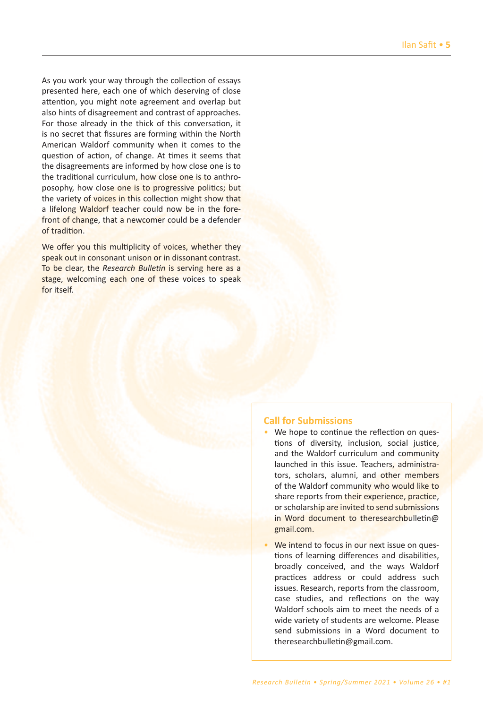As you work your way through the collection of essays presented here͕ each one of which deserving of close attention, you might note agreement and overlap but also hints of disagreement and contrast of approaches. For those already in the thick of this conversation, it is no secret that fissures are forming within the North American Waldorf community when it comes to the question of action, of change. At times it seems that the disagreements are informed by how close one is to the traditional curriculum, how close one is to anthroposophy, how close one is to progressive politics; but the variety of voices in this collection might show that a lifelong Waldorf teacher could now be in the forefront of change, that a newcomer could be a defender of tradition.

We offer you this multiplicity of voices, whether they speak out in consonant unison or in dissonant contrast. To be clear͕ the *Research Bulletin* is serving here as a stage, welcoming each one of these voices to speak for itself.

## **Call for Submissions**

- We hope to continue the reflection on questions of diversity, inclusion, social justice, and the Waldorf curriculum and community launched in this issue. Teachers, administrators, scholars, alumni, and other members of the Waldorf community who would like to share reports from their experience, practice, or scholarship are invited to send submissions in Word document to theresearchbulletin@ gmail.com.
- **We intend to focus in our next issue on ques**tions of learning differences and disabilities. broadly conceived͕ and the ways Waldorf practices address or could address such issues. Research, reports from the classroom, case studies, and reflections on the way Waldorf schools aim to meet the needs of a wide variety of students are welcome. Please send submissions in a Word document to theresearchbulletin@gmail.com.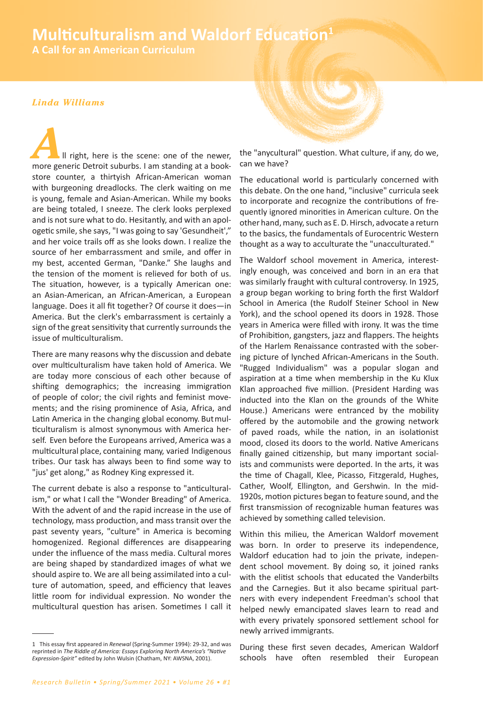# **Multiculturalism and Waldorf Education**<sup>1</sup>

**A Call for an American Curriculum** 

## Linda Williams

Il right, here is the scene: one of the newer, more generic Detroit suburbs. I am standing at a bookstore counter, a thirtyish African-American woman with burgeoning dreadlocks. The clerk waiting on me is young, female and Asian-American. While my books are being totaled, I sneeze. The clerk looks perplexed and is not sure what to do. Hesitantly, and with an apologetic smile, she says, "I was going to say 'Gesundheit'," and her voice trails off as she looks down. I realize the source of her embarrassment and smile, and offer in my best, accented German, "Danke." She laughs and the tension of the moment is relieved for both of us. The situation, however, is a typically American one: an Asian-American, an African-American, a European language. Does it all fit together? Of course it does-in America. But the clerk's embarrassment is certainly a sign of the great sensitivity that currently surrounds the issue of multiculturalism.

There are many reasons why the discussion and debate over multiculturalism have taken hold of America. We are today more conscious of each other because of shifting demographics; the increasing immigration of people of color; the civil rights and feminist movements; and the rising prominence of Asia, Africa, and Latin America in the changing global economy. But multiculturalism is almost synonymous with America herself. Even before the Europeans arrived, America was a multicultural place, containing many, varied Indigenous tribes. Our task has always been to find some way to "jus' get along," as Rodney King expressed it.

The current debate is also a response to "anticulturalism," or what I call the "Wonder Breading" of America. With the advent of and the rapid increase in the use of technology, mass production, and mass transit over the past seventy years, "culture" in America is becoming homogenized. Regional differences are disappearing under the influence of the mass media. Cultural mores are being shaped by standardized images of what we should aspire to. We are all being assimilated into a culture of automation, speed, and efficiency that leaves little room for individual expression. No wonder the multicultural question has arisen. Sometimes I call it



the "anycultural" question. What culture, if any, do we, can we have?

The educational world is particularly concerned with this debate. On the one hand, "inclusive" curricula seek to incorporate and recognize the contributions of frequently ignored minorities in American culture. On the other hand, many, such as E.D. Hirsch, advocate a return to the basics, the fundamentals of Eurocentric Western thought as a way to acculturate the "unacculturated."

The Waldorf school movement in America, interestingly enough, was conceived and born in an era that was similarly fraught with cultural controversy. In 1925, a group began working to bring forth the first Waldorf School in America (the Rudolf Steiner School in New York), and the school opened its doors in 1928. Those years in America were filled with irony. It was the time of Prohibition, gangsters, jazz and flappers. The heights of the Harlem Renaissance contrasted with the sobering picture of lynched African-Americans in the South. "Rugged Individualism" was a popular slogan and aspiration at a time when membership in the Ku Klux Klan approached five million. (President Harding was inducted into the Klan on the grounds of the White House.) Americans were entranced by the mobility offered by the automobile and the growing network of paved roads, while the nation, in an isolationist mood, closed its doors to the world. Native Americans finally gained citizenship, but many important socialists and communists were deported. In the arts, it was the time of Chagall, Klee, Picasso, Fitzgerald, Hughes, Cather, Woolf, Ellington, and Gershwin. In the mid-1920s, motion pictures began to feature sound, and the first transmission of recognizable human features was achieved by something called television.

Within this milieu, the American Waldorf movement was born. In order to preserve its independence, Waldorf education had to join the private, independent school movement. By doing so, it joined ranks with the elitist schools that educated the Vanderbilts and the Carnegies. But it also became spiritual partners with every independent Freedman's school that helped newly emancipated slaves learn to read and with every privately sponsored settlement school for newly arrived immigrants.

During these first seven decades, American Waldorf schools have often resembled their European

<sup>1</sup> This essay first appeared in Renewal (Spring-Summer 1994): 29-32, and was reprinted in The Riddle of America: Essays Exploring North America's "Native Expression-Spirit" edited by John Wulsin (Chatham, NY: AWSNA, 2001).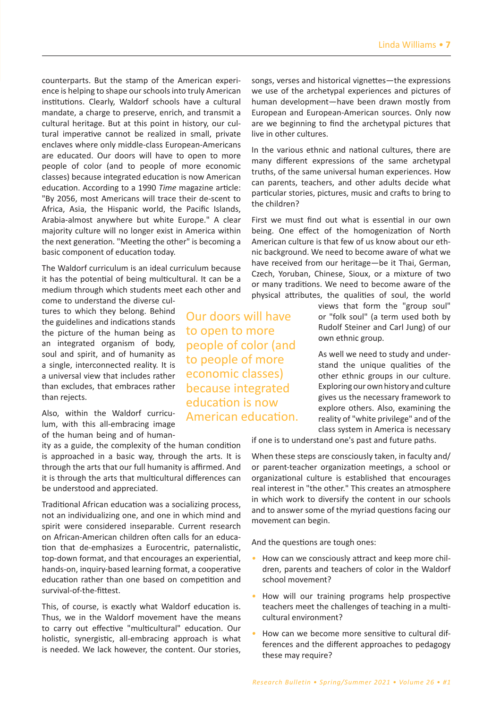counterparts. But the stamp of the American experience is helping to shape our schools into truly American institutions. Clearly, Waldorf schools have a cultural mandate͕ a charge to preserve͕ enrich͕ and transmit a cultural heritage. But at this point in history, our cultural imperative cannot be realized in small, private enclaves where only middle-class European-Americans are educated. Our doors will have to open to more people of color (and to people of more economic classesͿ because integrated education is now American education. According to a 1990 Time magazine article: "By 2056, most Americans will trace their de-scent to Africa, Asia, the Hispanic world, the Pacific Islands, Arabia-almost anywhere but white Europe." A clear majority culture will no longer exist in America within the next generation. "Meeting the other" is becoming a basic component of education today.

The Waldorf curriculum is an ideal curriculum because it has the potential of being multicultural. It can be a medium through which students meet each other and come to understand the diverse cul-

tures to which they belong. Behind the guidelines and indications stands the picture of the human being as an integrated organism of body, soul and spirit, and of humanity as a single, interconnected reality. It is a universal view that includes rather than excludes, that embraces rather than rejects.

Also, within the Waldorf curriculum, with this all-embracing image of the human being and of human-

ity as a guide, the complexity of the human condition is approached in a basic way, through the arts. It is through the arts that our full humanity is affirmed. And it is through the arts that multicultural differences can be understood and appreciated.

Traditional African education was a socializing process͕ not an individualizing one͕ and one in which mind and spirit were considered inseparable. Current research on African-American children often calls for an education that de-emphasizes a Eurocentric, paternalistic, top-down format, and that encourages an experiential, hands-on, inquiry-based learning format, a cooperative education rather than one based on competition and survival-of-the-fittest.

This, of course, is exactly what Waldorf education is. Thus, we in the Waldorf movement have the means to carry out effective "multicultural" education. Our holistic, synergistic, all-embracing approach is what is needed. We lack however, the content. Our stories,

Our doors will have to open to more people of color (and to people of more economic classes) because integrated education is now American education.

songs, verses and historical vignettes-the expressions we use of the archetypal experiences and pictures of human development-have been drawn mostly from European and European-American sources. Only now are we beginning to find the archetypal pictures that live in other cultures.

In the various ethnic and national cultures, there are many different expressions of the same archetypal truths, of the same universal human experiences. How can parents, teachers, and other adults decide what particular stories, pictures, music and crafts to bring to the children?

First we must find out what is essential in our own being. One effect of the homogenization of North American culture is that few of us know about our ethnic background. We need to become aware of what we have received from our heritage-be it Thai, German, Czech, Yoruban, Chinese, Sioux, or a mixture of two or many traditions. We need to become aware of the physical attributes, the qualities of soul, the world

> views that form the "group soul" or "folk soul" (a term used both by Rudolf Steiner and Carl Jung) of our own ethnic group.

> As well we need to study and understand the unique qualities of the other ethnic groups in our culture. Exploring our own history and culture gives us the necessary framework to explore others. Also, examining the reality of "white privilege" and of the class system in America is necessary

if one is to understand one's past and future paths.

When these steps are consciously taken, in faculty and/ or parent-teacher organization meetings͕ a school or organizational culture is established that encourages real interest in "the other." This creates an atmosphere in which work to diversify the content in our schools and to answer some of the myriad questions facing our movement can begin.

And the questions are tough ones:

- *•* How can we consciously attract and keep more children͕ parents and teachers of color in the Waldorf school movement?
- *•* How will our training programs help prospective teachers meet the challenges of teaching in a multicultural environment?
- *•* How can we become more sensitive to cultural differences and the different approaches to pedagogy these may require?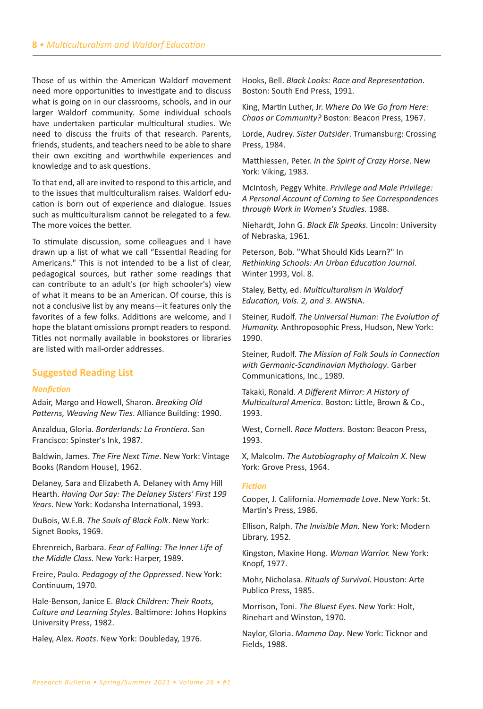Those of us within the American Waldorf movement need more opportunities to investigate and to discuss what is going on in our classrooms, schools, and in our larger Waldorf community. Some individual schools have undertaken particular multicultural studies. We need to discuss the fruits of that research. Parents, friends, students, and teachers need to be able to share their own exciting and worthwhile experiences and knowledge and to ask questions.

To that end͕ all are invited to respond to this article͕ and to the issues that multiculturalism raises. Waldorf education is born out of experience and dialogue. Issues such as multiculturalism cannot be relegated to a few. The more voices the better.

To stimulate discussion, some colleagues and I have drawn up a list of what we call "Essential Reading for Americans." This is not intended to be a list of clear, pedagogical sources͕ but rather some readings that can contribute to an adult's (or high schooler's) view of what it means to be an American. Of course, this is not a conclusive list by any means-it features only the favorites of a few folks. Additions are welcome, and I hope the blatant omissions prompt readers to respond. Titles not normally available in bookstores or libraries are listed with mail-order addresses.

# **Suggested Reading List**

#### *Nonfiction*

Adair͕ Margo and Howell͕ Sharon͘ *Breaking Old*  Patterns, Weaving New Ties. Alliance Building: 1990.

Anzaldua͕ Gloria͘ *Borderlands: La Frontiera*. San Francisco: Spinster's Ink, 1987.

Baldwin, James. The Fire Next Time. New York: Vintage Books (Random House), 1962.

Delaney, Sara and Elizabeth A. Delaney with Amy Hill Hearth͘ *Having Our Say: The Delaney Sisters' First 199 Years*. New York: Kodansha International, 1993.

DuBois, W.E.B. The Souls of Black Folk. New York: Signet Books, 1969.

Ehrenreich͕ Barbara͘ *Fear of Falling: The Inner Life of*  the Middle Class. New York: Harper, 1989.

Freire, Paulo. Pedagogy of the Oppressed. New York: Continuum, 1970.

Hale-Benson͕ :anice E͘ *Black Children: Their Roots, Culture and Learning Styles*͘ Baltimore͗ :ohns Hopkins University Press, 1982.

Haley, Alex. Roots. New York: Doubleday, 1976.

Hooks͕ Bell͘ *Black Looks: Race and Representation*. Boston: South End Press, 1991.

King, Martin Luther, Jr. Where Do We Go from Here: *Chaos or Community?* Boston: Beacon Press, 1967.

Lorde, Audrey. Sister Outsider. Trumansburg: Crossing Press. 1984.

Matthiessen, Peter. *In the Spirit of Crazy Horse*. New York: Viking, 1983.

McIntosh͕ Peggy White͘ *Privilege and Male Privilege: A Personal Account of Coming to See Correspondences through Work in Women's Studies.* 1988.

Niehardt, John G. Black Elk Speaks. Lincoln: University of Nebraska, 1961.

Peterson, Bob. "What Should Kids Learn?" In *Rethinking Schools: An Urban Education Journal*. Winter 1993, Vol. 8.

Staley͕ Betty͕ ed͘ *Multiculturalism in Waldorf Education, Vols. 2, and 3. AWSNA.* 

Steiner͕ Rudolf͘ *The Universal Human: The Evolution of Humanity.* Anthroposophic Press, Hudson, New York: 1990.

Steiner͕ Rudolf͘ *The Mission of Folk Souls in Connection with Germanic-Scandinavian Mythology*. Garber Communications, Inc., 1989.

Takaki͕ Ronald͘ *A Different Mirror: A History of Multicultural America*. Boston: Little, Brown & Co., 1993.

West, Cornell. Race Matters. Boston: Beacon Press, 1993.

X͕ Malcolm͘ *The Autobiography of Malcolm X.* New York: Grove Press, 1964.

#### *Fiction*

Cooper, J. California. *Homemade Love*. New York: St. Martin's Press, 1986.

Ellison͕ Ralph͘ *The Invisible Man.* New York͗ Modern Library, 1952.

Kingston, Maxine Hong. Woman Warrior. New York: Knopf, 1977.

Mohr, Nicholasa. Rituals of Survival. Houston: Arte Publico Press, 1985.

Morrison, Toni. The Bluest Eyes. New York: Holt, Rinehart and Winston, 1970.

Naylor, Gloria. Mamma Day. New York: Ticknor and Fields, 1988.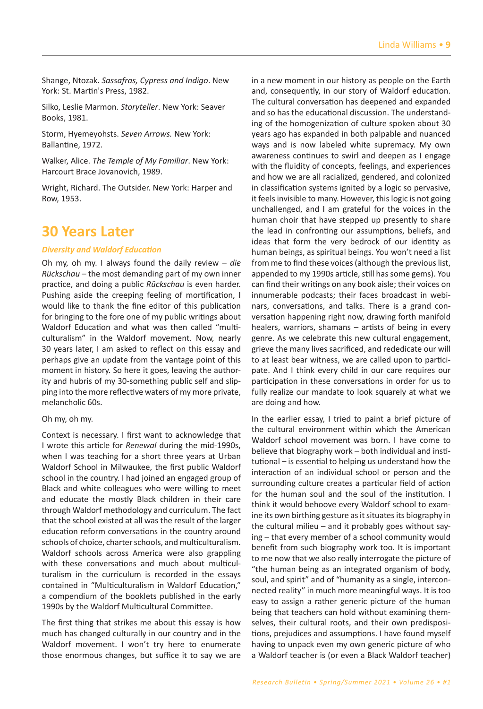Shange, Ntozak. Sassafras, Cypress and Indigo. New York: St. Martin's Press, 1982.

Silko, Leslie Marmon. Storyteller. New York: Seaver Books, 1981.

Storm, Hyemeyohsts. Seven Arrows. New York: Ballantine, 1972.

Walker, Alice. The Temple of My Familiar. New York: Harcourt Brace Jovanovich, 1989.

Wright, Richard. The Outsider. New York: Harper and Row. 1953.

# **30 Years Later**

#### *Diversity and Waldorf Education*

Oh my, oh my. I always found the daily review - die *Rückschau* – the most demanding part of my own inner practice, and doing a public Rückschau is even harder. Pushing aside the creeping feeling of mortification, I would like to thank the fine editor of this publication for bringing to the fore one of my public writings about Waldorf Education and what was then called "multiculturalism" in the Waldorf movement. Now, nearly 30 years later, I am asked to reflect on this essay and perhaps give an update from the vantage point of this moment in history. So here it goes, leaving the authority and hubris of my 30-something public self and slipping into the more reflective waters of my more private, melancholic 60s.

#### Oh my, oh my.

Context is necessary. I first want to acknowledge that I wrote this article for *Renewal* during the mid-1990s, when I was teaching for a short three years at Urban Waldorf School in Milwaukee, the first public Waldorf school in the country. I had joined an engaged group of Black and white colleagues who were willing to meet and educate the mostly Black children in their care through Waldorf methodology and curriculum. The fact that the school existed at all was the result of the larger education reform conversations in the country around schools of choice, charter schools, and multiculturalism. Waldorf schools across America were also grappling with these conversations and much about multiculturalism in the curriculum is recorded in the essays contained in "Multiculturalism in Waldorf Education," a compendium of the booklets published in the early 1990s by the Waldorf Multicultural Committee.

The first thing that strikes me about this essay is how much has changed culturally in our country and in the Waldorf movement. I won't try here to enumerate those enormous changes, but suffice it to say we are in a new moment in our history as people on the Earth and, consequently, in our story of Waldorf education. The cultural conversation has deepened and expanded and so has the educational discussion. The understanding of the homogenization of culture spoken about 30 years ago has expanded in both palpable and nuanced ways and is now labeled white supremacy. My own awareness continues to swirl and deepen as I engage with the fluidity of concepts, feelings, and experiences and how we are all racialized, gendered, and colonized in classification systems ignited by a logic so pervasive, it feels invisible to many. However, this logic is not going unchallenged͕ and I am grateful for the voices in the human choir that have stepped up presently to share the lead in confronting our assumptions, beliefs, and ideas that form the very bedrock of our identity as human beings, as spiritual beings. You won't need a list from me to find these voices (although the previous list, appended to my 1990s article, still has some gems). You can find their writings on any book aisle; their voices on innumerable podcasts; their faces broadcast in webinars, conversations, and talks. There is a grand conversation happening right now͕ drawing forth manifold healers, warriors, shamans  $-$  artists of being in every genre. As we celebrate this new cultural engagement, grieve the many lives sacrificed, and rededicate our will to at least bear witness, we are called upon to participate. And I think every child in our care requires our participation in these conversations in order for us to fully realize our mandate to look squarely at what we are doing and how.

In the earlier essay͕ I tried to paint a brief picture of the cultural environment within which the American Waldorf school movement was born. I have come to believe that biography work  $-$  both individual and institutional - is essential to helping us understand how the interaction of an individual school or person and the surrounding culture creates a particular field of action for the human soul and the soul of the institution. I think it would behoove every Waldorf school to examine its own birthing gesture as it situates its biography in the cultural milieu  $-$  and it probably goes without saying - that every member of a school community would benefit from such biography work too. It is important to me now that we also really interrogate the picture of "the human being as an integrated organism of body, soul, and spirit" and of "humanity as a single, interconnected reality" in much more meaningful ways. It is too easy to assign a rather generic picture of the human being that teachers can hold without examining themselves, their cultural roots, and their own predispositions, prejudices and assumptions. I have found myself having to unpack even my own generic picture of who a Waldorf teacher is (or even a Black Waldorf teacher)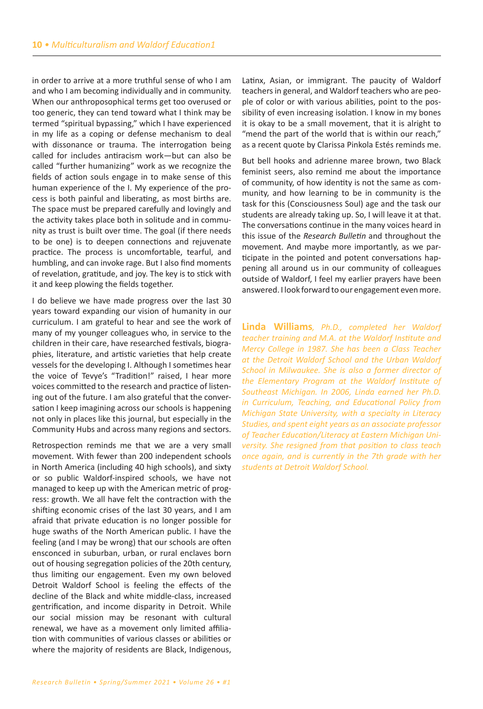in order to arrive at a more truthful sense of who I am and who I am becoming individually and in community. When our anthroposophical terms get too overused or too generic, they can tend toward what I think may be termed "spiritual bypassing," which I have experienced in my life as a coping or defense mechanism to deal with dissonance or trauma. The interrogation being called for includes antiracism work-but can also be called "further humanizing" work as we recognize the fields of action souls engage in to make sense of this human experience of the I. My experience of the process is both painful and liberating, as most births are. The space must be prepared carefully and lovingly and the activity takes place both in solitude and in community as trust is built over time. The goal (if there needs to be one) is to deepen connections and rejuvenate practice. The process is uncomfortable, tearful, and humbling, and can invoke rage. But I also find moments of revelation, gratitude, and joy. The key is to stick with it and keep plowing the fields together.

I do believe we have made progress over the last 30 years toward expanding our vision of humanity in our curriculum. I am grateful to hear and see the work of many of my younger colleagues who, in service to the children in their care͕ have researched festivals͕ biographies͕ literature͕ and artistic varieties that help create vessels for the developing I. Although I sometimes hear the voice of Tevye's "Tradition!" raised. I hear more voices committed to the research and practice of listening out of the future. I am also grateful that the conversation I keep imagining across our schools is happening not only in places like this journal, but especially in the Community Hubs and across many regions and sectors.

Retrospection reminds me that we are a very small movement. With fewer than 200 independent schools in North America (including 40 high schools), and sixty or so public Waldorf-inspired schools͕ we have not managed to keep up with the American metric of progress: growth. We all have felt the contraction with the shifting economic crises of the last 30 years, and I am afraid that private education is no longer possible for huge swaths of the North American public. I have the feeling (and I may be wrong) that our schools are often ensconced in suburban, urban, or rural enclaves born out of housing segregation policies of the 20th century, thus limiting our engagement. Even my own beloved Detroit Waldorf School is feeling the effects of the decline of the Black and white middle-class, increased gentrification, and income disparity in Detroit. While our social mission may be resonant with cultural renewal, we have as a movement only limited affiliation with communities of various classes or abilities or where the majority of residents are Black, Indigenous,

Latinx, Asian, or immigrant. The paucity of Waldorf teachers in general͕ and Waldorf teachers who are people of color or with various abilities, point to the possibility of even increasing isolation. I know in my bones it is okay to be a small movement, that it is alright to "mend the part of the world that is within our reach," as a recent quote by Clarissa Pinkola Estés reminds me.

But bell hooks and adrienne maree brown͕ two Black feminist seers, also remind me about the importance of community͕ of how identity is not the same as community͕ and how learning to be in community is the task for this (Consciousness Soul) age and the task our students are already taking up. So, I will leave it at that. The conversations continue in the many voices heard in this issue of the *Research Bulletin* and throughout the movement. And maybe more importantly, as we participate in the pointed and potent conversations happening all around us in our community of colleagues outside of Waldorf, I feel my earlier prayers have been answered. I look forward to our engagement even more.

**Linda Williams***, Ph.D., completed her Waldorf teacher training and M.A. at the Waldorf Institute and Mercy College in 1987. She has been a Class Teacher at the Detroit Waldorf School and the Urban Waldorf School in Milwaukee. She is also a former director of the Elementary Program at the Waldorf Institute of Southeast Michigan. In 2006, Linda earned her Ph.D. in Curriculum, Teaching, and Educational Policy from Michigan State University, with a specialty in Literacy Studies, and spent eight years as an associate professor of Teacher Education/Literacy at Eastern Michigan University. She resigned from that position to class teach once again, and is currently in the 7th grade with her students at Detroit Waldorf School.*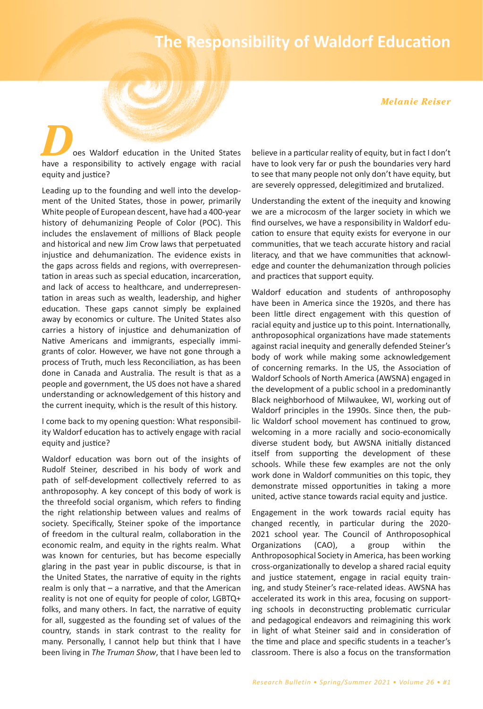# **The Responsibility of Waldorf Education**

#### *Melanie Reiser*

*D*oes Waldorf education in the United States have a responsibility to actively engage with racial equity and justice?

Leading up to the founding and well into the development of the United States, those in power, primarily White people of European descent, have had a 400-year history of dehumanizing People of Color (POC). This includes the enslavement of millions of Black people and historical and new Jim Crow laws that perpetuated injustice and dehumanization. The evidence exists in the gaps across fields and regions͕ with overrepresentation in areas such as special education, incarceration, and lack of access to healthcare, and underrepresentation in areas such as wealth, leadership, and higher education. These gaps cannot simply be explained away by economics or culture. The United States also carries a history of injustice and dehumanization of Native Americans and immigrants, especially immigrants of color. However, we have not gone through a process of Truth͕ much less Reconciliation͕ as has been done in Canada and Australia. The result is that as a people and government͕ the US does not have a shared understanding or acknowledgement of this history and the current inequity, which is the result of this history.

I come back to my opening question: What responsibility Waldorf education has to actively engage with racial equity and justice?

Waldorf education was born out of the insights of Rudolf Steiner͕ described in his body of work and path of self-development collectively referred to as anthroposophy. A key concept of this body of work is the threefold social organism, which refers to finding the right relationship between values and realms of society. Specifically, Steiner spoke of the importance of freedom in the cultural realm͕ collaboration in the economic realm, and equity in the rights realm. What was known for centuries, but has become especially glaring in the past year in public discourse, is that in the United States, the narrative of equity in the rights realm is only that  $-$  a narrative, and that the American reality is not one of equity for people of color, LGBTQ+ folks, and many others. In fact, the narrative of equity for all, suggested as the founding set of values of the country͕ stands in stark contrast to the reality for many. Personally, I cannot help but think that I have been living in *The Truman Show*, that I have been led to believe in a particular reality of equity, but in fact I don't have to look very far or push the boundaries very hard to see that many people not only don't have equity, but are severely oppressed, delegitimized and brutalized.

Understanding the extent of the inequity and knowing we are a microcosm of the larger society in which we find ourselves͕ we have a responsibility in Waldorf education to ensure that equity exists for everyone in our communities͕ that we teach accurate history and racial literacy͕ and that we have communities that acknowledge and counter the dehumanization through policies and practices that support equity.

Waldorf education and students of anthroposophy have been in America since the 1920s, and there has been little direct engagement with this question of racial equity and justice up to this point. Internationally, anthroposophical organizations have made statements against racial inequity and generally defended Steiner's body of work while making some acknowledgement of concerning remarks. In the US, the Association of Waldorf Schools of North America (AWSNA) engaged in the development of a public school in a predominantly Black neighborhood of Milwaukee, WI, working out of Waldorf principles in the 1990s. Since then, the public Waldorf school movement has continued to grow͕ welcoming in a more racially and socio-economically diverse student body͕ but AWSNA initially distanced itself from supporting the development of these schools. While these few examples are not the only work done in Waldorf communities on this topic, they demonstrate missed opportunities in taking a more united, active stance towards racial equity and justice.

Engagement in the work towards racial equity has changed recently, in particular during the 2020-2021 school year. The Council of Anthroposophical Organizations (CAO), a group within the Anthroposophical Society in America, has been working cross-organizationally to develop a shared racial eƋuity and justice statement, engage in racial equity training, and study Steiner's race-related ideas. AWSNA has accelerated its work in this area, focusing on supporting schools in deconstructing problematic curricular and pedagogical endeavors and reimagining this work in light of what Steiner said and in consideration of the time and place and specific students in a teacher's classroom͘ There is also a focus on the transformation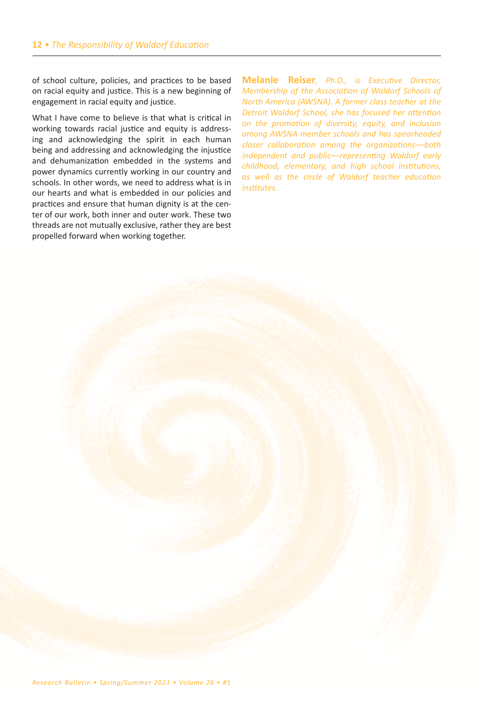of school culture͕ policies͕ and practices to be based on racial equity and justice. This is a new beginning of engagement in racial equity and justice.

What I have come to believe is that what is critical in working towards racial justice and equity is addressing and acknowledging the spirit in each human being and addressing and acknowledging the injustice and dehumanization embedded in the systems and power dynamics currently working in our country and schools. In other words, we need to address what is in our hearts and what is embedded in our policies and practices and ensure that human dignity is at the center of our work, both inner and outer work. These two threads are not mutually exclusive, rather they are best propelled forward when working together.

**Melanie Reiser***, Ph.D., is Executive Director, Membership of the Association of Waldorf Schools of North America (AWSNA). A former class teacher at the Detroit Waldorf School, she has focused her attention on the promotion of diversity, equity, and inclusion among AWSNA member schools and has spearheaded closer collaboration among the organizations––both independent and public––representing Waldorf early childhood, elementary, and high school institutions, as well as the circle of Waldorf teacher education institutes.*

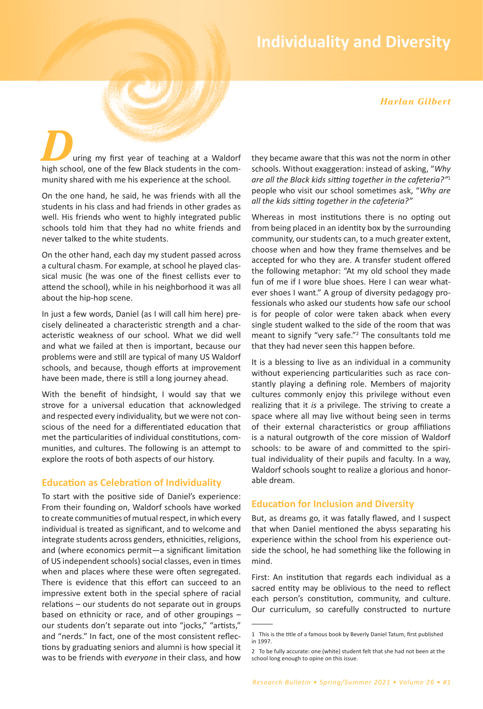# **Individuality and Diversity**

*Harlan Gilbert*

uring my first year of teaching at a Waldorf high school, one of the few Black students in the community shared with me his experience at the school.

On the one hand͕ he said͕ he was friends with all the students in his class and had friends in other grades as well. His friends who went to highly integrated public schools told him that they had no white friends and never talked to the white students.

On the other hand͕ each day my student passed across a cultural chasm. For example, at school he played classical music (he was one of the finest cellists ever to attend the school), while in his neighborhood it was all about the hip-hop scene.

In just a few words, Daniel (as I will call him here) precisely delineated a characteristic strength and a characteristic weakness of our school. What we did well and what we failed at then is important, because our problems were and still are typical of many US Waldorf schools, and because, though efforts at improvement have been made, there is still a long journey ahead.

With the benefit of hindsight, I would say that we strove for a universal education that acknowledged and respected every individuality, but we were not conscious of the need for a differentiated education that met the particularities of individual constitutions͕ communities, and cultures. The following is an attempt to explore the roots of both aspects of our history.

# **Education as Celebration of Individuality**

To start with the positive side of Daniel's experience: From their founding on͕ Waldorf schools have worked to create communities of mutual respect, in which every individual is treated as significant, and to welcome and integrate students across genders, ethnicities, religions, and (where economics permit-a significant limitation of US independent schools) social classes, even in times when and places where these were often segregated. There is evidence that this effort can succeed to an impressive extent both in the special sphere of racial  $relations - our students do not separate out in groups$ based on ethnicity or race, and of other groupings  $$ our students don't separate out into "jocks," "artists," and "nerds." In fact, one of the most consistent reflections by graduating seniors and alumni is how special it was to be friends with *everyone* in their class, and how they became aware that this was not the norm in other schools. Without exaggeration: instead of asking, "Why *are all the Black kids sitting together in the cafeteria?"*<sup>1</sup> people who visit our school sometimes ask, "Why are *all the kids sitting together in the cafeteria?"*

Whereas in most institutions there is no opting out from being placed in an identity box by the surrounding community, our students can, to a much greater extent, choose when and how they frame themselves and be accepted for who they are. A transfer student offered the following metaphor: "At my old school they made fun of me if I wore blue shoes. Here I can wear whatever shoes I want." A group of diversity pedagogy professionals who asked our students how safe our school is for people of color were taken aback when every single student walked to the side of the room that was meant to signify "very safe."<sup>2</sup> The consultants told me that they had never seen this happen before.

It is a blessing to live as an individual in a community without experiencing particularities such as race constantly playing a defining role. Members of majority cultures commonly enjoy this privilege without even realizing that it *is* a privilege. The striving to create a space where all may live without being seen in terms of their external characteristics or group affiliations is a natural outgrowth of the core mission of Waldorf schools: to be aware of and committed to the spiritual individuality of their pupils and faculty. In a way, Waldorf schools sought to realize a glorious and honorable dream.

# **Education for Inclusion and Diversity**

But, as dreams go, it was fatally flawed, and I suspect that when Daniel mentioned the abyss separating his experience within the school from his experience outside the school, he had something like the following in mind.

First: An institution that regards each individual as a sacred entity may be oblivious to the need to reflect each person's constitution, community, and culture. Our curriculum, so carefully constructed to nurture

<sup>1</sup> This is the title of a famous book by Beverly Daniel Tatum͕ first published in 1997.

<sup>2</sup> To be fully accurate: one (white) student felt that she had not been at the school long enough to opine on this issue.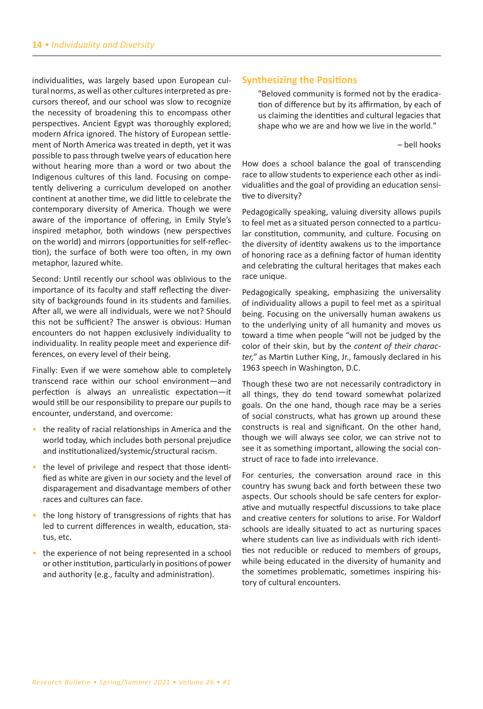individualities, was largely based upon European cultural norms͕ as well as other cultures interpreted as precursors thereof͕ and our school was slow to recognize the necessity of broadening this to encompass other perspectives. Ancient Egypt was thoroughly explored; modern Africa ignored. The history of European settlement of North America was treated in depth͕ yet it was possible to pass through twelve years of education here without hearing more than a word or two about the Indigenous cultures of this land. Focusing on competently delivering a curriculum developed on another continent at another time͕ we did little to celebrate the contemporary diversity of America. Though we were aware of the importance of offering, in Emily Style's inspired metaphor, both windows (new perspectives on the world) and mirrors (opportunities for self-reflection), the surface of both were too often, in my own metaphor, lazured white.

Second: Until recently our school was oblivious to the importance of its faculty and staff reflecting the diversity of backgrounds found in its students and families. After all, we were all individuals, were we not? Should this not be sufficient? The answer is obvious: Human encounters do not happen exclusively individuality to individuality. In reality people meet and experience differences, on every level of their being.

Finally: Even if we were somehow able to completely transcend race within our school environment-and perfection is always an unrealistic expectation-it would still be our responsibility to prepare our pupils to encounter, understand, and overcome:

- *•* the reality of racial relationships in America and the world today, which includes both personal prejudice and institutionalized/systemic/structural racism.
- *•* the level of privilege and respect that those identified as white are given in our society and the level of disparagement and disadvantage members of other races and cultures can face.
- *•* the long history of transgressions of rights that has led to current differences in wealth, education, status, etc.
- the experience of not being represented in a school or other institution͕ particularly in positions of power and authority (e.g., faculty and administration).

# **Synthesizing the Positions**

"Beloved community is formed not by the eradication of difference but by its affirmation, by each of us claiming the identities and cultural legacies that shape who we are and how we live in the world."

- bell hooks

How does a school balance the goal of transcending race to allow students to experience each other as individualities and the goal of providing an education sensitive to diversity?

Pedagogically speaking, valuing diversity allows pupils to feel met as a situated person connected to a particular constitution, community, and culture. Focusing on the diversity of identity awakens us to the importance of honoring race as a defining factor of human identity and celebrating the cultural heritages that makes each race unique.

Pedagogically speaking, emphasizing the universality of individuality allows a pupil to feel met as a spiritual being. Focusing on the universally human awakens us to the underlying unity of all humanity and moves us toward a time when people "will not be judged by the color of their skin͕ but by the *content of their character,"* as Martin Luther King, Jr., famously declared in his 1963 speech in Washington, D.C.

Though these two are not necessarily contradictory in all things, they do tend toward somewhat polarized goals. On the one hand, though race may be a series of social constructs͕ what has grown up around these constructs is real and significant. On the other hand, though we will always see color, we can strive not to see it as something important, allowing the social construct of race to fade into irrelevance.

For centuries͕ the conversation around race in this country has swung back and forth between these two aspects. Our schools should be safe centers for explorative and mutually respectful discussions to take place and creative centers for solutions to arise. For Waldorf schools are ideally situated to act as nurturing spaces where students can live as individuals with rich identities not reducible or reduced to members of groups͕ while being educated in the diversity of humanity and the sometimes problematic͕ sometimes inspiring history of cultural encounters.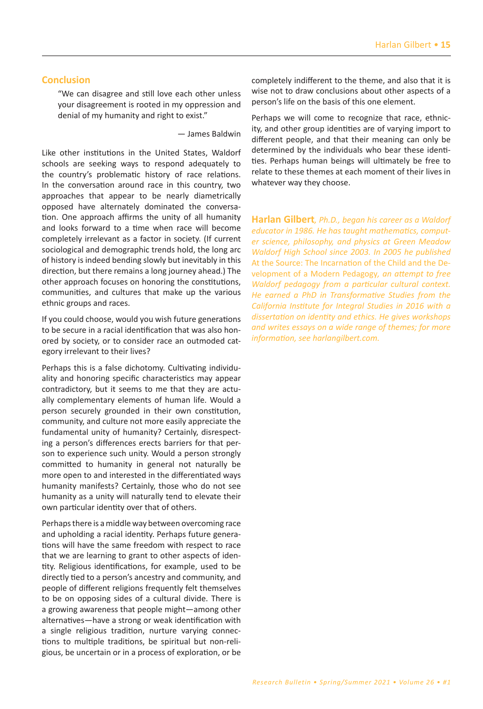## **Conclusion**

͞We can disagree and still love each other unless your disagreement is rooted in my oppression and denial of my humanity and right to exist."

 $-$  James Baldwin

Like other institutions in the United States, Waldorf schools are seeking ways to respond adequately to the country's problematic history of race relations. In the conversation around race in this country͕ two approaches that appear to be nearly diametrically opposed have alternately dominated the conversation. One approach affirms the unity of all humanity and looks forward to a time when race will become completely irrelevant as a factor in society. (If current sociological and demographic trends hold, the long arc of history is indeed bending slowly but inevitably in this direction, but there remains a long journey ahead.) The other approach focuses on honoring the constitutions͕ communities͕ and cultures that make up the various ethnic groups and races.

If you could choose, would you wish future generations to be secure in a racial identification that was also honored by society͕ or to consider race an outmoded category irrelevant to their lives?

Perhaps this is a false dichotomy. Cultivating individuality and honoring specific characteristics may appear contradictory͕ but it seems to me that they are actually complementary elements of human life. Would a person securely grounded in their own constitution͕ community͕ and culture not more easily appreciate the fundamental unity of humanity? Certainly, disrespecting a person's differences erects barriers for that person to experience such unity. Would a person strongly committed to humanity in general not naturally be more open to and interested in the differentiated ways humanity manifests? Certainly, those who do not see humanity as a unity will naturally tend to elevate their own particular identity over that of others.

Perhaps there is a middle way between overcoming race and upholding a racial identity. Perhaps future generations will have the same freedom with respect to race that we are learning to grant to other aspects of identity. Religious identifications, for example, used to be directly tied to a person's ancestry and community, and people of different religions frequently felt themselves to be on opposing sides of a cultural divide. There is a growing awareness that people might-among other alternatives-have a strong or weak identification with a single religious tradition, nurture varying connections to multiple traditions͕ be spiritual but non-religious, be uncertain or in a process of exploration, or be completely indifferent to the theme, and also that it is wise not to draw conclusions about other aspects of a person's life on the basis of this one element.

Perhaps we will come to recognize that race, ethnicity, and other group identities are of varying import to different people, and that their meaning can only be determined by the individuals who bear these identities. Perhaps human beings will ultimately be free to relate to these themes at each moment of their lives in whatever way they choose.

**Harlan Gilbert***, Ph.D., began his career as a Waldorf educator in 1986. He has taught mathematics, computer science, philosophy, and physics at Green Meadow Waldorf High School since 2003. In 2005 he published*  At the Source: The Incarnation of the Child and the Development of a Modern Pedagogy*, an attempt to free Waldorf pedagogy from a particular cultural context. He earned a PhD in Transformative Studies from the California Institute for Integral Studies in 2016 with a dissertation on identity and ethics. He gives workshops and writes essays on a wide range of themes; for more information, see harlangilbert.com.*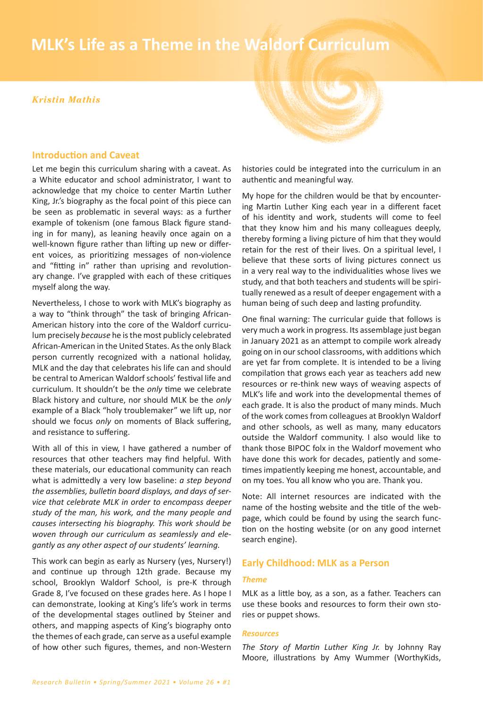# **16** *• MLK's Life as a Theme in the Waldorf Curriculum* **MLK's Life as a Theme in the Waldorf Curriculum**

#### *Kristin Mathis*

## **Introduction and Caveat**

Let me begin this curriculum sharing with a caveat. As a White educator and school administrator͕ I want to acknowledge that my choice to center Martin Luther King, Jr.'s biography as the focal point of this piece can be seen as problematic in several ways: as a further example of tokenism (one famous Black figure standing in for many), as leaning heavily once again on a well-known figure rather than lifting up new or different voices, as prioritizing messages of non-violence and "fitting in" rather than uprising and revolutionary change. I've grappled with each of these critiques myself along the way.

Nevertheless, I chose to work with MLK's biography as a way to "think through" the task of bringing African-American history into the core of the Waldorf curriculum precisely *because* he is the most publicly celebrated African-American in the United States. As the only Black person currently recognized with a national holiday, MLK and the day that celebrates his life can and should be central to American Waldorf schools' festival life and curriculum. It shouldn't be the *only* time we celebrate Black history and culture͕ nor should MLK be the *only* example of a Black "holy troublemaker" we lift up, nor should we focus *only* on moments of Black suffering, and resistance to suffering.

With all of this in view, I have gathered a number of resources that other teachers may find helpful. With these materials͕ our educational community can reach what is admittedly a very low baseline: *a step beyond the assemblies, bulletin board displays, and days of service that celebrate MLK in order to encompass deeper study of the man, his work, and the many people and causes intersecting his biography. This work should be woven through our curriculum as seamlessly and elegantly as any other aspect of our students' learning.*

This work can begin as early as Nursery (yes, Nursery!) and continue up through 12th grade. Because my school, Brooklyn Waldorf School, is pre-K through Grade 8, I've focused on these grades here. As I hope I can demonstrate, looking at King's life's work in terms of the developmental stages outlined by Steiner and others, and mapping aspects of King's biography onto the themes of each grade, can serve as a useful example of how other such figures͕ themes͕ and non-Western

histories could be integrated into the curriculum in an authentic and meaningful way.

My hope for the children would be that by encountering Martin Luther King each year in a different facet of his identity and work͕ students will come to feel that they know him and his many colleagues deeply͕ thereby forming a living picture of him that they would retain for the rest of their lives. On a spiritual level, I believe that these sorts of living pictures connect us in a very real way to the individualities whose lives we study͕ and that both teachers and students will be spiritually renewed as a result of deeper engagement with a human being of such deep and lasting profundity.

One final warning͗ The curricular guide that follows is very much a work in progress. Its assemblage just began in January 2021 as an attempt to compile work already going on in our school classrooms͕ with additions which are yet far from complete. It is intended to be a living compilation that grows each year as teachers add new resources or re-think new ways of weaving aspects of MLK's life and work into the developmental themes of each grade. It is also the product of many minds. Much of the work comes from colleagues at Brooklyn Waldorf and other schools, as well as many, many educators outside the Waldorf community. I also would like to thank those BIPOC folx in the Waldorf movement who have done this work for decades, patiently and sometimes impatiently keeping me honest, accountable, and on my toes. You all know who you are. Thank you.

Note: All internet resources are indicated with the name of the hosting website and the title of the webpage, which could be found by using the search function on the hosting website (or on any good internet search engine).

#### **Early Childhood: MLK as a Person**

#### *Theme*

MLK as a little boy, as a son, as a father. Teachers can use these books and resources to form their own stories or puppet shows.

#### *Resources*

The Story of Martin Luther King Jr. by Johnny Ray Moore, illustrations by Amy Wummer (WorthyKids,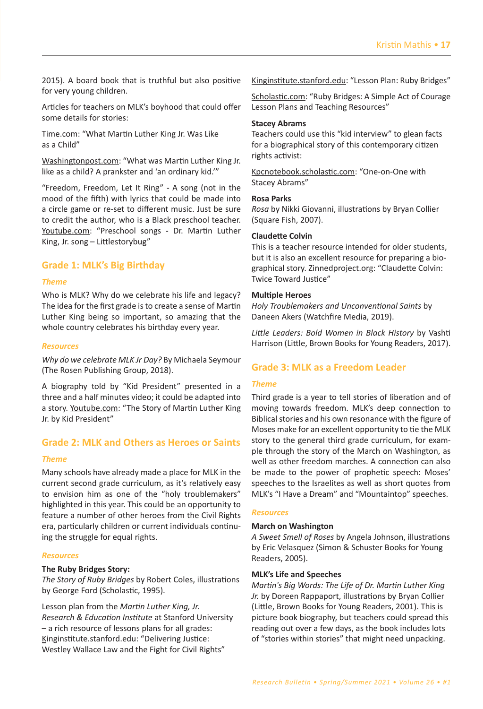2015). A board book that is truthful but also positive for very young children.

Articles for teachers on MLK's boyhood that could offer some details for stories:

Time.com: "What Martin Luther King Jr. Was Like as a Child"

Washingtonpost.com: "What was Martin Luther King Jr. like as a child? A prankster and 'an ordinary kid."

"Freedom, Freedom, Let It Ring" - A song (not in the mood of the fifth) with lyrics that could be made into a circle game or re-set to different music. Just be sure to credit the author, who is a Black preschool teacher. Youtube.com: "Preschool songs - Dr. Martin Luther King, Jr. song - Littlestorybug"

## **Grade 1: MLK's Big Birthday**

#### *Theme*

Who is MLK? Why do we celebrate his life and legacy? The idea for the first grade is to create a sense of Martin Luther King being so important, so amazing that the whole country celebrates his birthday every year.

#### *Resources*

*Why do we celebrate MLK Jr Day?* By Michaela Seymour (The Rosen Publishing Group, 2018).

A biography told by "Kid President" presented in a three and a half minutes video; it could be adapted into a story. Youtube.com: "The Story of Martin Luther King Jr. by Kid President"

# **Grade 2: MLK and Others as Heroes or Saints**

#### *Theme*

Many schools have already made a place for MLK in the current second grade curriculum, as it's relatively easy to envision him as one of the "holy troublemakers" highlighted in this year. This could be an opportunity to feature a number of other heroes from the Civil Rights era, particularly children or current individuals continuing the struggle for equal rights.

#### *Resources*

#### **The Ruby Bridges Story:**

*The Story of Ruby Bridges* by Robert Coles͕ illustrations by George Ford (Scholastic, 1995).

Lesson plan from the *Martin Luther King, Jr. Research & Education Institute* at Stanford University  $-$  a rich resource of lessons plans for all grades: Kinginstitute.stanford.edu: "Delivering Justice: Westley Wallace Law and the Fight for Civil Rights"

Kinginstitute.stanford.edu: "Lesson Plan: Ruby Bridges"

Scholastic.com: "Ruby Bridges: A Simple Act of Courage Lesson Plans and Teaching Resources"

#### **Stacey Abrams**

Teachers could use this "kid interview" to glean facts for a biographical story of this contemporary citizen rights activist:

Kpcnotebook.scholastic.com: "One-on-One with Stacey Abrams"

#### **Rosa Parks**

*Rosa* by Nikki Giovanni͕ illustrations by Bryan Collier (Square Fish, 2007).

#### **Claudette Colvin**

This is a teacher resource intended for older students͕ but it is also an excellent resource for preparing a biographical story. Zinnedproject.org: "Claudette Colvin: Twice Toward Justice"

#### **Multiple Heroes**

*Holy Troublemakers and Unconventional Saints* by Daneen Akers (Watchfire Media, 2019).

*Little Leaders: Bold Women in Black History* by Vashti Harrison (Little, Brown Books for Young Readers, 2017).

## **Grade 3: MLK as a Freedom Leader**

#### *Theme*

Third grade is a year to tell stories of liberation and of moving towards freedom. MLK's deep connection to Biblical stories and his own resonance with the figure of Moses make for an excellent opportunity to tie the MLK story to the general third grade curriculum, for example through the story of the March on Washington͕ as well as other freedom marches. A connection can also be made to the power of prophetic speech: Moses' speeches to the Israelites as well as short quotes from MLK's "I Have a Dream" and "Mountaintop" speeches.

#### *Resources*

#### **March on Washington**

A Sweet Smell of Roses by Angela Johnson, illustrations by Eric Velasquez (Simon & Schuster Books for Young Readers, 2005).

#### **MLK's Life and Speeches**

*Martin's Big Words: The Life of Dr. Martin Luther King*  Jr. by Doreen Rappaport, illustrations by Bryan Collier (Little, Brown Books for Young Readers, 2001). This is picture book biography͕ but teachers could spread this reading out over a few days͕ as the book includes lots of "stories within stories" that might need unpacking.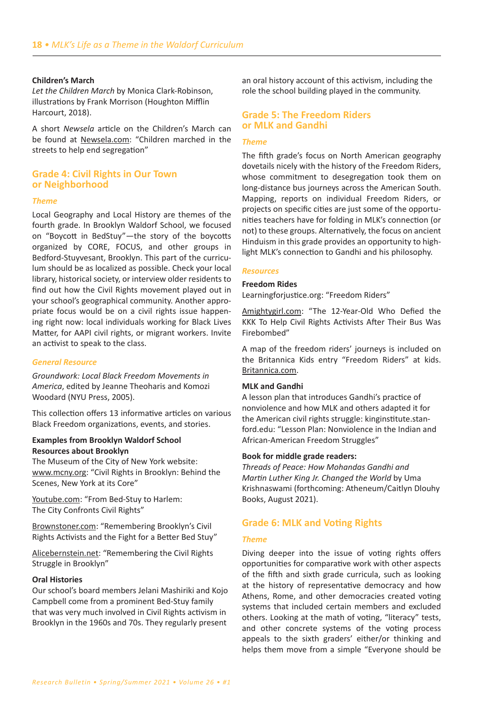#### **Children's March**

Let the Children March by Monica Clark-Robinson, illustrations by Frank Morrison (Houghton Mifflin Harcourt, 2018).

A short Newsela article on the Children's March can be found at Newsela.com: "Children marched in the streets to help end segregation"

## **Grade 4: Civil Rights in Our Town** or Neighborhood

#### **Theme**

Local Geography and Local History are themes of the fourth grade. In Brooklyn Waldorf School, we focused on "Boycott in BedStuy"-the story of the boycotts organized by CORE, FOCUS, and other groups in Bedford-Stuyvesant, Brooklyn. This part of the curriculum should be as localized as possible. Check your local library, historical society, or interview older residents to find out how the Civil Rights movement played out in your school's geographical community. Another appropriate focus would be on a civil rights issue happening right now: local individuals working for Black Lives Matter, for AAPI civil rights, or migrant workers. Invite an activist to speak to the class.

#### **General Resource**

Groundwork: Local Black Freedom Movements in America, edited by Jeanne Theoharis and Komozi Woodard (NYU Press, 2005).

This collection offers 13 informative articles on various Black Freedom organizations, events, and stories.

#### **Examples from Brooklyn Waldorf School Resources about Brooklyn**

The Museum of the City of New York website: www.mcny.org: "Civil Rights in Brooklyn: Behind the Scenes, New York at its Core"

Youtube.com: "From Bed-Stuy to Harlem: The City Confronts Civil Rights"

Brownstoner.com: "Remembering Brooklyn's Civil Rights Activists and the Fight for a Better Bed Stuy"

Alicebernstein.net: "Remembering the Civil Rights Struggle in Brooklyn"

#### **Oral Histories**

Our school's board members Jelani Mashiriki and Kojo Campbell come from a prominent Bed-Stuy family that was very much involved in Civil Rights activism in Brooklyn in the 1960s and 70s. They regularly present an oral history account of this activism, including the role the school building played in the community.

## **Grade 5: The Freedom Riders** or MLK and Gandhi

#### **Theme**

The fifth grade's focus on North American geography dovetails nicely with the history of the Freedom Riders, whose commitment to desegregation took them on long-distance bus journeys across the American South. Mapping, reports on individual Freedom Riders, or projects on specific cities are just some of the opportunities teachers have for folding in MLK's connection (or not) to these groups. Alternatively, the focus on ancient Hinduism in this grade provides an opportunity to highlight MLK's connection to Gandhi and his philosophy.

#### **Resources**

#### **Freedom Rides**

Learningforjustice.org: "Freedom Riders"

Amightygirl.com: "The 12-Year-Old Who Defied the KKK To Help Civil Rights Activists After Their Bus Was Firebombed"

A map of the freedom riders' journeys is included on the Britannica Kids entry "Freedom Riders" at kids. Britannica.com.

#### **MLK and Gandhi**

A lesson plan that introduces Gandhi's practice of nonviolence and how MLK and others adapted it for the American civil rights struggle: kinginstitute.stanford.edu: "Lesson Plan: Nonviolence in the Indian and African-American Freedom Struggles"

#### Book for middle grade readers:

Threads of Peace: How Mohandas Gandhi and Martin Luther King Jr. Changed the World by Uma Krishnaswami (forthcoming: Atheneum/Caitlyn Dlouhy Books, August 2021).

#### **Grade 6: MLK and Voting Rights**

#### **Theme**

Diving deeper into the issue of voting rights offers opportunities for comparative work with other aspects of the fifth and sixth grade curricula, such as looking at the history of representative democracy and how Athens, Rome, and other democracies created voting systems that included certain members and excluded others. Looking at the math of voting, "literacy" tests, and other concrete systems of the voting process appeals to the sixth graders' either/or thinking and helps them move from a simple "Everyone should be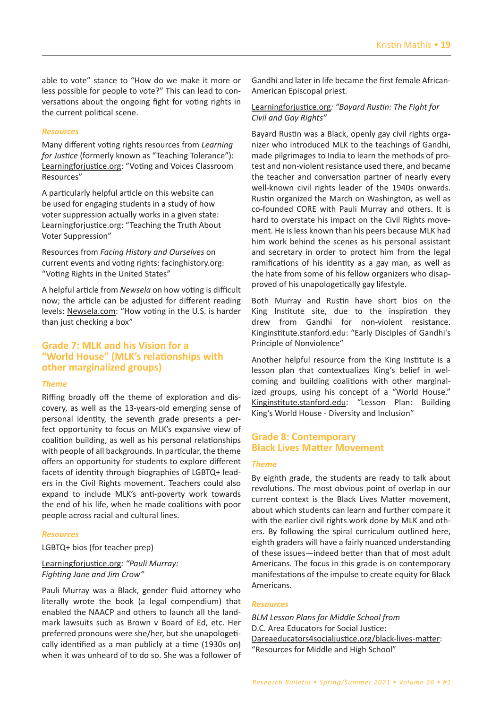able to vote" stance to "How do we make it more or less possible for people to vote?" This can lead to conversations about the ongoing fight for voting rights in the current political scene.

#### *Resources*

Many diīerent voting rights resources from *Learning for Justice* (formerly known as "Teaching Tolerance"): Learningforjustice.org: "Voting and Voices Classroom Resources͟

A particularly helpful article on this website can be used for engaging students in a study of how voter suppression actually works in a given state: Learningforjustice.org: "Teaching the Truth About Voter Suppression"

Resources from *Facing History and Ourselves* on current events and voting rights: facinghistory.org: "Voting Rights in the United States"

A helpful article from *Newsela* on how voting is difficult now; the article can be adjusted for different reading levels: Newsela.com: "How voting in the U.S. is harder than just checking a box"

# **Grade 7: MLK and his Vision for a "World House" (MLK's relationships with other marginalized groups)**

#### *Theme*

Riffing broadly off the theme of exploration and discovery, as well as the 13-years-old emerging sense of personal identity, the seventh grade presents a perfect opportunity to focus on MLK's expansive view of coalition building͕ as well as his personal relationships with people of all backgrounds. In particular, the theme offers an opportunity for students to explore different facets of identity through biographies of LGBTQ+ leaders in the Civil Rights movement. Teachers could also expand to include MLK's anti-poverty work towards the end of his life͕ when he made coalitions with poor people across racial and cultural lines.

#### *Resources*

LGBTQ+ bios (for teacher prep)

#### Learningforjustice.org: "Pauli Murray: *Fighting Jane and Jim Crow"*

Pauli Murray was a Black, gender fluid attorney who literally wrote the book (a legal compendium) that enabled the NAACP and others to launch all the landmark lawsuits such as Brown v Board of Ed, etc. Her preferred pronouns were she/her, but she unapologetically identified as a man publicly at a time (1930s on) when it was unheard of to do so. She was a follower of Gandhi and later in life became the first female African-American Episcopal priest.

#### Learningforjustice.org: "Bayard Rustin: The Fight for *Civil and Gay Rights"*

Bayard Rustin was a Black͕ openly gay civil rights organizer who introduced MLK to the teachings of Gandhi, made pilgrimages to India to learn the methods of protest and non-violent resistance used there, and became the teacher and conversation partner of nearly every well-known civil rights leader of the 1940s onwards. Rustin organized the March on Washington͕ as well as co-founded CORE with Pauli Murray and others. It is hard to overstate his impact on the Civil Rights movement. He is less known than his peers because MLK had him work behind the scenes as his personal assistant and secretary in order to protect him from the legal ramifications of his identity as a gay man, as well as the hate from some of his fellow organizers who disapproved of his unapologetically gay lifestyle.

Both Murray and Rustin have short bios on the King Institute site, due to the inspiration they drew from Gandhi for non-violent resistance. Kinginstitute.stanford.edu: "Early Disciples of Gandhi's Principle of Nonviolence"

Another helpful resource from the King Institute is a lesson plan that contextualizes King's belief in welcoming and building coalitions with other marginalized groups, using his concept of a "World House." Kinginstitute.stanford.edu: "Lesson Plan: Building King's World House - Diversity and Inclusion"

# **Grade 8: Contemporary Black Lives Matter Movement**

#### *Theme*

By eighth grade, the students are ready to talk about revolutions. The most obvious point of overlap in our current context is the Black Lives Matter movement, about which students can learn and further compare it with the earlier civil rights work done by MLK and others. By following the spiral curriculum outlined here, eighth graders will have a fairly nuanced understanding of these issues-indeed better than that of most adult Americans. The focus in this grade is on contemporary manifestations of the impulse to create equity for Black Americans.

#### *Resources*

*BLM Lesson Plans for Middle School from*  D.C. Area Educators for Social Justice: Dareaeducators4socialjustice.org/black-lives-matter: "Resources for Middle and High School"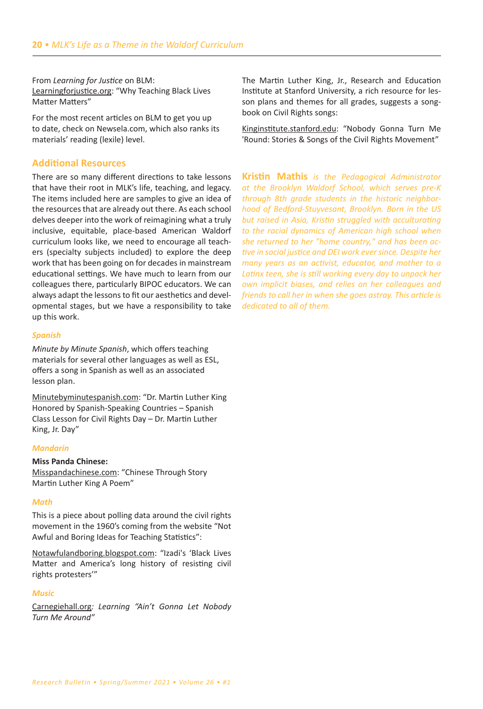From Learning for Justice on BLM: Learningforjustice.org: "Why Teaching Black Lives Matter Matters"

For the most recent articles on BLM to get you up to date, check on Newsela.com, which also ranks its materials' reading (lexile) level.

#### **Additional Resources**

There are so many different directions to take lessons that have their root in MLK's life, teaching, and legacy. The items included here are samples to give an idea of the resources that are already out there. As each school delves deeper into the work of reimagining what a truly inclusive, equitable, place-based American Waldorf curriculum looks like, we need to encourage all teachers (specialty subjects included) to explore the deep work that has been going on for decades in mainstream educational settings. We have much to learn from our colleagues there, particularly BIPOC educators. We can always adapt the lessons to fit our aesthetics and developmental stages, but we have a responsibility to take up this work.

#### **Spanish**

Minute by Minute Spanish, which offers teaching materials for several other languages as well as ESL, offers a song in Spanish as well as an associated lesson plan.

Minutebyminutespanish.com: "Dr. Martin Luther King Honored by Spanish-Speaking Countries - Spanish Class Lesson for Civil Rights Day - Dr. Martin Luther King, Jr. Day"

#### **Mandarin**

#### **Miss Panda Chinese:**

Misspandachinese.com: "Chinese Through Story Martin Luther King A Poem"

#### **Math**

This is a piece about polling data around the civil rights movement in the 1960's coming from the website "Not Awful and Boring Ideas for Teaching Statistics":

Notawfulandboring.blogspot.com: "Izadi's 'Black Lives Matter and America's long history of resisting civil rights protesters"

#### **Music**

Carnegiehall.org: Learning "Ain't Gonna Let Nobody Turn Me Around"

The Martin Luther King, Jr., Research and Education Institute at Stanford University, a rich resource for lesson plans and themes for all grades, suggests a songbook on Civil Rights songs:

Kinginstitute.stanford.edu: "Nobody Gonna Turn Me 'Round: Stories & Songs of the Civil Rights Movement"

**Kristin Mathis** is the Pedagogical Administrator at the Brooklyn Waldorf School, which serves pre-K through 8th grade students in the historic neighborhood of Bedford-Stuyvesant, Brooklyn. Born in the US but raised in Asia, Kristin struggled with acculturating to the racial dynamics of American high school when she returned to her "home country," and has been active in social justice and DEI work ever since. Despite her many years as an activist, educator, and mother to a Latinx teen, she is still working every day to unpack her own implicit biases, and relies on her colleagues and friends to call her in when she goes astray. This article is dedicated to all of them.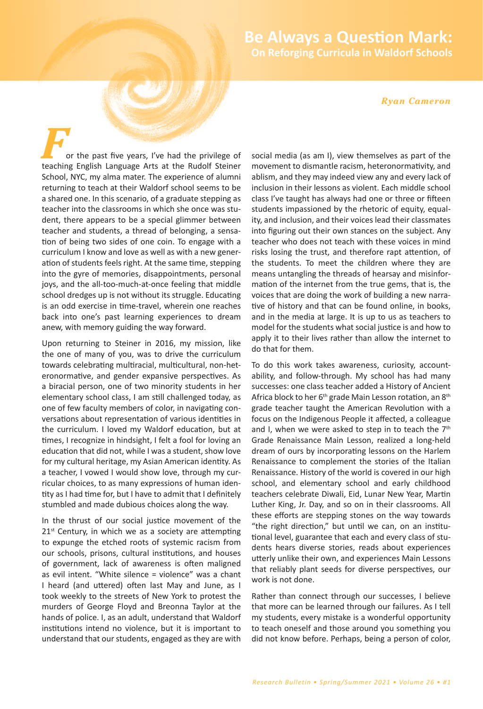# **Be Always a Question Mark: On Reforging Curricula in Waldorf Schools**

#### *Ryan Cameron*

or the past five years, I've had the privilege of teaching English Language Arts at the Rudolf Steiner School, NYC, my alma mater. The experience of alumni returning to teach at their Waldorf school seems to be a shared one. In this scenario, of a graduate stepping as teacher into the classrooms in which she once was student, there appears to be a special glimmer between teacher and students͕ a thread of belonging͕ a sensation of being two sides of one coin. To engage with a curriculum I know and love as well as with a new generation of students feels right. At the same time, stepping into the gyre of memories, disappointments, personal joys, and the all-too-much-at-once feeling that middle school dredges up is not without its struggle. Educating is an odd exercise in time-travel, wherein one reaches back into one's past learning experiences to dream anew, with memory guiding the way forward.

Upon returning to Steiner in 2016, my mission, like the one of many of you͕ was to drive the curriculum towards celebrating multiracial, multicultural, non-heteronormative, and gender expansive perspectives. As a biracial person, one of two minority students in her elementary school class͕ I am still challenged today͕ as one of few faculty members of color, in navigating conversations about representation of various identities in the curriculum. I loved my Waldorf education, but at times, I recognize in hindsight, I felt a fool for loving an education that did not, while I was a student, show love for my cultural heritage, my Asian American identity. As a teacher, I vowed I would show love, through my curricular choices, to as many expressions of human identity as I had time for͕ but I have to admit that I definitely stumbled and made dubious choices along the way.

In the thrust of our social justice movement of the 21<sup>st</sup> Century, in which we as a society are attempting to expunge the etched roots of systemic racism from our schools, prisons, cultural institutions, and houses of government, lack of awareness is often maligned as evil intent. "White silence = violence" was a chant I heard (and uttered) often last May and June, as I took weekly to the streets of New York to protest the murders of George Floyd and Breonna Taylor at the hands of police. I, as an adult, understand that Waldorf institutions intend no violence, but it is important to understand that our students͕ engaged as they are with social media (as am I), view themselves as part of the movement to dismantle racism͕ heteronormativity͕ and ablism, and they may indeed view any and every lack of inclusion in their lessons as violent. Each middle school class I've taught has always had one or three or fifteen students impassioned by the rhetoric of equity, equality, and inclusion, and their voices lead their classmates into figuring out their own stances on the subject. Any teacher who does not teach with these voices in mind risks losing the trust, and therefore rapt attention, of the students. To meet the children where they are means untangling the threads of hearsay and misinformation of the internet from the true gems, that is, the voices that are doing the work of building a new narrative of history and that can be found online, in books, and in the media at large. It is up to us as teachers to model for the students what social justice is and how to apply it to their lives rather than allow the internet to do that for them.

To do this work takes awareness, curiosity, accountability, and follow-through. My school has had many successes: one class teacher added a History of Ancient Africa block to her 6<sup>th</sup> grade Main Lesson rotation, an 8<sup>th</sup> grade teacher taught the American Revolution with a focus on the Indigenous People it affected, a colleague and I, when we were asked to step in to teach the  $7<sup>th</sup>$ Grade Renaissance Main Lesson͕ realized a long-held dream of ours by incorporating lessons on the Harlem Renaissance to complement the stories of the Italian Renaissance. History of the world is covered in our high school, and elementary school and early childhood teachers celebrate Diwali͕ Eid͕ Lunar New Year͕ Martin Luther King, Jr. Day, and so on in their classrooms. All these efforts are stepping stones on the way towards "the right direction," but until we can, on an institutional level͕ guarantee that each and every class of students hears diverse stories, reads about experiences utterly unlike their own, and experiences Main Lessons that reliably plant seeds for diverse perspectives͕ our work is not done.

Rather than connect through our successes, I believe that more can be learned through our failures. As I tell my students͕ every mistake is a wonderful opportunity to teach oneself and those around you something you did not know before. Perhaps, being a person of color,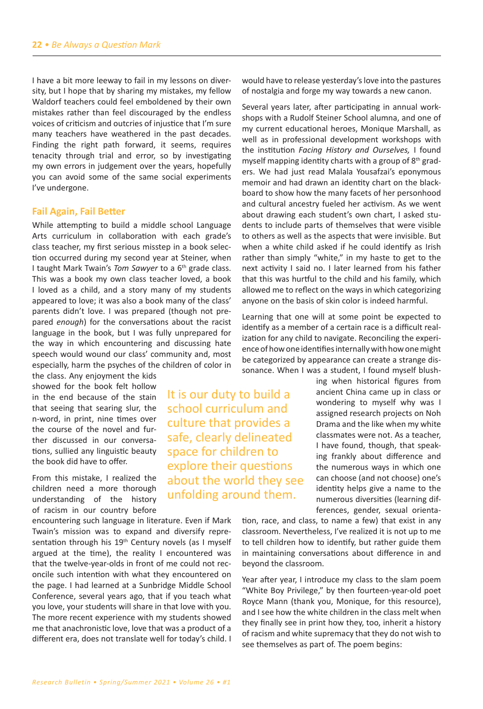I have a bit more leeway to fail in my lessons on diversity, but I hope that by sharing my mistakes, my fellow Waldorf teachers could feel emboldened by their own mistakes rather than feel discouraged by the endless voices of criticism and outcries of injustice that I'm sure many teachers have weathered in the past decades. Finding the right path forward, it seems, requires tenacity through trial and error͕ so by investigating my own errors in judgement over the years, hopefully you can avoid some of the same social experiments I've undergone.

#### **Fail Again, Fail Better**

While attempting to build a middle school Language Arts curriculum in collaboration with each grade's class teacher, my first serious misstep in a book selection occurred during my second year at Steiner, when I taught Mark Twain's *Tom Sawyer* to a 6<sup>th</sup> grade class. This was a book my own class teacher loved͕ a book I loved as a child, and a story many of my students appeared to love; it was also a book many of the class' parents didn't love. I was prepared (though not prepared *enough*Ϳ for the conversations about the racist language in the book, but I was fully unprepared for the way in which encountering and discussing hate speech would wound our class' community and, most especially͕ harm the psyches of the children of color in

the class. Any enioyment the kids showed for the book felt hollow in the end because of the stain that seeing that searing slur͕ the n-word, in print, nine times over the course of the novel and further discussed in our conversations͕ sullied any linguistic beauty the book did have to offer.

From this mistake͕ I realized the children need a more thorough understanding of the history of racism in our country before

encountering such language in literature. Even if Mark Twain's mission was to expand and diversify representation through his 19<sup>th</sup> Century novels (as I myself argued at the time), the reality I encountered was that the twelve-year-olds in front of me could not reconcile such intention with what they encountered on the page͘ I had learned at a Sunbridge Middle School Conference͕ several years ago͕ that if you teach what you love, your students will share in that love with you. The more recent experience with my students showed me that anachronistic love͕ love that was a product of a different era, does not translate well for today's child. I

It is our duty to build a school curriculum and culture that provides a safe, clearly delineated space for children to explore their questions about the world they see unfolding around them.

would have to release yesterday's love into the pastures of nostalgia and forge my way towards a new canon.

Several years later, after participating in annual workshops with a Rudolf Steiner School alumna, and one of my current educational heroes, Monique Marshall, as well as in professional development workshops with the institution *Facing History and Ourselves,* I found myself mapping identity charts with a group of  $8<sup>th</sup>$  graders. We had just read Malala Yousafzai's eponymous memoir and had drawn an identity chart on the blackboard to show how the many facets of her personhood and cultural ancestry fueled her activism. As we went about drawing each student's own chart, I asked students to include parts of themselves that were visible to others as well as the aspects that were invisible. But when a white child asked if he could identify as Irish rather than simply "white," in my haste to get to the next activity I said no. I later learned from his father that this was hurtful to the child and his family, which allowed me to reflect on the ways in which categorizing anyone on the basis of skin color is indeed harmful.

Learning that one will at some point be expected to identify as a member of a certain race is a difficult realization for any child to navigate. Reconciling the experience of how one identifies internally with how one might be categorized by appearance can create a strange dissonance. When I was a student, I found myself blush-

> ing when historical figures from ancient China came up in class or wondering to myself why was I assigned research projects on Noh Drama and the like when my white classmates were not. As a teacher. I have found͕ though͕ that speaking frankly about difference and the numerous ways in which one can choose (and not choose) one's identity helps give a name to the numerous diversities (learning differences, gender, sexual orienta-

tion, race, and class, to name a few) that exist in any classroom. Nevertheless, I've realized it is not up to me to tell children how to identify͕ but rather guide them in maintaining conversations about difference in and beyond the classroom.

Year after year, I introduce my class to the slam poem ͞White Boy Privilege͕͟ by then fourteen-year-old poet Royce Mann (thank you, Monique, for this resource), and I see how the white children in the class melt when they finally see in print how they͕ too͕ inherit a history of racism and white supremacy that they do not wish to see themselves as part of. The poem begins: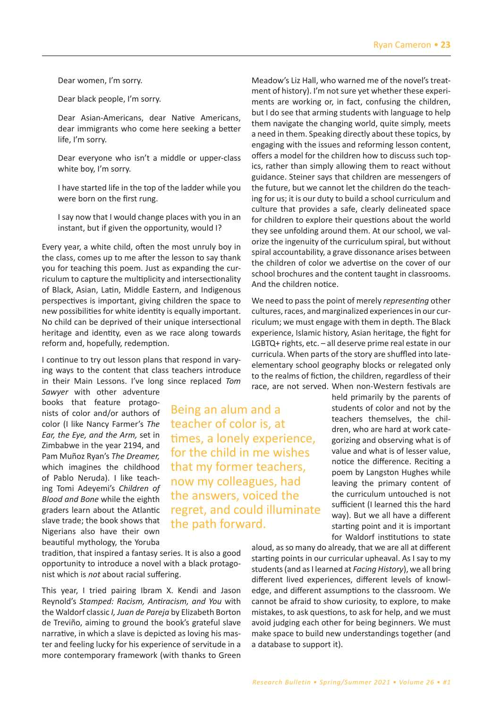Dear women, I'm sorry.

Dear black people, I'm sorry.

Dear Asian-Americans, dear Native Americans, dear immigrants who come here seeking a better life, I'm sorry.

Dear everyone who isn't a middle or upper-class white boy, I'm sorry.

I have started life in the top of the ladder while you were born on the first rung.

I say now that I would change places with you in an instant, but if given the opportunity, would I?

Every year, a white child, often the most unruly boy in the class, comes up to me after the lesson to say thank you for teaching this poem. Just as expanding the curriculum to capture the multiplicity and intersectionality of Black, Asian, Latin, Middle Eastern, and Indigenous perspectives is important, giving children the space to new possibilities for white identity is equally important. No child can be deprived of their unique intersectional heritage and identity, even as we race along towards reform and, hopefully, redemption.

I continue to try out lesson plans that respond in varying ways to the content that class teachers introduce in their Main Lessons. I've long since replaced Tom

> Being an alum and a teacher of color is͕ at

the path forward.

times, a lonely experience, for the child in me wishes that my former teachers, now my colleagues͕ had the answers͕ voiced the

regret͕ and could illuminate

*Sawyer* with other adventure books that feature protagonists of color and/or authors of color (I like Nancy Farmer's The *Ear, the Eye, and the Arm,* set in Zimbabwe in the year 2194, and Pam Muñoz Ryan's The Dreamer, which imagines the childhood of Pablo Neruda). I like teaching Tomi Adeyemi͛s *Children of Blood and Bone* while the eighth graders learn about the Atlantic slave trade; the book shows that Nigerians also have their own beautiful mythology͕ the Yoruba

tradition, that inspired a fantasy series. It is also a good opportunity to introduce a novel with a black protagonist which is *not* about racial suffering.

This year, I tried pairing Ibram X. Kendi and Jason Reynold's *Stamped: Racism, Antiracism, and You* with the Waldorf classic *I, Juan de Pareja* by Elizabeth Borton de Treviño, aiming to ground the book's grateful slave narrative, in which a slave is depicted as loving his master and feeling lucky for his experience of servitude in a more contemporary framework (with thanks to Green Meadow's Liz Hall, who warned me of the novel's treatment of history). I'm not sure yet whether these experiments are working or, in fact, confusing the children, but I do see that arming students with language to help them navigate the changing world, quite simply, meets a need in them. Speaking directly about these topics, by engaging with the issues and reforming lesson content, offers a model for the children how to discuss such topics, rather than simply allowing them to react without guidance. Steiner says that children are messengers of the future, but we cannot let the children do the teaching for us; it is our duty to build a school curriculum and culture that provides a safe, clearly delineated space for children to explore their questions about the world they see unfolding around them. At our school, we valorize the ingenuity of the curriculum spiral, but without spiral accountability, a grave dissonance arises between the children of color we advertise on the cover of our school brochures and the content taught in classrooms. And the children notice.

We need to pass the point of merely *representing* other cultures, races, and marginalized experiences in our curriculum; we must engage with them in depth. The Black experience, Islamic history, Asian heritage, the fight for  $LGBTQ+$  rights, etc.  $-$  all deserve prime real estate in our curricula. When parts of the story are shuffled into lateelementary school geography blocks or relegated only to the realms of fiction, the children, regardless of their race, are not served. When non-Western festivals are

> held primarily by the parents of students of color and not by the teachers themselves͕ the children, who are hard at work categorizing and observing what is of value and what is of lesser value, notice the difference. Reciting a poem by Langston Hughes while leaving the primary content of the curriculum untouched is not sufficient (I learned this the hard way). But we all have a different starting point and it is important for Waldorf institutions to state

aloud, as so many do already, that we are all at different starting points in our curricular upheaval. As I say to my students (and as I learned at *Facing History*), we all bring different lived experiences, different levels of knowledge, and different assumptions to the classroom. We cannot be afraid to show curiosity, to explore, to make mistakes, to ask questions, to ask for help, and we must avoid judging each other for being beginners. We must make space to build new understandings together (and a database to support it).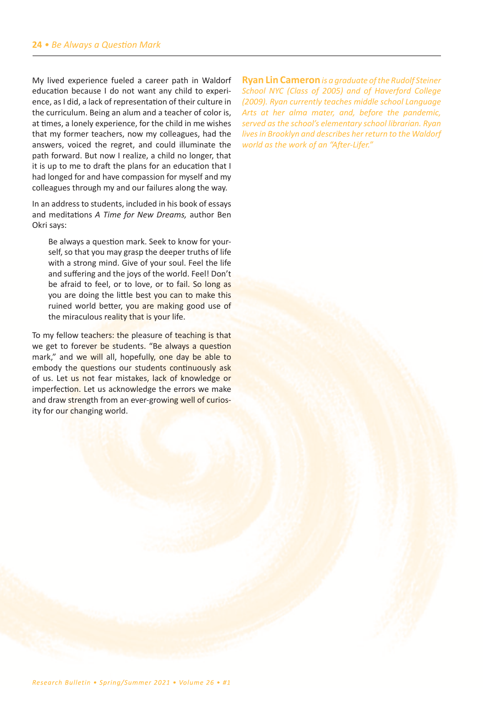My lived experience fueled a career path in Waldorf education because I do not want any child to experience, as I did, a lack of representation of their culture in the curriculum. Being an alum and a teacher of color is, at times, a lonely experience, for the child in me wishes that my former teachers͕ now my colleagues͕ had the answers, voiced the regret, and could illuminate the path forward. But now I realize, a child no longer, that it is up to me to draft the plans for an education that I had longed for and have compassion for myself and my colleagues through my and our failures along the way.

In an address to students͕ included in his book of essays and meditations *A Time for New Dreams,* author Ben Okri says:

Be always a question mark. Seek to know for yourself, so that you may grasp the deeper truths of life with a strong mind. Give of your soul. Feel the life and suffering and the joys of the world. Feel! Don't be afraid to feel, or to love, or to fail. So long as you are doing the little best you can to make this ruined world better, you are making good use of the miraculous reality that is your life.

To my fellow teachers: the pleasure of teaching is that we get to forever be students. "Be always a question mark," and we will all, hopefully, one day be able to embody the questions our students continuously ask of us. Let us not fear mistakes, lack of knowledge or imperfection. Let us acknowledge the errors we make and draw strength from an ever-growing well of curiosity for our changing world.

**Ryan Lin Cameron** *is a graduate of the Rudolf Steiner School NYC (Class of 2005) and of Haverford College (2009). Ryan currently teaches middle school Language Arts at her alma mater, and, before the pandemic, served as the school's elementary school librarian. Ryan lives in Brooklyn and describes her return to the Waldorf world as the work of an "After-Lifer."*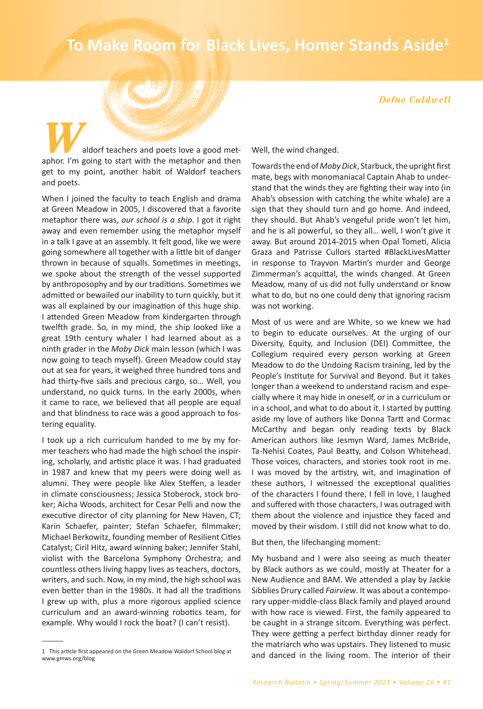# **To Make Room for Black Lives, Homer Stands Aside<sup>1</sup>**

#### *Defne Caldwell*

aldorf teachers and poets love a good metaphor. I'm going to start with the metaphor and then get to my point, another habit of Waldorf teachers and poets.

When I joined the faculty to teach English and drama at Green Meadow in 2005, I discovered that a favorite metaphor there was, our school is a ship. I got it right away and even remember using the metaphor myself in a talk I gave at an assembly. It felt good, like we were going somewhere all together with a little bit of danger thrown in because of squalls. Sometimes in meetings, we spoke about the strength of the vessel supported by anthroposophy and by our traditions. Sometimes we admitted or bewailed our inability to turn quickly, but it was all explained by our imagination of this huge ship. I attended Green Meadow from kindergarten through twelfth grade. So, in my mind, the ship looked like a great 19th century whaler I had learned about as a ninth grader in the *Moby Dick* main lesson (which I was now going to teach myself). Green Meadow could stay out at sea for years͕ it weighed three hundred tons and had thirty-five sails and precious cargo, so... Well, you understand, no quick turns. In the early 2000s, when it came to race, we believed that all people are equal and that blindness to race was a good approach to fostering equality.

I took up a rich curriculum handed to me by my former teachers who had made the high school the inspiring, scholarly, and artistic place it was. I had graduated in 1987 and knew that my peers were doing well as alumni. They were people like Alex Steffen, a leader in climate consciousness; Jessica Stoberock, stock broker; Aicha Woods, architect for Cesar Pelli and now the executive director of city planning for New Haven, CT; Karin Schaefer, painter; Stefan Schaefer, filmmaker; Michael Berkowitz͕ founding member of Resilient Cities Catalyst; Ciril Hitz, award winning baker; Jennifer Stahl, violist with the Barcelona Symphony Orchestra; and countless others living happy lives as teachers͕ doctors͕ writers, and such. Now, in my mind, the high school was even better than in the 1980s. It had all the traditions I grew up with, plus a more rigorous applied science curriculum and an award-winning robotics team͕ for example. Why would I rock the boat? (I can't resist).

Well, the wind changed.

Towards the end of *Moby Dick*͕ Starbuck͕ the upright first mate, begs with monomaniacal Captain Ahab to understand that the winds they are fighting their way into (in Ahab's obsession with catching the white whale) are a sign that they should turn and go home. And indeed, they should. But Ahab's vengeful pride won't let him, and he is all powerful, so they all... well, I won't give it away. But around 2014-2015 when Opal Tometi, Alicia Graza and Patrisse Cullors started #BlackLivesMatter in response to Trayvon Martin's murder and George Zimmerman's acquittal, the winds changed. At Green Meadow͕ many of us did not fully understand or know what to do, but no one could deny that ignoring racism was not working.

Most of us were and are White, so we knew we had to begin to educate ourselves. At the urging of our Diversity, Equity, and Inclusion (DEI) Committee, the Collegium required every person working at Green Meadow to do the Undoing Racism training͕ led by the People's Institute for Survival and Beyond. But it takes longer than a weekend to understand racism and especially where it may hide in oneself͕ or in a curriculum or in a school, and what to do about it. I started by putting aside my love of authors like Donna Tartt and Cormac McCarthy and began only reading texts by Black American authors like Jesmyn Ward, James McBride, Ta-Nehisi Coates, Paul Beatty, and Colson Whitehead. Those voices, characters, and stories took root in me. I was moved by the artistry, wit, and imagination of these authors, I witnessed the exceptional qualities of the characters I found there, I fell in love, I laughed and suffered with those characters, I was outraged with them about the violence and injustice they faced and moved by their wisdom. I still did not know what to do.

But then, the lifechanging moment:

My husband and I were also seeing as much theater by Black authors as we could͕ mostly at Theater for a New Audience and BAM. We attended a play by Jackie Sibblies Drury called *Fairview*. It was about a contemporary upper-middle-class Black family and played around with how race is viewed. First, the family appeared to be caught in a strange sitcom. Everything was perfect. They were getting a perfect birthday dinner ready for the matriarch who was upstairs. They listened to music and danced in the living room. The interior of their

<sup>1</sup> This article first appeared on the Green Meadow Waldorf School blog at www.gmws.org/blog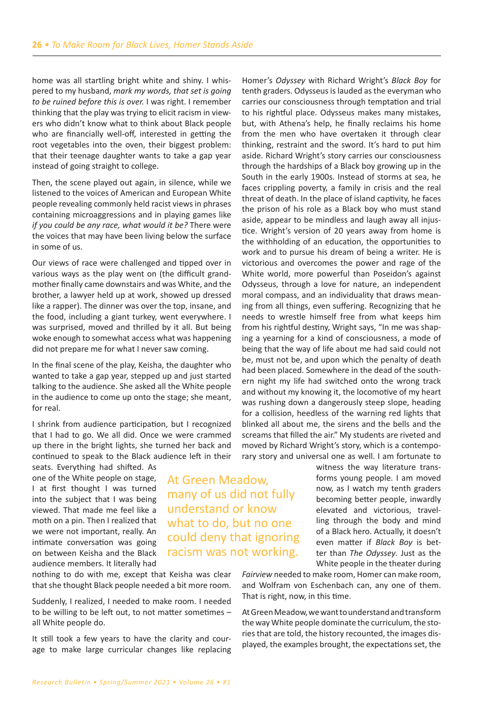home was all startling bright white and shiny. I whispered to my husband͕ *mark my words, that set is going*  to be ruined before this is over. I was right. I remember thinking that the play was trying to elicit racism in viewers who didn't know what to think about Black people who are financially well-off, interested in getting the root vegetables into the oven, their biggest problem: that their teenage daughter wants to take a gap year instead of going straight to college.

Then, the scene played out again, in silence, while we listened to the voices of American and European White people revealing commonly held racist views in phrases containing microaggressions and in playing games like *if you could be any race, what would it be?* There were the voices that may have been living below the surface in some of us.

Our views of race were challenged and tipped over in various ways as the play went on (the difficult grandmother finally came downstairs and was White, and the brother͕ a lawyer held up at work͕ showed up dressed like a rapper). The dinner was over the top, insane, and the food, including a giant turkey, went everywhere. I was surprised, moved and thrilled by it all. But being woke enough to somewhat access what was happening did not prepare me for what I never saw coming.

In the final scene of the play͕ Keisha͕ the daughter who wanted to take a gap year, stepped up and just started talking to the audience. She asked all the White people in the audience to come up onto the stage; she meant, for real.

I shrink from audience participation, but I recognized that I had to go. We all did. Once we were crammed up there in the bright lights͕ she turned her back and continued to speak to the Black audience left in their seats. Everything had shifted. As

one of the White people on stage, I at first thought I was turned into the subject that I was being viewed͘ That made me feel like a moth on a pin. Then I realized that we were not important, really. An intimate conversation was going on between Keisha and the Black audience members. It literally had

nothing to do with me, except that Keisha was clear that she thought Black people needed a bit more room.

Suddenly, I realized, I needed to make room. I needed to be willing to be left out, to not matter sometimes  $$ all White people do.

It still took a few years to have the clarity and courage to make large curricular changes like replacing Homer's *Odyssey* with Richard Wright's *Black Boy* for tenth graders͘ Odysseus is lauded as the everyman who carries our consciousness through temptation and trial to his rightful place. Odysseus makes many mistakes, but, with Athena's help, he finally reclaims his home from the men who have overtaken it through clear thinking, restraint and the sword. It's hard to put him aside. Richard Wright's story carries our consciousness through the hardships of a Black boy growing up in the South in the early 1900s. Instead of storms at sea, he faces crippling poverty, a family in crisis and the real threat of death. In the place of island captivity, he faces the prison of his role as a Black boy who must stand aside, appear to be mindless and laugh away all injustice. Wright's version of 20 years away from home is the withholding of an education͕ the opportunities to work and to pursue his dream of being a writer. He is victorious and overcomes the power and rage of the White world, more powerful than Poseidon's against Odysseus, through a love for nature, an independent moral compass͕ and an individuality that draws meaning from all things, even suffering. Recognizing that he needs to wrestle himself free from what keeps him from his rightful destiny, Wright says, "In me was shaping a yearning for a kind of consciousness, a mode of being that the way of life about me had said could not be, must not be, and upon which the penalty of death had been placed. Somewhere in the dead of the southern night my life had switched onto the wrong track and without my knowing it͕ the locomotive of my heart was rushing down a dangerously steep slope, heading for a collision, heedless of the warning red lights that blinked all about me͕ the sirens and the bells and the screams that filled the air." My students are riveted and moved by Richard Wright's story, which is a contemporary story and universal one as well. I am fortunate to

> witness the way literature transforms young people. I am moved now͕ as I watch my tenth graders becoming better people͕ inwardly elevated and victorious͕ travelling through the body and mind of a Black hero. Actually, it doesn't even matter if *Black Boy* is better than *The Odyssey*. Just as the White people in the theater during

*Fairview* needed to make room͕ Homer can make room͕ and Wolfram von Eschenbach can, any one of them. That is right, now, in this time.

At Green Meadow͕ we want to understand and transform the way White people dominate the curriculum͕ the stories that are told, the history recounted, the images displayed, the examples brought, the expectations set, the

At Green Meadow͕ many of us did not fully understand or know what to do, but no one could deny that ignoring racism was not working.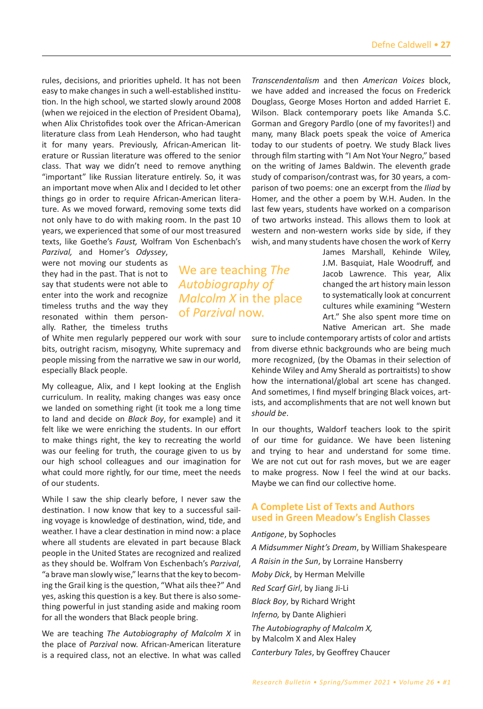rules, decisions, and priorities upheld. It has not been easy to make changes in such a well-established institution. In the high school, we started slowly around 2008 (when we rejoiced in the election of President Obama), when Alix Christofides took over the African-American literature class from Leah Henderson͕ who had taught it for many years. Previously, African-American literature or Russian literature was offered to the senior class. That way we didn't need to remove anything "important" like Russian literature entirely. So, it was an important move when Alix and I decided to let other things go in order to require African-American literature. As we moved forward, removing some texts did not only have to do with making room. In the past 10 years, we experienced that some of our most treasured texts, like Goethe's Faust, Wolfram Von Eschenbach's

*Parzival*, and Homer's *Odyssey*, were not moving our students as they had in the past͘ That is not to say that students were not able to enter into the work and recognize timeless truths and the way they resonated within them personally. Rather, the timeless truths

of White men regularly peppered our work with sour bits, outright racism, misogyny, White supremacy and people missing from the narrative we saw in our world, especially Black people.

My colleague, Alix, and I kept looking at the English curriculum. In reality, making changes was easy once we landed on something right (it took me a long time to land and decide on *Black Boy*, for example) and it felt like we were enriching the students. In our effort to make things right͕ the key to recreating the world was our feeling for truth, the courage given to us by our high school colleagues and our imagination for what could more rightly, for our time, meet the needs of our students.

While I saw the ship clearly before, I never saw the destination. I now know that key to a successful sailing voyage is knowledge of destination, wind, tide, and weather. I have a clear destination in mind now: a place where all students are elevated in part because Black people in the United States are recognized and realized as they should be. Wolfram Von Eschenbach's *Parzival*, "a brave man slowly wise," learns that the key to becoming the Grail king is the question, "What ails thee?" And yes, asking this question is a key. But there is also something powerful in just standing aside and making room for all the wonders that Black people bring.

We are teaching *The Autobiography of Malcolm X* in the place of *Parzival* now. African-American literature is a required class, not an elective. In what was called

*Transcendentalism* and then *American Voices* block͕ we have added and increased the focus on Frederick Douglass, George Moses Horton and added Harriet E. Wilson. Black contemporary poets like Amanda S.C. Gorman and Gregory Pardlo (one of my favorites!) and many͕ many Black poets speak the voice of America today to our students of poetry. We study Black lives through film starting with "I Am Not Your Negro," based on the writing of James Baldwin. The eleventh grade study of comparison/contrast was, for 30 years, a comparison of two poems: one an excerpt from the *Iliad* by Homer, and the other a poem by W.H. Auden. In the last few years, students have worked on a comparison of two artworks instead. This allows them to look at western and non-western works side by side, if they wish, and many students have chosen the work of Kerry

> James Marshall, Kehinde Wiley, J.M. Basquiat, Hale Woodruff, and Jacob Lawrence. This year, Alix changed the art history main lesson to systematically look at concurrent cultures while examining "Western Art." She also spent more time on Native American art. She made

sure to include contemporary artists of color and artists from diverse ethnic backgrounds who are being much more recognized, (by the Obamas in their selection of Kehinde Wiley and Amy Sherald as portraitists) to show how the international/global art scene has changed. And sometimes, I find myself bringing Black voices, artists, and accomplishments that are not well known but *should be*.

In our thoughts͕ Waldorf teachers look to the spirit of our time for guidance. We have been listening and trying to hear and understand for some time. We are not cut out for rash moves, but we are eager to make progress. Now I feel the wind at our backs. Maybe we can find our collective home.

# **A Complete List of Texts and Authors used in Green Meadow's English Classes**

#### *Antigone*͕ by Sophocles

*A Midsummer Night's Dream*͕ by William Shakespeare *A Raisin in the Sun*͕ by Lorraine Hansberry *Moby Dick*͕ by Herman Melville *Red Scarf Girl*, by Jiang Ji-Li *Black Boy*͕ by Richard Wright *Inferno,* by Dante Alighieri *The Autobiography of Malcolm X,*  by Malcolm X and Alex Haley *Canterbury Tales*, by Geoffrey Chaucer

We are teaching *The Autobiography of Malcolm X* in the place of *Parzival* now.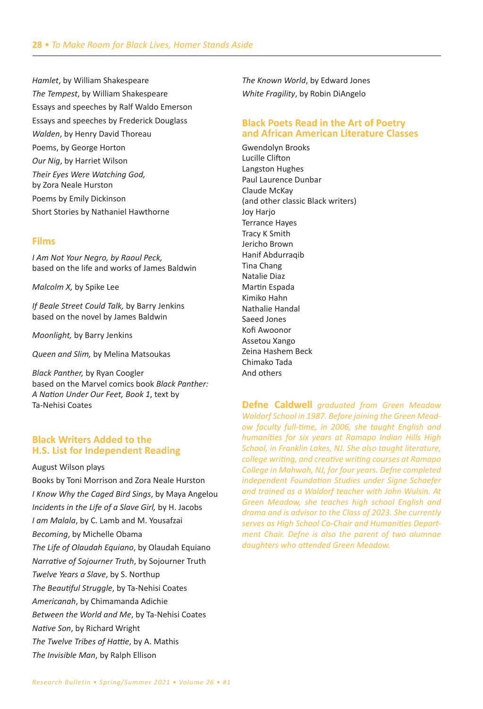Hamlet, by William Shakespeare The Tempest, by William Shakespeare Essays and speeches by Ralf Waldo Emerson Essays and speeches by Frederick Douglass Walden, by Henry David Thoreau Poems, by George Horton Our Nig, by Harriet Wilson Their Eyes Were Watching God, by Zora Neale Hurston Poems by Emily Dickinson Short Stories by Nathaniel Hawthorne

# **Films**

I Am Not Your Nearo, by Raoul Peck. based on the life and works of James Baldwin

Malcolm X, by Spike Lee

If Beale Street Could Talk, by Barry Jenkins based on the novel by James Baldwin

Moonlight, by Barry Jenkins

Queen and Slim, by Melina Matsoukas

Black Panther, by Ryan Coogler based on the Marvel comics book Black Panther: A Nation Under Our Feet, Book 1, text by Ta-Nehisi Coates

# **Black Writers Added to the H.S. List for Independent Reading**

August Wilson plays Books by Toni Morrison and Zora Neale Hurston I Know Why the Caged Bird Sings, by Maya Angelou Incidents in the Life of a Slave Girl, by H. Jacobs I am Malala, by C. Lamb and M. Yousafzai Becoming, by Michelle Obama The Life of Olaudah Equiano, by Olaudah Equiano Narrative of Sojourner Truth, by Sojourner Truth Twelve Years a Slave, by S. Northup The Beautiful Struggle, by Ta-Nehisi Coates Americanah, by Chimamanda Adichie Between the World and Me, by Ta-Nehisi Coates Native Son, by Richard Wright The Twelve Tribes of Hattie, by A. Mathis The Invisible Man, by Ralph Ellison

The Known World, by Edward Jones White Fragility, by Robin DiAngelo

# **Black Poets Read in the Art of Poetry** and African American Literature Classes

**Gwendolvn Brooks** Lucille Clifton Langston Hughes Paul Laurence Dunbar Claude McKay (and other classic Black writers) Joy Harjo **Terrance Hayes** Tracy K Smith Jericho Brown Hanif Abdurragib Tina Chang Natalie Diaz Martin Espada Kimiko Hahn Nathalie Handal Saeed Jones Kofi Awoonor Assetou Xango Zeina Hashem Beck Chimako Tada And others

**Defne Caldwell** graduated from Green Meadow Waldorf School in 1987. Before joining the Green Meadow faculty full-time, in 2006, she taught English and humanities for six years at Ramapo Indian Hills High School, in Franklin Lakes, NJ. She also taught literature, college writing, and creative writing courses at Ramapo College in Mahwah, NJ, for four years. Defne completed independent Foundation Studies under Signe Schaefer and trained as a Waldorf teacher with John Wulsin. At Green Meadow, she teaches high school English and drama and is advisor to the Class of 2023. She currently serves as High School Co-Chair and Humanities Department Chair. Defne is also the parent of two alumnae daughters who attended Green Meadow.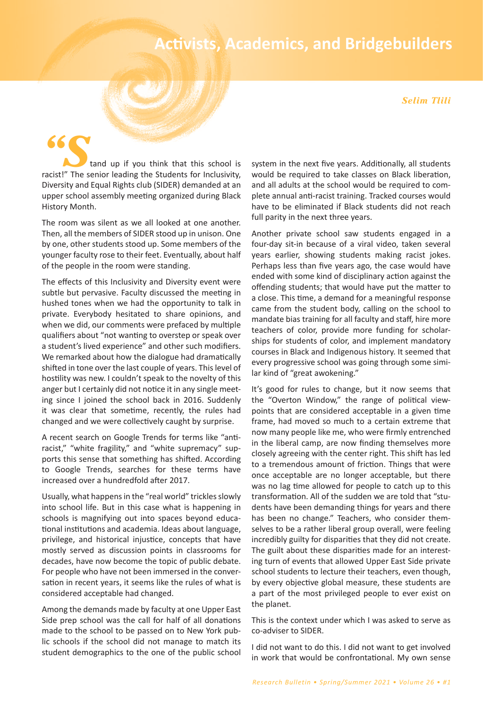# **Activists, Academics, and Bridgebuilders**

#### *Selim Tlili*

for the school is that the school is that the school is that the school is that the school is that the school is that the school is that the school is that the school is that the school is that the school is that the schoo racist!" The senior leading the Students for Inclusivity, Diversity and Equal Rights club (SIDER) demanded at an upper school assembly meeting organized during Black History Month.

The room was silent as we all looked at one another. Then, all the members of SIDER stood up in unison. One by one, other students stood up. Some members of the younger faculty rose to their feet. Eventually, about half of the people in the room were standing.

The effects of this Inclusivity and Diversity event were subtle but pervasive. Faculty discussed the meeting in hushed tones when we had the opportunity to talk in private. Everybody hesitated to share opinions, and when we did, our comments were prefaced by multiple qualifiers about "not wanting to overstep or speak over a student's lived experience" and other such modifiers. We remarked about how the dialogue had dramatically shifted in tone over the last couple of years. This level of hostility was new. I couldn't speak to the novelty of this anger but I certainly did not notice it in any single meeting since I joined the school back in 2016. Suddenly it was clear that sometime͕ recently͕ the rules had changed and we were collectively caught by surprise.

A recent search on Google Trends for terms like "antiracist," "white fragility," and "white supremacy" supports this sense that something has shifted. According to Google Trends͕ searches for these terms have increased over a hundredfold after 2017.

Usually, what happens in the "real world" trickles slowly into school life. But in this case what is happening in schools is magnifying out into spaces beyond educational institutions and academia. Ideas about language, privilege, and historical injustice, concepts that have mostly served as discussion points in classrooms for decades, have now become the topic of public debate. For people who have not been immersed in the conversation in recent years, it seems like the rules of what is considered acceptable had changed.

Among the demands made by faculty at one Upper East Side prep school was the call for half of all donations made to the school to be passed on to New York public schools if the school did not manage to match its student demographics to the one of the public school system in the next five years. Additionally, all students would be required to take classes on Black liberation, and all adults at the school would be required to complete annual anti-racist training. Tracked courses would have to be eliminated if Black students did not reach full parity in the next three years.

Another private school saw students engaged in a four-day sit-in because of a viral video, taken several years earlier, showing students making racist jokes. Perhaps less than five years ago, the case would have ended with some kind of disciplinary action against the offending students; that would have put the matter to a close. This time, a demand for a meaningful response came from the student body͕ calling on the school to mandate bias training for all faculty and staff, hire more teachers of color, provide more funding for scholarships for students of color, and implement mandatory courses in Black and Indigenous history. It seemed that every progressive school was going through some similar kind of "great awokening."

It's good for rules to change, but it now seems that the "Overton Window," the range of political viewpoints that are considered acceptable in a given time frame, had moved so much to a certain extreme that now many people like me, who were firmly entrenched in the liberal camp, are now finding themselves more closely agreeing with the center right. This shift has led to a tremendous amount of friction. Things that were once acceptable are no longer acceptable, but there was no lag time allowed for people to catch up to this transformation. All of the sudden we are told that "students have been demanding things for years and there has been no change." Teachers, who consider themselves to be a rather liberal group overall, were feeling incredibly guilty for disparities that they did not create. The guilt about these disparities made for an interesting turn of events that allowed Upper East Side private school students to lecture their teachers, even though, by every objective global measure, these students are a part of the most privileged people to ever exist on the planet.

This is the context under which I was asked to serve as co-adviser to SIDER.

I did not want to do this. I did not want to get involved in work that would be confrontational. My own sense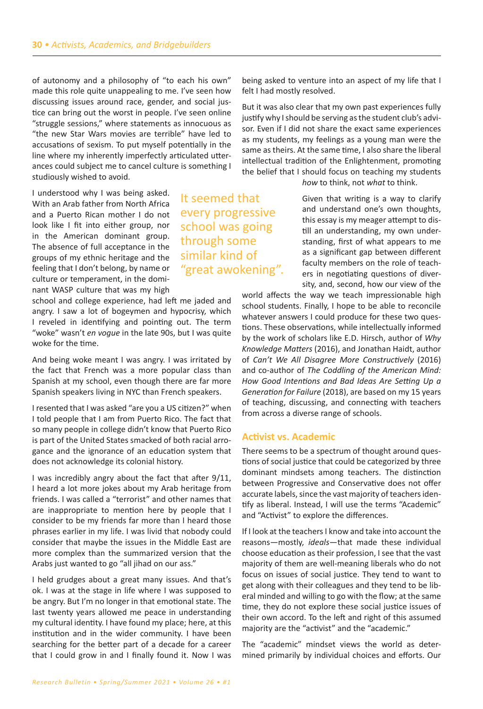of autonomy and a philosophy of "to each his own" made this role quite unappealing to me. I've seen how discussing issues around race, gender, and social justice can bring out the worst in people. I've seen online ͞struggle sessions͕͟ where statements as innocuous as "the new Star Wars movies are terrible" have led to accusations of sexism. To put myself potentially in the line where my inherently imperfectly articulated utterances could subject me to cancel culture is something I studiously wished to avoid.

I understood why I was being asked. With an Arab father from North Africa and a Puerto Rican mother I do not look like I fit into either group, nor in the American dominant group. The absence of full acceptance in the groups of my ethnic heritage and the feeling that I don't belong, by name or culture or temperament, in the dominant WASP culture that was my high

school and college experience, had left me jaded and angry. I saw a lot of bogeymen and hypocrisy, which I reveled in identifying and pointing out. The term "woke" wasn't *en voque* in the late 90s, but I was quite woke for the time.

And being woke meant I was angry. I was irritated by the fact that French was a more popular class than Spanish at my school, even though there are far more Spanish speakers living in NYC than French speakers.

I resented that I was asked "are you a US citizen?" when I told people that I am from Puerto Rico. The fact that so many people in college didn't know that Puerto Rico is part of the United States smacked of both racial arrogance and the ignorance of an education system that does not acknowledge its colonial history.

I was incredibly angry about the fact that after 9/11, I heard a lot more jokes about my Arab heritage from friends. I was called a "terrorist" and other names that are inappropriate to mention here by people that I consider to be my friends far more than I heard those phrases earlier in my life. I was livid that nobody could consider that maybe the issues in the Middle East are more complex than the summarized version that the Arabs just wanted to go "all jihad on our ass."

I held grudges about a great many issues. And that's ok. I was at the stage in life where I was supposed to be angry. But I'm no longer in that emotional state. The last twenty years allowed me peace in understanding my cultural identity. I have found my place; here, at this institution and in the wider community. I have been searching for the better part of a decade for a career that I could grow in and I finally found it. Now I was being asked to venture into an aspect of my life that I felt I had mostly resolved.

But it was also clear that my own past experiences fully justify why I should be serving as the student club's advisor. Even if I did not share the exact same experiences as my students, my feelings as a young man were the same as theirs. At the same time, I also share the liberal intellectual tradition of the Enlightenment, promoting the belief that I should focus on teaching my students

*how to think*, not *what* to think.

Given that writing is a way to clarify and understand one's own thoughts, this essay is my meager attempt to distill an understanding, my own understanding͕ first of what appears to me as a significant gap between different faculty members on the role of teachers in negotiating questions of diversity, and, second, how our view of the

world affects the way we teach impressionable high school students. Finally, I hope to be able to reconcile whatever answers I could produce for these two questions͘ These observations͕ while intellectually informed by the work of scholars like E.D. Hirsch, author of *Why Knowledge Matters (2016), and Jonathan Haidt, author* of *Can't We All Disagree More Constructively* (2016) and co-author of *The Coddling of the American Mind: How Good Intentions and Bad Ideas Are Setting Up a Generation for Failure* (2018), are based on my 15 years of teaching, discussing, and connecting with teachers from across a diverse range of schools.

#### **Activist vs. Academic**

There seems to be a spectrum of thought around questions of social justice that could be categorized by three dominant mindsets among teachers. The distinction between Progressive and Conservative does not offer accurate labels, since the vast majority of teachers identify as liberal. Instead, I will use the terms "Academic" and "Activist" to explore the differences.

If I look at the teachers I know and take into account the reasons-mostly, ideals-that made these individual choose education as their profession͕ I see that the vast majority of them are well-meaning liberals who do not focus on issues of social justice. They tend to want to get along with their colleagues and they tend to be liberal minded and willing to go with the flow; at the same time, they do not explore these social justice issues of their own accord. To the left and right of this assumed majority are the "activist" and the "academic."

The "academic" mindset views the world as determined primarily by individual choices and efforts. Our

It seemed that every progressive school was going through some similar kind of "great awokening".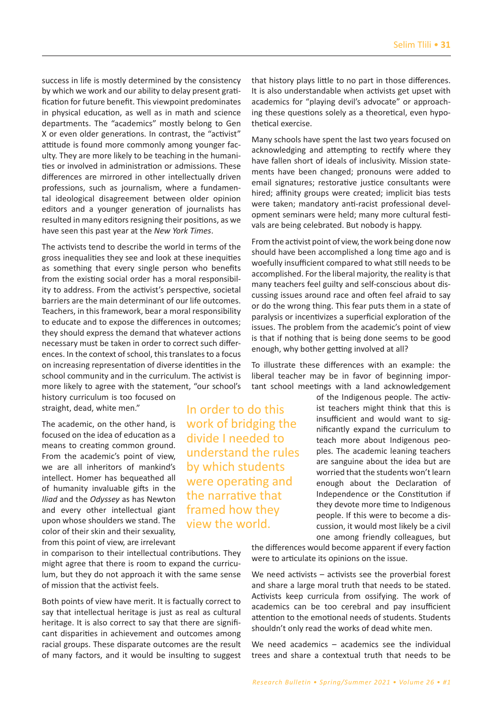success in life is mostly determined by the consistency by which we work and our ability to delay present gratification for future benefit. This viewpoint predominates in physical education, as well as in math and science departments. The "academics" mostly belong to Gen X or even older generations. In contrast, the "activist" attitude is found more commonly among younger faculty. They are more likely to be teaching in the humanities or involved in administration or admissions. These differences are mirrored in other intellectually driven professions, such as journalism, where a fundamental ideological disagreement between older opinion editors and a younger generation of journalists has resulted in many editors resigning their positions, as we have seen this past year at the *New York Times*.

The activists tend to describe the world in terms of the gross ineƋualities they see and look at these ineƋuities as something that every single person who benefits from the existing social order has a moral responsibility to address. From the activist's perspective, societal barriers are the main determinant of our life outcomes. Teachers͕ in this framework͕ bear a moral responsibility to educate and to expose the differences in outcomes; they should express the demand that whatever actions necessary must be taken in order to correct such differences. In the context of school, this translates to a focus on increasing representation of diverse identities in the school community and in the curriculum. The activist is more likely to agree with the statement, "our school's history curriculum is too focused on

> In order to do this work of bridging the divide I needed to understand the rules by which students were operating and the narrative that framed how they view the world.

straight, dead, white men."

The academic, on the other hand, is focused on the idea of education as a means to creating common ground. From the academic's point of view, we are all inheritors of mankind's intellect. Homer has bequeathed all of humanity invaluable gifts in the *Iliad* and the *Odyssey* as has Newton and every other intellectual giant upon whose shoulders we stand. The color of their skin and their sexuality, from this point of view͕ are irrelevant

in comparison to their intellectual contributions. They might agree that there is room to expand the curriculum, but they do not approach it with the same sense of mission that the activist feels.

Both points of view have merit. It is factually correct to say that intellectual heritage is just as real as cultural heritage. It is also correct to say that there are significant disparities in achievement and outcomes among racial groups. These disparate outcomes are the result of many factors͕ and it would be insulting to suggest that history plays little to no part in those differences. It is also understandable when activists get upset with academics for "playing devil's advocate" or approaching these questions solely as a theoretical, even hypothetical exercise.

Many schools have spent the last two years focused on acknowledging and attempting to rectify where they have fallen short of ideals of inclusivity. Mission statements have been changed; pronouns were added to email signatures; restorative justice consultants were hired; affinity groups were created; implicit bias tests were taken; mandatory anti-racist professional development seminars were held; many more cultural festivals are being celebrated. But nobody is happy.

From the activist point of view͕ the work being done now should have been accomplished a long time ago and is woefully insufficient compared to what still needs to be accomplished. For the liberal majority, the reality is that many teachers feel guilty and self-conscious about discussing issues around race and often feel afraid to say or do the wrong thing. This fear puts them in a state of paralysis or incentivizes a superficial exploration of the issues. The problem from the academic's point of view is that if nothing that is being done seems to be good enough, why bother getting involved at all?

To illustrate these differences with an example: the liberal teacher may be in favor of beginning important school meetings with a land acknowledgement

> of the Indigenous people. The activist teachers might think that this is insufficient and would want to significantly expand the curriculum to teach more about Indigenous peoples. The academic leaning teachers are sanguine about the idea but are worried that the students won't learn enough about the Declaration of Independence or the Constitution if they devote more time to Indigenous people. If this were to become a discussion͕ it would most likely be a civil one among friendly colleagues, but

the differences would become apparent if every faction were to articulate its opinions on the issue.

We need activists  $-$  activists see the proverbial forest and share a large moral truth that needs to be stated. Activists keep curricula from ossifying. The work of academics can be too cerebral and pay insufficient attention to the emotional needs of students. Students shouldn't only read the works of dead white men.

We need academics  $-$  academics see the individual trees and share a contextual truth that needs to be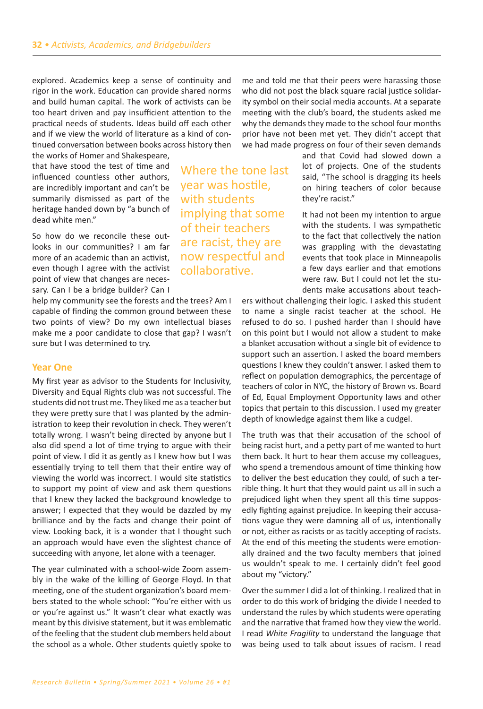explored. Academics keep a sense of continuity and rigor in the work. Education can provide shared norms and build human capital. The work of activists can be too heart driven and pay insufficient attention to the practical needs of students. Ideas build off each other and if we view the world of literature as a kind of continued conversation between books across history then

the works of Homer and Shakespeare, that have stood the test of time and influenced countless other authors. are incredibly important and can't be summarily dismissed as part of the heritage handed down by "a bunch of dead white men."

So how do we reconcile these outlooks in our communities? I am far more of an academic than an activist. even though I agree with the activist point of view that changes are necessary. Can I be a bridge builder? Can I

help my community see the forests and the trees? Am I capable of finding the common ground between these two points of view? Do my own intellectual biases make me a poor candidate to close that gap? I wasn't sure but I was determined to try.

## **Year One**

My first year as advisor to the Students for Inclusivity, Diversity and Equal Rights club was not successful. The students did not trust me. They liked me as a teacher but they were pretty sure that I was planted by the administration to keep their revolution in check. They weren't totally wrong. I wasn't being directed by anyone but I also did spend a lot of time trying to argue with their point of view. I did it as gently as I knew how but I was essentially trying to tell them that their entire way of viewing the world was incorrect. I would site statistics to support my point of view and ask them questions that I knew they lacked the background knowledge to answer; I expected that they would be dazzled by my brilliance and by the facts and change their point of view. Looking back, it is a wonder that I thought such an approach would have even the slightest chance of succeeding with anyone, let alone with a teenager.

The year culminated with a school-wide Zoom assembly in the wake of the killing of George Floyd. In that meeting, one of the student organization's board members stated to the whole school: "You're either with us or you're against us." It wasn't clear what exactly was meant by this divisive statement, but it was emblematic of the feeling that the student club members held about the school as a whole. Other students quietly spoke to me and told me that their peers were harassing those who did not post the black square racial justice solidarity symbol on their social media accounts. At a separate meeting with the club's board, the students asked me why the demands they made to the school four months prior have not been met yet. They didn't accept that we had made progress on four of their seven demands

Where the tone last year was hostile, with students implying that some of their teachers are racist, they are now respectful and collaborative.

and that Covid had slowed down a lot of projects. One of the students said, "The school is dragging its heels on hiring teachers of color because they're racist."

It had not been my intention to argue with the students. I was sympathetic to the fact that collectively the nation was grappling with the devastating events that took place in Minneapolis a few days earlier and that emotions were raw. But I could not let the students make accusations about teach-

ers without challenging their logic. I asked this student to name a single racist teacher at the school. He refused to do so. I pushed harder than I should have on this point but I would not allow a student to make a blanket accusation without a single bit of evidence to support such an assertion. I asked the board members questions I knew they couldn't answer. I asked them to reflect on population demographics, the percentage of teachers of color in NYC, the history of Brown vs. Board of Ed, Equal Employment Opportunity laws and other topics that pertain to this discussion. I used my greater depth of knowledge against them like a cudgel.

The truth was that their accusation of the school of being racist hurt, and a petty part of me wanted to hurt them back. It hurt to hear them accuse my colleagues, who spend a tremendous amount of time thinking how to deliver the best education they could͕ of such a terrible thing. It hurt that they would paint us all in such a prejudiced light when they spent all this time supposedly fighting against prejudice. In keeping their accusations vague they were damning all of us, intentionally or not, either as racists or as tacitly accepting of racists. At the end of this meeting the students were emotionally drained and the two faculty members that joined us wouldn't speak to me. I certainly didn't feel good about my "victory."

Over the summer I did a lot of thinking. I realized that in order to do this work of bridging the divide I needed to understand the rules by which students were operating and the narrative that framed how they view the world. I read *White Fragility* to understand the language that was being used to talk about issues of racism. I read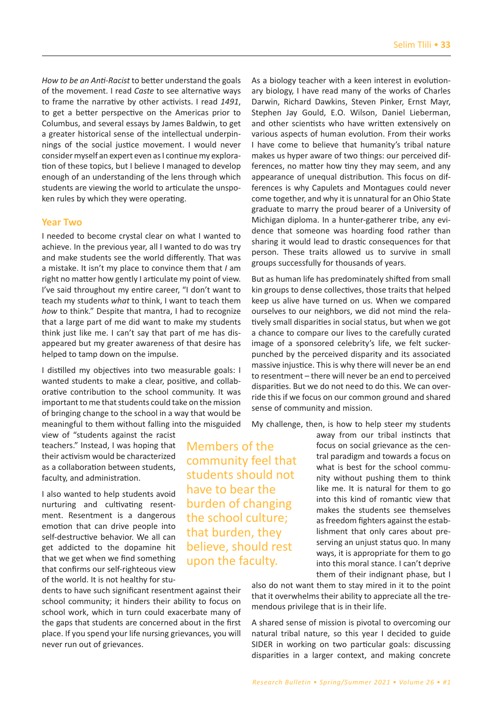*How to be an Anti-Racist* to better understand the goals of the movement. I read *Caste* to see alternative ways to frame the narrative by other activists. I read 1491, to get a better perspective on the Americas prior to Columbus, and several essays by James Baldwin, to get a greater historical sense of the intellectual underpinnings of the social justice movement. I would never consider myself an expert even as I continue my exploration of these topics, but I believe I managed to develop enough of an understanding of the lens through which students are viewing the world to articulate the unspoken rules by which they were operating.

#### **Year Two**

I needed to become crystal clear on what I wanted to achieve. In the previous year, all I wanted to do was try and make students see the world differently. That was a mistake. It isn't my place to convince them that *I* am right no matter how gently I articulate my point of view. I've said throughout my entire career, "I don't want to teach my students *what* to think͕ I want to teach them *how* to think." Despite that mantra, I had to recognize that a large part of me did want to make my students think just like me. I can't say that part of me has disappeared but my greater awareness of that desire has helped to tamp down on the impulse.

I distilled my objectives into two measurable goals: I wanted students to make a clear, positive, and collaborative contribution to the school community. It was important to me that students could take on the mission of bringing change to the school in a way that would be meaningful to them without falling into the misguided

view of "students against the racist teachers." Instead, I was hoping that their activism would be characterized as a collaboration between students, faculty, and administration.

I also wanted to help students avoid nurturing and cultivating resentment. Resentment is a dangerous emotion that can drive people into self-destructive behavior. We all can get addicted to the dopamine hit that we get when we find something that confirms our self-righteous view of the world. It is not healthy for stu-

dents to have such significant resentment against their school community; it hinders their ability to focus on school work, which in turn could exacerbate many of the gaps that students are concerned about in the first place. If you spend your life nursing grievances, you will never run out of grievances.

Members of the community feel that students should not have to bear the burden of changing the school culture; that burden͕ they believe͕ should rest upon the faculty.

As a biology teacher with a keen interest in evolutionary biology͕ I have read many of the works of Charles Darwin, Richard Dawkins, Steven Pinker, Ernst Mayr, Stephen Jay Gould, E.O. Wilson, Daniel Lieberman, and other scientists who have written extensively on various aspects of human evolution. From their works I have come to believe that humanity's tribal nature makes us hyper aware of two things: our perceived differences, no matter how tiny they may seem, and any appearance of unequal distribution. This focus on differences is why Capulets and Montagues could never come together͕ and why it is unnatural for an Ohio State graduate to marry the proud bearer of a University of Michigan diploma. In a hunter-gatherer tribe, any evidence that someone was hoarding food rather than sharing it would lead to drastic consequences for that person. These traits allowed us to survive in small groups successfully for thousands of years.

But as human life has predominately shifted from small kin groups to dense collectives, those traits that helped keep us alive have turned on us. When we compared ourselves to our neighbors͕ we did not mind the relatively small disparities in social status͕ but when we got a chance to compare our lives to the carefully curated image of a sponsored celebrity's life, we felt suckerpunched by the perceived disparity and its associated massive injustice. This is why there will never be an end to resentment – there will never be an end to perceived disparities. But we do not need to do this. We can override this if we focus on our common ground and shared sense of community and mission.

My challenge, then, is how to help steer my students

away from our tribal instincts that focus on social grievance as the central paradigm and towards a focus on what is best for the school community without pushing them to think like me. It is natural for them to go into this kind of romantic view that makes the students see themselves as freedom fighters against the establishment that only cares about preserving an unjust status quo. In many ways͕ it is appropriate for them to go into this moral stance. I can't deprive them of their indignant phase, but I

also do not want them to stay mired in it to the point that it overwhelms their ability to appreciate all the tremendous privilege that is in their life.

A shared sense of mission is pivotal to overcoming our natural tribal nature, so this year I decided to guide SIDER in working on two particular goals: discussing disparities in a larger context, and making concrete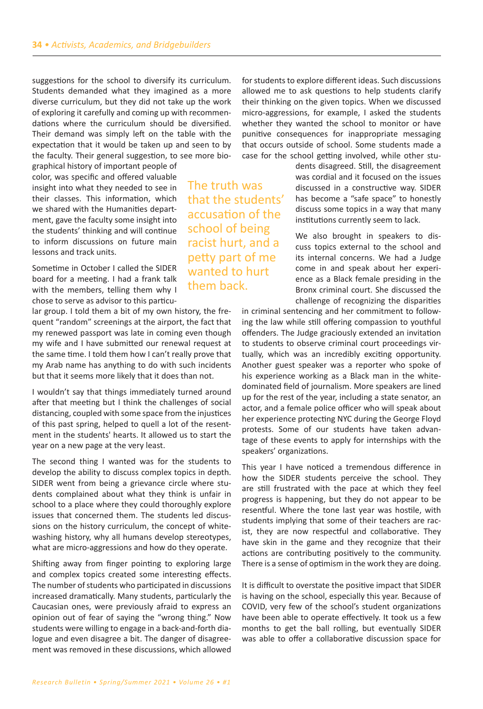suggestions for the school to diversify its curriculum. Students demanded what they imagined as a more diverse curriculum͕ but they did not take up the work of exploring it carefully and coming up with recommendations where the curriculum should be diversified. Their demand was simply left on the table with the expectation that it would be taken up and seen to by the faculty͘ Their general suggestion͕ to see more bio-

graphical history of important people of color, was specific and offered valuable insight into what they needed to see in their classes. This information, which we shared with the Humanities department, gave the faculty some insight into the students' thinking and will continue to inform discussions on future main lessons and track units.

Sometime in October I called the SIDER board for a meeting. I had a frank talk with the members, telling them why I chose to serve as advisor to this particu-

lar group. I told them a bit of my own history, the frequent "random" screenings at the airport, the fact that my renewed passport was late in coming even though my wife and I have submitted our renewal request at the same time. I told them how I can't really prove that my Arab name has anything to do with such incidents but that it seems more likely that it does than not.

I wouldn't say that things immediately turned around after that meeting but I think the challenges of social distancing, coupled with some space from the injustices of this past spring, helped to quell a lot of the resentment in the students' hearts. It allowed us to start the year on a new page at the very least.

The second thing I wanted was for the students to develop the ability to discuss complex topics in depth. SIDER went from being a grievance circle where students complained about what they think is unfair in school to a place where they could thoroughly explore issues that concerned them. The students led discussions on the history curriculum, the concept of whitewashing history, why all humans develop stereotypes, what are micro-aggressions and how do they operate.

Shifting away from finger pointing to exploring large and complex topics created some interesting effects. The number of students who participated in discussions increased dramatically. Many students, particularly the Caucasian ones, were previously afraid to express an opinion out of fear of saying the "wrong thing." Now students were willing to engage in a back-and-forth dialogue and even disagree a bit. The danger of disagreement was removed in these discussions͕ which allowed for students to explore different ideas. Such discussions allowed me to ask questions to help students clarify their thinking on the given topics. When we discussed micro-aggressions, for example, I asked the students whether they wanted the school to monitor or have punitive consequences for inappropriate messaging that occurs outside of school. Some students made a case for the school getting involved, while other stu-

> dents disagreed. Still, the disagreement was cordial and it focused on the issues discussed in a constructive way. SIDER has become a "safe space" to honestly discuss some topics in a way that many institutions currently seem to lack.

We also brought in speakers to discuss topics external to the school and its internal concerns. We had a Judge come in and speak about her experience as a Black female presiding in the Bronx criminal court. She discussed the challenge of recognizing the disparities

in criminal sentencing and her commitment to following the law while still offering compassion to youthful offenders. The Judge graciously extended an invitation to students to observe criminal court proceedings virtually, which was an incredibly exciting opportunity. Another guest speaker was a reporter who spoke of his experience working as a Black man in the whitedominated field of journalism. More speakers are lined up for the rest of the year͕ including a state senator͕ an actor, and a female police officer who will speak about her experience protecting NYC during the George Floyd protests. Some of our students have taken advantage of these events to apply for internships with the speakers' organizations.

This year I have noticed a tremendous difference in how the SIDER students perceive the school. They are still frustrated with the pace at which they feel progress is happening͕ but they do not appear to be resentful. Where the tone last year was hostile, with students implying that some of their teachers are racist, they are now respectful and collaborative. They have skin in the game and they recognize that their actions are contributing positively to the community. There is a sense of optimism in the work they are doing.

It is difficult to overstate the positive impact that SIDER is having on the school, especially this year. Because of COVID, very few of the school's student organizations have been able to operate effectively. It took us a few months to get the ball rolling͕ but eventually SIDER was able to offer a collaborative discussion space for

The truth was that the students' accusation of the school of being racist hurt, and a petty part of me wanted to hurt them back.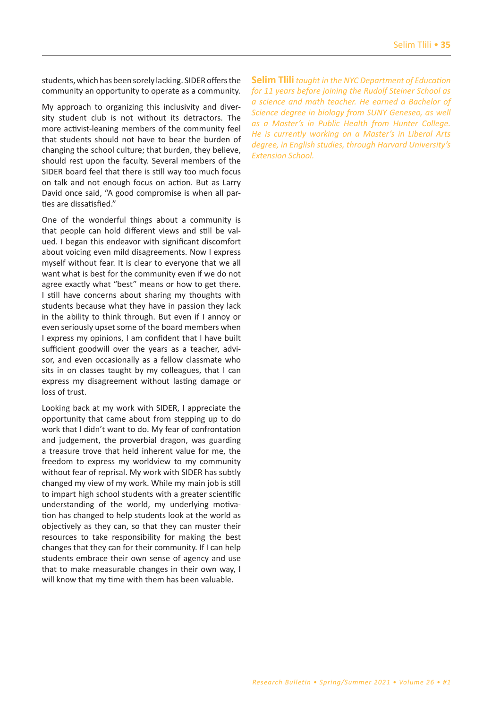students, which has been sorely lacking. SIDER offers the community an opportunity to operate as a community.

My approach to organizing this inclusivity and diversity student club is not without its detractors. The more activist-leaning members of the community feel that students should not have to bear the burden of changing the school culture; that burden, they believe, should rest upon the faculty. Several members of the SIDER board feel that there is still way too much focus on talk and not enough focus on action. But as Larry David once said, "A good compromise is when all parties are dissatisfied."

One of the wonderful things about a community is that people can hold different views and still be valued. I began this endeavor with significant discomfort about voicing even mild disagreements. Now I express myself without fear. It is clear to everyone that we all want what is best for the community even if we do not agree exactly what "best" means or how to get there. I still have concerns about sharing my thoughts with students because what they have in passion they lack in the ability to think through. But even if I annoy or even seriously upset some of the board members when I express my opinions, I am confident that I have built sufficient goodwill over the years as a teacher, advisor, and even occasionally as a fellow classmate who sits in on classes taught by my colleagues, that I can express my disagreement without lasting damage or loss of trust.

Looking back at my work with SIDER͕ I appreciate the opportunity that came about from stepping up to do work that I didn't want to do. My fear of confrontation and judgement, the proverbial dragon, was guarding a treasure trove that held inherent value for me, the freedom to express my worldview to my community without fear of reprisal. My work with SIDER has subtly changed my view of my work. While my main job is still to impart high school students with a greater scientific understanding of the world, my underlying motivation has changed to help students look at the world as objectively as they can, so that they can muster their resources to take responsibility for making the best changes that they can for their community. If I can help students embrace their own sense of agency and use that to make measurable changes in their own way͕ I will know that my time with them has been valuable.

**Selim Tlili** *taught in the NYC Department of Education for 11 years before joining the Rudolf Steiner School as a science and math teacher. He earned a Bachelor of Science degree in biology from SUNY Geneseo, as well as a Master's in Public Health from Hunter College. He is currently working on a Master's in Liberal Arts degree, in English studies, through Harvard University's Extension School.*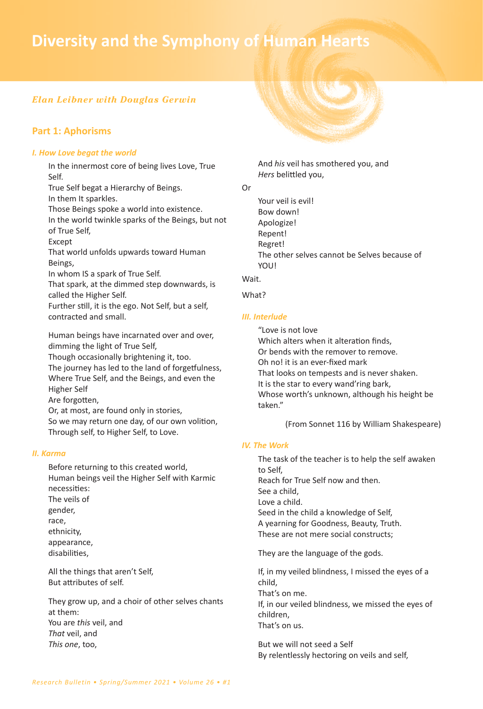# **36** *• Diversity and the Symphony of Human Hearts* **Diversity and the Symphony of Human Hearts**

# *Elan Leibner with Douglas Gerwin*

# **Part 1: Aphorisms**

#### *I. How Love begat the world*

In the innermost core of being lives Love, True Self.

True Self begat a Hierarchy of Beings. In them It sparkles.

Those Beings spoke a world into existence. In the world twinkle sparks of the Beings͕ but not

of True Self͕

Except

That world unfolds upwards toward Human Beings͕

In whom IS a spark of True Self.

That spark͕ at the dimmed step downwards͕ is called the Higher Self.

Further still, it is the ego. Not Self, but a self, contracted and small.

Human beings have incarnated over and over, dimming the light of True Self, Though occasionally brightening it, too. The journey has led to the land of forgetfulness,

Where True Self, and the Beings, and even the Higher Self Are forgotten,

Or, at most, are found only in stories,

So we may return one day, of our own volition, Through self, to Higher Self, to Love.

#### *II. Karma*

Before returning to this created world, Human beings veil the Higher Self with Karmic necessities͗ The veils of gender͕ race, ethnicity, appearance, disabilities͕

All the things that aren't Self, But attributes of self.

They grow up, and a choir of other selves chants at them: You are *this* veil͕ and *That* veil͕ and *This one*͕ too͕



And *his* veil has smothered you͕ and *Hers* belittled you͕

# Or

Your veil is evil! Bow down! Apologize! Repent! Regret! The other selves cannot be Selves because of YOU!

#### Wait.

#### What?

#### *III. Interlude*

͞Love is not love Which alters when it alteration finds, Or bends with the remover to remove. Oh no! it is an ever-fixed mark That looks on tempests and is never shaken. It is the star to every wand'ring bark, Whose worth's unknown, although his height be taken͘͟

#### (From Sonnet 116 by William Shakespeare)

## *IV. The Work*

The task of the teacher is to help the self awaken to Self͕ Reach for True Self now and then. See a child. Love a child. Seed in the child a knowledge of Self͕ A yearning for Goodness, Beauty, Truth. These are not mere social constructs;

They are the language of the gods.

If, in my veiled blindness, I missed the eyes of a child͕ That's on me. If, in our veiled blindness, we missed the eyes of children͕ That's on us.

But we will not seed a Self By relentlessly hectoring on veils and self͕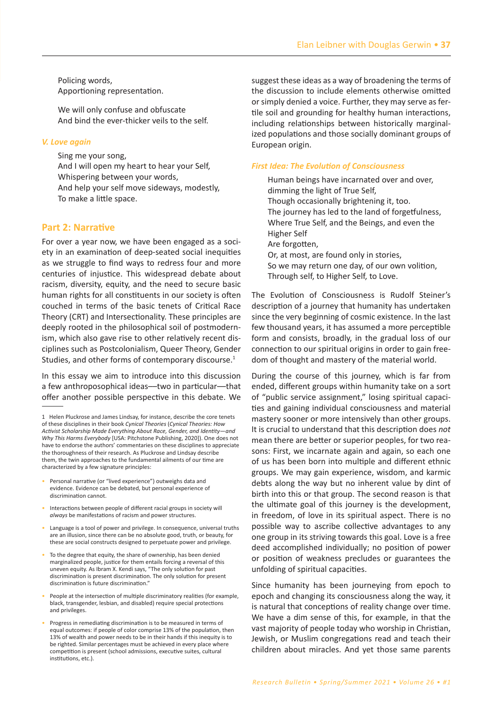Policing words, Apportioning representation.

We will only confuse and obfuscate And bind the ever-thicker veils to the self.

#### V. Love again

Sing me your song, And I will open my heart to hear your Self, Whispering between your words, And help your self move sideways, modestly, To make a little space.

#### **Part 2: Narrative**

For over a year now, we have been engaged as a society in an examination of deep-seated social inequities as we struggle to find ways to redress four and more centuries of injustice. This widespread debate about racism, diversity, equity, and the need to secure basic human rights for all constituents in our society is often couched in terms of the basic tenets of Critical Race Theory (CRT) and Intersectionality. These principles are deeply rooted in the philosophical soil of postmodernism, which also gave rise to other relatively recent disciplines such as Postcolonialism, Queer Theory, Gender Studies, and other forms of contemporary discourse.<sup>1</sup>

In this essay we aim to introduce into this discussion a few anthroposophical ideas—two in particular—that offer another possible perspective in this debate. We

- Personal narrative (or "lived experience") outweighs data and evidence. Evidence can be debated, but personal experience of discrimination cannot.
- Interactions between people of different racial groups in society will always be manifestations of racism and power structures.
- Language is a tool of power and privilege. In consequence, universal truths are an illusion, since there can be no absolute good, truth, or beauty, for these are social constructs designed to perpetuate power and privilege.
- To the degree that equity, the share of ownership, has been denied marginalized people, justice for them entails forcing a reversal of this uneven equity. As Ibram X. Kendi says, "The only solution for past discrimination is present discrimination. The only solution for present discrimination is future discrimination."
- People at the intersection of multiple discriminatory realities (for example, black, transgender, lesbian, and disabled) require special protections and privileges.
- Progress in remediating discrimination is to be measured in terms of equal outcomes: if people of color comprise 13% of the population, then 13% of wealth and power needs to be in their hands if this inequity is to be righted. Similar percentages must be achieved in every place where competition is present (school admissions, executive suites, cultural institutions, etc.).

suggest these ideas as a way of broadening the terms of the discussion to include elements otherwise omitted or simply denied a voice. Further, they may serve as fertile soil and grounding for healthy human interactions, including relationships between historically marginalized populations and those socially dominant groups of European origin.

#### **First Idea: The Evolution of Consciousness**

Human beings have incarnated over and over. dimming the light of True Self, Though occasionally brightening it, too. The journey has led to the land of forgetfulness, Where True Self, and the Beings, and even the **Higher Self** Are forgotten, Or, at most, are found only in stories, So we may return one day, of our own volition, Through self, to Higher Self, to Love.

The Evolution of Consciousness is Rudolf Steiner's description of a journey that humanity has undertaken since the very beginning of cosmic existence. In the last few thousand years, it has assumed a more perceptible form and consists, broadly, in the gradual loss of our connection to our spiritual origins in order to gain freedom of thought and mastery of the material world.

During the course of this journey, which is far from ended, different groups within humanity take on a sort of "public service assignment," losing spiritual capacities and gaining individual consciousness and material mastery sooner or more intensively than other groups. It is crucial to understand that this description does not mean there are better or superior peoples, for two reasons: First, we incarnate again and again, so each one of us has been born into multiple and different ethnic groups. We may gain experience, wisdom, and karmic debts along the way but no inherent value by dint of birth into this or that group. The second reason is that the ultimate goal of this journey is the development, in freedom, of love in its spiritual aspect. There is no possible way to ascribe collective advantages to any one group in its striving towards this goal. Love is a free deed accomplished individually; no position of power or position of weakness precludes or guarantees the unfolding of spiritual capacities.

Since humanity has been journeying from epoch to epoch and changing its consciousness along the way, it is natural that conceptions of reality change over time. We have a dim sense of this, for example, in that the vast majority of people today who worship in Christian, Jewish, or Muslim congregations read and teach their children about miracles. And yet those same parents

<sup>1</sup> Helen Pluckrose and James Lindsay, for instance, describe the core tenets of these disciplines in their book Cynical Theories (Cynical Theories: How Activist Scholarship Made Everything About Race, Gender, and Identity-and Why This Harms Everybody [USA: Pitchstone Publishing, 2020]). One does not have to endorse the authors' commentaries on these disciplines to appreciate the thoroughness of their research. As Pluckrose and Lindsay describe them, the twin approaches to the fundamental ailments of our time are characterized by a few signature principles: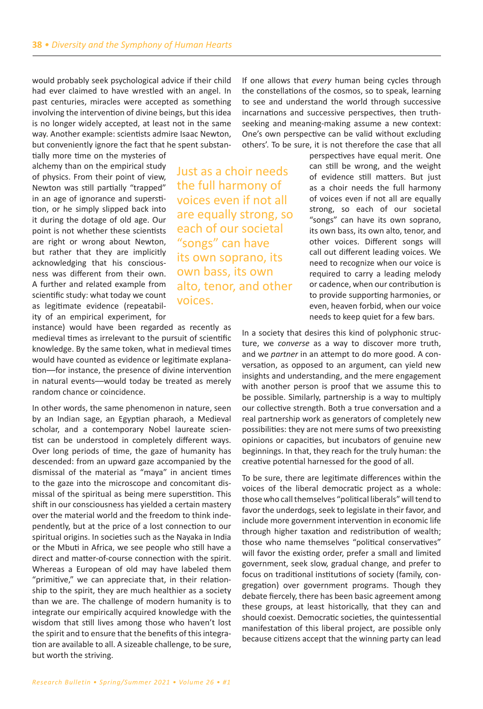would probably seek psychological advice if their child had ever claimed to have wrestled with an angel. In past centuries, miracles were accepted as something involving the intervention of divine beings͕ but this idea is no longer widely accepted, at least not in the same way. Another example: scientists admire Isaac Newton, but conveniently ignore the fact that he spent substan-

tially more time on the mysteries of alchemy than on the empirical study of physics. From their point of view, Newton was still partially "trapped" in an age of ignorance and superstition͕ or he simply slipped back into it during the dotage of old age. Our point is not whether these scientists are right or wrong about Newton, but rather that they are implicitly acknowledging that his consciousness was different from their own. A further and related example from scientific study: what today we count as legitimate evidence (repeatability of an empirical experiment, for

instance) would have been regarded as recently as medieval times as irrelevant to the pursuit of scientific knowledge͘ By the same token͕ what in medieval times would have counted as evidence or legitimate explanation-for instance, the presence of divine intervention in natural events--would today be treated as merely random chance or coincidence.

In other words, the same phenomenon in nature, seen by an Indian sage͕ an Egyptian pharaoh͕ a Medieval scholar, and a contemporary Nobel laureate scientist can be understood in completely different ways. Over long periods of time͕ the gaze of humanity has descended: from an upward gaze accompanied by the dismissal of the material as "maya" in ancient times to the gaze into the microscope and concomitant dismissal of the spiritual as being mere superstition. This shift in our consciousness has yielded a certain mastery over the material world and the freedom to think independently͕ but at the price of a lost connection to our spiritual origins. In societies such as the Nayaka in India or the Mbuti in Africa͕ we see people who still have a direct and matter-of-course connection with the spirit. Whereas a European of old may have labeled them "primitive," we can appreciate that, in their relationship to the spirit, they are much healthier as a society than we are. The challenge of modern humanity is to integrate our empirically acquired knowledge with the wisdom that still lives among those who haven't lost the spirit and to ensure that the benefits of this integration are available to all. A sizeable challenge, to be sure, but worth the striving.

If one allows that *every* human being cycles through the constellations of the cosmos, so to speak, learning to see and understand the world through successive incarnations and successive perspectives, then truthseeking and meaning-making assume a new context: One's own perspective can be valid without excluding others'. To be sure, it is not therefore the case that all

Just as a choir needs the full harmony of voices even if not all are equally strong, so each of our societal "songs" can have its own soprano͕ its own bass͕ its own alto͕ tenor͕ and other voices.

perspectives have equal merit. One can still be wrong, and the weight of evidence still matters. But just as a choir needs the full harmony of voices even if not all are equally strong, so each of our societal "songs" can have its own soprano, its own bass, its own alto, tenor, and other voices. Different songs will call out different leading voices. We need to recognize when our voice is required to carry a leading melody or cadence͕ when our contribution is to provide supporting harmonies, or even, heaven forbid, when our voice needs to keep quiet for a few bars.

In a society that desires this kind of polyphonic structure, we *converse* as a way to discover more truth, and we *partner* in an attempt to do more good. A conversation, as opposed to an argument, can yield new insights and understanding, and the mere engagement with another person is proof that we assume this to be possible. Similarly, partnership is a way to multiply our collective strength. Both a true conversation and a real partnership work as generators of completely new possibilities: they are not mere sums of two preexisting opinions or capacities͕ but incubators of genuine new beginnings. In that, they reach for the truly human: the creative potential harnessed for the good of all.

To be sure, there are legitimate differences within the voices of the liberal democratic project as a whole: those who call themselves "political liberals" will tend to favor the underdogs, seek to legislate in their favor, and include more government intervention in economic life through higher taxation and redistribution of wealth; those who name themselves "political conservatives" will favor the existing order, prefer a small and limited government͕ seek slow͕ gradual change͕ and prefer to focus on traditional institutions of society (family, congregation) over government programs. Though they debate fiercely͕ there has been basic agreement among these groups͕ at least historically͕ that they can and should coexist. Democratic societies, the quintessential manifestation of this liberal project, are possible only because citizens accept that the winning party can lead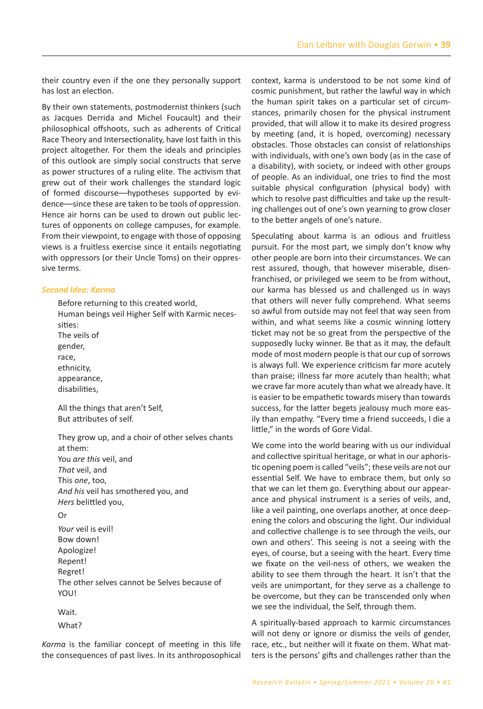their country even if the one they personally support has lost an election.

By their own statements, postmodernist thinkers (such as Jacques Derrida and Michel Foucault) and their philosophical offshoots, such as adherents of Critical Race Theory and Intersectionality, have lost faith in this project altogether. For them the ideals and principles of this outlook are simply social constructs that serve as power structures of a ruling elite. The activism that grew out of their work challenges the standard logic of formed discourse—hypotheses supported by evidence—since these are taken to be tools of oppression. Hence air horns can be used to drown out public lectures of opponents on college campuses, for example. From their viewpoint, to engage with those of opposing views is a fruitless exercise since it entails negotiating with oppressors (or their Uncle Toms) on their oppressive terms.

#### *Second Idea: Karma*

Before returning to this created world, Human beings veil Higher Self with Karmic necessities: The veils of gender͕ race, ethnicity, appearance, disabilities͕

All the things that aren't Self, But attributes of self.

They grow up, and a choir of other selves chants at them: You *are this* veil, and *That* veil͕ and This *one*͕ too͕ *And his* veil has smothered you͕ and *Hers* belittled you͕ Or

*Your* veil is evil! Bow down! Apologize! Repent! Regret! The other selves cannot be Selves because of YOU!

Wait.

What?

*Karma* is the familiar concept of meeting in this life the consequences of past lives. In its anthroposophical context, karma is understood to be not some kind of cosmic punishment͕ but rather the lawful way in which the human spirit takes on a particular set of circumstances͕ primarily chosen for the physical instrument provided͕ that will allow it to make its desired progress by meeting (and, it is hoped, overcoming) necessary obstacles. Those obstacles can consist of relationships with individuals, with one's own body (as in the case of a disability), with society, or indeed with other groups of people. As an individual, one tries to find the most suitable physical configuration (physical body) with which to resolve past difficulties and take up the resulting challenges out of one's own yearning to grow closer to the better angels of one's nature.

Speculating about karma is an odious and fruitless pursuit. For the most part, we simply don't know why other people are born into their circumstances. We can rest assured, though, that however miserable, disenfranchised, or privileged we seem to be from without, our karma has blessed us and challenged us in ways that others will never fully comprehend. What seems so awful from outside may not feel that way seen from within, and what seems like a cosmic winning lottery ticket may not be so great from the perspective of the supposedly lucky winner. Be that as it may, the default mode of most modern people is that our cup of sorrows is always full. We experience criticism far more acutely than praise; illness far more acutely than health; what we crave far more acutely than what we already have. It is easier to be empathetic towards misery than towards success, for the latter begets jealousy much more easily than empathy. "Every time a friend succeeds, I die a little," in the words of Gore Vidal.

We come into the world bearing with us our individual and collective spiritual heritage, or what in our aphoristic opening poem is called "veils"; these veils are not our essential Self. We have to embrace them, but only so that we can let them go͘ Everything about our appearance and physical instrument is a series of veils, and, like a veil painting, one overlaps another, at once deepening the colors and obscuring the light. Our individual and collective challenge is to see through the veils, our own and others'. This seeing is not a seeing with the eyes, of course, but a seeing with the heart. Every time we fixate on the veil-ness of others, we weaken the ability to see them through the heart. It isn't that the veils are unimportant, for they serve as a challenge to be overcome, but they can be transcended only when we see the individual, the Self, through them.

A spiritually-based approach to karmic circumstances will not deny or ignore or dismiss the veils of gender, race, etc., but neither will it fixate on them. What matters is the persons' gifts and challenges rather than the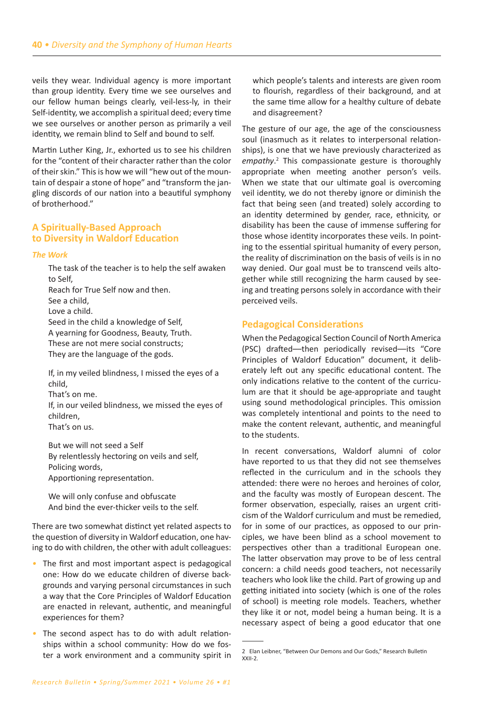veils they wear. Individual agency is more important than group identity. Every time we see ourselves and our fellow human beings clearly͕ veil-less-ly͕ in their Self-identity, we accomplish a spiritual deed; every time we see ourselves or another person as primarily a veil identity, we remain blind to Self and bound to self.

Martin Luther King, Jr., exhorted us to see his children for the "content of their character rather than the color of their skin." This is how we will "hew out of the mountain of despair a stone of hope" and "transform the jangling discords of our nation into a beautiful symphony of brotherhood."

# **A Spiritually-Based Approach to Diversity in Waldorf Education**

#### *The Work*

The task of the teacher is to help the self awaken to Self͕ Reach for True Self now and then. See a child. Love a child. Seed in the child a knowledge of Self͕ A yearning for Goodness, Beauty, Truth. These are not mere social constructs; They are the language of the gods.

If, in my veiled blindness, I missed the eyes of a child.

That's on me.

If, in our veiled blindness, we missed the eyes of children͕ That's on us.

But we will not seed a Self By relentlessly hectoring on veils and self͕ Policing words, Apportioning representation.

We will only confuse and obfuscate And bind the ever-thicker veils to the self.

There are two somewhat distinct yet related aspects to the question of diversity in Waldorf education, one having to do with children, the other with adult colleagues:

- *•* The first and most important aspect is pedagogical one: How do we educate children of diverse backgrounds and varying personal circumstances in such a way that the Core Principles of Waldorf Education are enacted in relevant͕ authentic͕ and meaningful experiences for them?
- The second aspect has to do with adult relationships within a school community: How do we foster a work environment and a community spirit in

which people's talents and interests are given room to flourish, regardless of their background, and at the same time allow for a healthy culture of debate and disagreement?

The gesture of our age, the age of the consciousness soul (inasmuch as it relates to interpersonal relationships), is one that we have previously characterized as *empathy*. <sup>2</sup> This compassionate gesture is thoroughly appropriate when meeting another person's veils. When we state that our ultimate goal is overcoming veil identity͕ we do not thereby ignore or diminish the fact that being seen (and treated) solely according to an identity determined by gender, race, ethnicity, or disability has been the cause of immense suffering for those whose identity incorporates these veils. In pointing to the essential spiritual humanity of every person͕ the reality of discrimination on the basis of veils is in no way denied. Our goal must be to transcend veils altogether while still recognizing the harm caused by seeing and treating persons solely in accordance with their perceived veils.

# **Pedagogical Considerations**

When the Pedagogical Section Council of North America (PSC) drafted-then periodically revised--its "Core Principles of Waldorf Education" document, it deliberately left out any specific educational content. The only indications relative to the content of the curriculum are that it should be age-appropriate and taught using sound methodological principles. This omission was completely intentional and points to the need to make the content relevant, authentic, and meaningful to the students.

In recent conversations͕ Waldorf alumni of color have reported to us that they did not see themselves reflected in the curriculum and in the schools they attended: there were no heroes and heroines of color, and the faculty was mostly of European descent. The former observation, especially, raises an urgent criticism of the Waldorf curriculum and must be remedied, for in some of our practices, as opposed to our principles͕ we have been blind as a school movement to perspectives other than a traditional European one. The latter observation may prove to be of less central concern͗ a child needs good teachers͕ not necessarily teachers who look like the child. Part of growing up and getting initiated into society (which is one of the roles of school) is meeting role models. Teachers, whether they like it or not, model being a human being. It is a necessary aspect of being a good educator that one

<sup>2</sup> Elan Leibner, "Between Our Demons and Our Gods," Research Bulletin XXII-2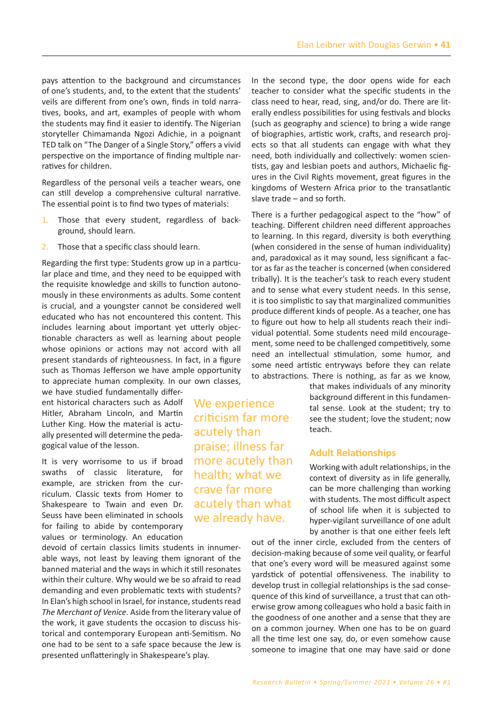pays attention to the background and circumstances of one's students, and, to the extent that the students' veils are different from one's own, finds in told narratives, books, and art, examples of people with whom the students may find it easier to identify. The Nigerian storyteller Chimamanda Ngozi Adichie, in a poignant TED talk on "The Danger of a Single Story," offers a vivid perspective on the importance of finding multiple narratives for children.

Regardless of the personal veils a teacher wears, one can still develop a comprehensive cultural narrative. The essential point is to find two types of materials:

- 1. Those that every student, regardless of background, should learn.
- 2. Those that a specific class should learn.

Regarding the first type: Students grow up in a particular place and time, and they need to be equipped with the requisite knowledge and skills to function autonomously in these environments as adults. Some content is crucial, and a youngster cannot be considered well educated who has not encountered this content. This includes learning about important yet utterly objectionable characters as well as learning about people whose opinions or actions may not accord with all present standards of righteousness. In fact, in a figure such as Thomas Jefferson we have ample opportunity to appreciate human complexity. In our own classes,

we have studied fundamentally different historical characters such as Adolf Hitler, Abraham Lincoln, and Martin Luther King. How the material is actually presented will determine the pedagogical value of the lesson.

It is very worrisome to us if broad swaths of classic literature, for example, are stricken from the curriculum. Classic texts from Homer to Shakespeare to Twain and even Dr. Seuss have been eliminated in schools for failing to abide by contemporary values or terminology. An education

devoid of certain classics limits students in innumerable ways, not least by leaving them ignorant of the banned material and the ways in which it still resonates within their culture. Why would we be so afraid to read demanding and even problematic texts with students? In Elan's high school in Israel, for instance, students read *The Merchant of Venice.* Aside from the literary value of the work͕ it gave students the occasion to discuss historical and contemporary European anti-Semitism. No one had to be sent to a safe space because the Jew is presented unflatteringly in Shakespeare's play.

We experience criticism far more acutely than praise͖ illness far more acutely than health; what we crave far more acutely than what we already have.

In the second type, the door opens wide for each teacher to consider what the specific students in the class need to hear, read, sing, and/or do. There are literally endless possibilities for using festivals and blocks (such as geography and science) to bring a wide range of biographies, artistic work, crafts, and research projects so that all students can engage with what they need, both individually and collectively: women scientists, gay and lesbian poets and authors, Michaelic figures in the Civil Rights movement, great figures in the kingdoms of Western Africa prior to the transatlantic slave trade  $-$  and so forth.

There is a further pedagogical aspect to the "how" of teaching. Different children need different approaches to learning. In this regard, diversity is both everything (when considered in the sense of human individuality) and, paradoxical as it may sound, less significant a factor as far as the teacher is concerned (when considered tribally). It is the teacher's task to reach every student and to sense what every student needs. In this sense, it is too simplistic to say that marginalized communities produce different kinds of people. As a teacher, one has to figure out how to help all students reach their individual potential. Some students need mild encouragement, some need to be challenged competitively, some need an intellectual stimulation, some humor, and some need artistic entryways before they can relate to abstractions. There is nothing, as far as we know,

> that makes individuals of any minority background different in this fundamental sense. Look at the student; try to see the student; love the student; now teach.

# **Adult Relationships**

Working with adult relationships͕ in the context of diversity as in life generally, can be more challenging than working with students. The most difficult aspect of school life when it is subjected to hyper-vigilant surveillance of one adult by another is that one either feels left

out of the inner circle, excluded from the centers of decision-making because of some veil quality, or fearful that one's every word will be measured against some yardstick of potential offensiveness. The inability to develop trust in collegial relationships is the sad consequence of this kind of surveillance, a trust that can otherwise grow among colleagues who hold a basic faith in the goodness of one another and a sense that they are on a common journey. When one has to be on guard all the time lest one say͕ do͕ or even somehow cause someone to imagine that one may have said or done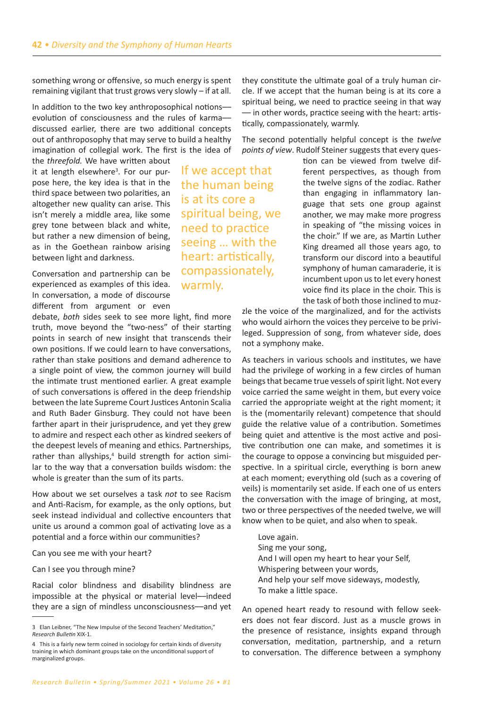something wrong or offensive, so much energy is spent remaining vigilant that trust grows very slowly  $-$  if at all.

In addition to the two key anthroposophical notionsevolution of consciousness and the rules of karmadiscussed earlier, there are two additional concepts out of anthroposophy that may serve to build a healthy imagination of collegial work. The first is the idea of

the *threefold.* We have written about it at length elsewhere<sup>3</sup>. For our purpose here, the key idea is that in the third space between two polarities, an altogether new quality can arise. This isn't merely a middle area, like some grey tone between black and white, but rather a new dimension of being, as in the Goethean rainbow arising between light and darkness.

Conversation and partnership can be experienced as examples of this idea. In conversation͕ a mode of discourse different from argument or even

debate, both sides seek to see more light, find more truth, move beyond the "two-ness" of their starting points in search of new insight that transcends their own positions. If we could learn to have conversations, rather than stake positions and demand adherence to a single point of view, the common journey will build the intimate trust mentioned earlier. A great example of such conversations is offered in the deep friendship between the late Supreme Court Justices Antonin Scalia and Ruth Bader Ginsburg. They could not have been farther apart in their jurisprudence, and yet they grew to admire and respect each other as kindred seekers of the deepest levels of meaning and ethics. Partnerships, rather than allyships,<sup>4</sup> build strength for action similar to the way that a conversation builds wisdom: the whole is greater than the sum of its parts.

How about we set ourselves a task *not* to see Racism and Anti-Racism, for example, as the only options, but seek instead individual and collective encounters that unite us around a common goal of activating love as a potential and a force within our communities?

Can you see me with your heart?

Can I see you through mine?

Racial color blindness and disability blindness are impossible at the physical or material level-indeed they are a sign of mindless unconsciousness—and yet

If we accept that the human being is at its core a spiritual being͕ we need to practice seeing ... with the heart: artistically, compassionately͕ warmly.

they constitute the ultimate goal of a truly human circle. If we accept that the human being is at its core a spiritual being͕ we need to practice seeing in that way - in other words, practice seeing with the heart: artistically, compassionately, warmly.

The second potentially helpful concept is the *twelve*  points of view. Rudolf Steiner suggests that every ques-

> tion can be viewed from twelve different perspectives, as though from the twelve signs of the zodiac. Rather than engaging in inflammatory language that sets one group against another, we may make more progress in speaking of "the missing voices in the choir." If we are, as Martin Luther King dreamed all those years ago͕ to transform our discord into a beautiful symphony of human camaraderie, it is incumbent upon us to let every honest voice find its place in the choir. This is the task of both those inclined to muz-

zle the voice of the marginalized͕ and for the activists who would airhorn the voices they perceive to be privileged. Suppression of song, from whatever side, does not a symphony make.

As teachers in various schools and institutes, we have had the privilege of working in a few circles of human beings that became true vessels of spirit light. Not every voice carried the same weight in them, but every voice carried the appropriate weight at the right moment; it is the (momentarily relevant) competence that should guide the relative value of a contribution. Sometimes being quiet and attentive is the most active and positive contribution one can make, and sometimes it is the courage to oppose a convincing but misguided perspective. In a spiritual circle, everything is born anew at each moment; everything old (such as a covering of veils) is momentarily set aside. If each one of us enters the conversation with the image of bringing, at most, two or three perspectives of the needed twelve͕ we will know when to be quiet, and also when to speak.

Love again. Sing me your song, And I will open my heart to hear your Self, Whispering between your words, And help your self move sideways, modestly, To make a little space.

An opened heart ready to resound with fellow seekers does not fear discord. Just as a muscle grows in the presence of resistance, insights expand through conversation͕ meditation͕ partnership͕ and a return to conversation. The difference between a symphony

<sup>3</sup> Elan Leibner, "The New Impulse of the Second Teachers' Meditation," *Research Bulletin* XIX-1͘

<sup>4</sup> This is a fairly new term coined in sociology for certain kinds of diversity training in which dominant groups take on the unconditional support of marginalized groups.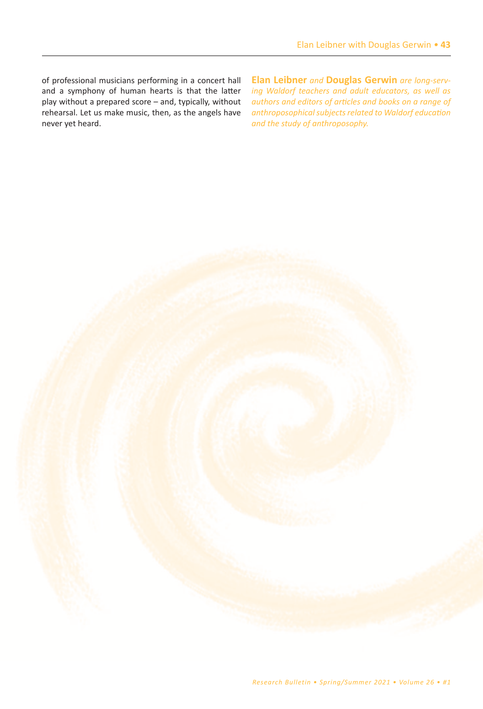of professional musicians performing in a concert hall and a symphony of human hearts is that the latter play without a prepared score - and, typically, without rehearsal. Let us make music, then, as the angels have never yet heard.

**Elan Leibner** *and* **Douglas Gerwin** *are long-serving Waldorf teachers and adult educators, as well as authors and editors of articles and books on a range of anthroposophical subjects related to Waldorf education and the study of anthroposophy.*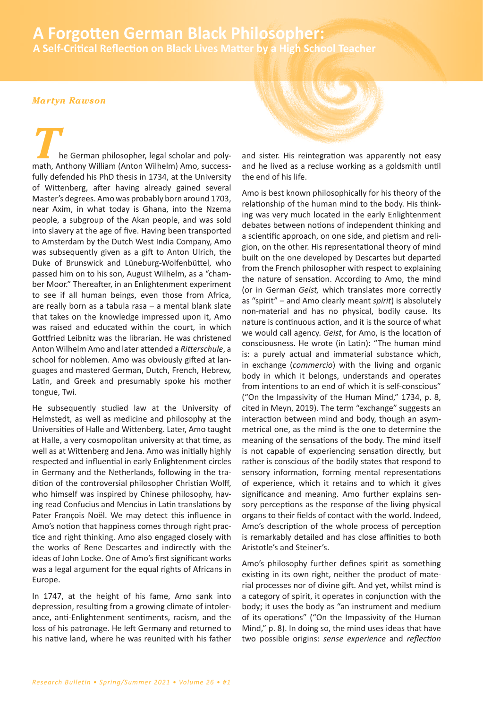# **44** *• A Forgotten German Black Philosopher:* **A Self-Critical Reflection on Black Lives Matter by a High School Teacher A Forgotten German Black Philosopher:**

## *Martyn Rawson*

he German philosopher, legal scholar and polymath, Anthony William (Anton Wilhelm) Amo, successfully defended his PhD thesis in 1734, at the University of Wittenberg, after having already gained several Master's degrees. Amo was probably born around 1703, near Axim, in what today is Ghana, into the Nzema people, a subgroup of the Akan people, and was sold into slavery at the age of five. Having been transported to Amsterdam by the Dutch West India Company͕ Amo was subsequently given as a gift to Anton Ulrich, the Duke of Brunswick and Lüneburg-Wolfenbüttel, who passed him on to his son, August Wilhelm, as a "chamber Moor." Thereafter, in an Enlightenment experiment to see if all human beings, even those from Africa, are really born as a tabula rasa  $-$  a mental blank slate that takes on the knowledge impressed upon it͕ Amo was raised and educated within the court, in which Gottfried Leibnitz was the librarian. He was christened Anton Wilhelm Amo and later attended a *Ritterschule*͕ a school for noblemen. Amo was obviously gifted at languages and mastered German͕ Dutch͕ French͕ Hebrew͕ Latin, and Greek and presumably spoke his mother tongue, Twi.

He subsequently studied law at the University of Helmstedt͕ as well as medicine and philosophy at the Universities of Halle and Wittenberg. Later, Amo taught at Halle, a very cosmopolitan university at that time, as well as at Wittenberg and Jena. Amo was initially highly respected and influential in early Enlightenment circles in Germany and the Netherlands͕ following in the tradition of the controversial philosopher Christian Wolff, who himself was inspired by Chinese philosophy, having read Confucius and Mencius in Latin translations by Pater François Noël. We may detect this influence in Amo's notion that happiness comes through right practice and right thinking. Amo also engaged closely with the works of Rene Descartes and indirectly with the ideas of John Locke. One of Amo's first significant works was a legal argument for the equal rights of Africans in Europe.

In 1747, at the height of his fame, Amo sank into depression͕ resulting from a growing climate of intolerance, anti-Enlightenment sentiments, racism, and the loss of his patronage. He left Germany and returned to his native land͕ where he was reunited with his father



and sister. His reintegration was apparently not easy and he lived as a recluse working as a goldsmith until the end of his life.

Amo is best known philosophically for his theory of the relationship of the human mind to the body. His thinking was very much located in the early Enlightenment debates between notions of independent thinking and a scientific approach, on one side, and pietism and religion, on the other. His representational theory of mind built on the one developed by Descartes but departed from the French philosopher with respect to explaining the nature of sensation. According to Amo, the mind (or in German *Geist,* which translates more correctly as "spirit" – and Amo clearly meant *spirit*) is absolutely non-material and has no physical, bodily cause. Its nature is continuous action, and it is the source of what we would call agency. Geist, for Amo, is the location of consciousness. He wrote (in Latin): "The human mind is: a purely actual and immaterial substance which, in exchange (commercio) with the living and organic body in which it belongs͕ understands and operates from intentions to an end of which it is self-conscious" ("On the Impassivity of the Human Mind," 1734, p. 8, cited in Meyn, 2019). The term "exchange" suggests an interaction between mind and body͕ though an asymmetrical one, as the mind is the one to determine the meaning of the sensations of the body. The mind itself is not capable of experiencing sensation directly, but rather is conscious of the bodily states that respond to sensory information, forming mental representations of experience, which it retains and to which it gives significance and meaning. Amo further explains sensory perceptions as the response of the living physical organs to their fields of contact with the world. Indeed, Amo's description of the whole process of perception is remarkably detailed and has close affinities to both Aristotle's and Steiner's.

Amo's philosophy further defines spirit as something existing in its own right, neither the product of material processes nor of divine gift. And yet, whilst mind is a category of spirit, it operates in conjunction with the body; it uses the body as "an instrument and medium of its operations" ("On the Impassivity of the Human Mind," p. 8). In doing so, the mind uses ideas that have two possible origins͗ *sense experience* and *reflection*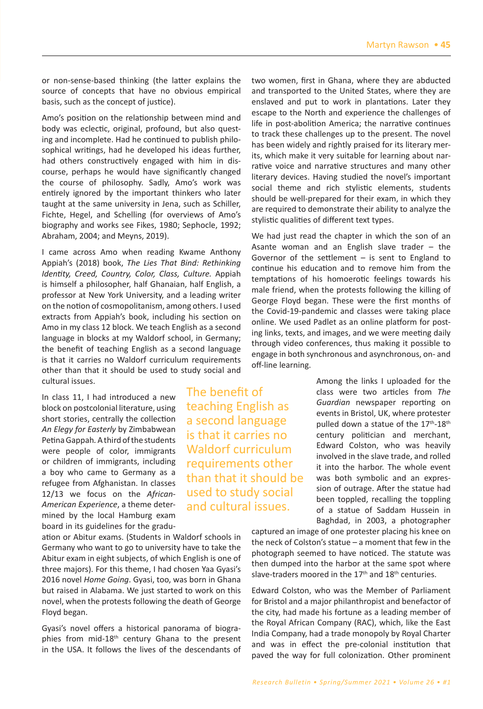or non-sense-based thinking (the latter explains the source of concepts that have no obvious empirical basis, such as the concept of justice).

Amo's position on the relationship between mind and body was eclectic, original, profound, but also questing and incomplete. Had he continued to publish philosophical writings, had he developed his ideas further, had others constructively engaged with him in discourse͕ perhaps he would have significantly changed the course of philosophy. Sadly, Amo's work was entirely ignored by the important thinkers who later taught at the same university in Jena, such as Schiller, Fichte, Hegel, and Schelling (for overviews of Amo's biography and works see Fikes, 1980; Sephocle, 1992; Abraham, 2004; and Meyns, 2019).

I came across Amo when reading Kwame Anthony Appiah's (2018) book, The Lies That Bind: Rethinking *Identity, Creed, Country, Color, Class, Culture.* Appiah is himself a philosopher, half Ghanaian, half English, a professor at New York University͕ and a leading writer on the notion of cosmopolitanism, among others. I used extracts from Appiah's book, including his section on Amo in my class 12 block. We teach English as a second language in blocks at my Waldorf school, in Germany; the benefit of teaching English as a second language is that it carries no Waldorf curriculum requirements other than that it should be used to study social and cultural issues.

In class 11, I had introduced a new block on postcolonial literature, using short stories͕ centrally the collection *An Elegy for Easterly* by Zimbabwean Petina Gappah*.* A third of the students were people of color, immigrants or children of immigrants͕ including a boy who came to Germany as a refugee from Afghanistan. In classes 12/13 we focus on the *African-American Experience*͕ a theme determined by the local Hamburg exam board in its guidelines for the gradu-

ation or Abitur exams. (Students in Waldorf schools in Germany who want to go to university have to take the Abitur exam in eight subjects, of which English is one of three majors). For this theme, I had chosen Yaa Gyasi's 2016 novel *Home Going*. Gyasi, too, was born in Ghana but raised in Alabama. We just started to work on this novel, when the protests following the death of George Floyd began.

Gyasi's novel offers a historical panorama of biographies from mid-18<sup>th</sup> century Ghana to the present in the USA. It follows the lives of the descendants of

The benefit of teaching English as a second language is that it carries no Waldorf curriculum requirements other than that it should be used to study social and cultural issues.

two women͕ first in Ghana͕ where they are abducted and transported to the United States, where they are enslaved and put to work in plantations. Later they escape to the North and experience the challenges of life in post-abolition America; the narrative continues to track these challenges up to the present. The novel has been widely and rightly praised for its literary merits, which make it very suitable for learning about narrative voice and narrative structures and many other literary devices. Having studied the novel's important social theme and rich stylistic elements, students should be well-prepared for their exam, in which they are required to demonstrate their ability to analyze the stylistic qualities of different text types.

We had just read the chapter in which the son of an Asante woman and an English slave trader  $-$  the Governor of the settlement  $-$  is sent to England to continue his education and to remove him from the temptations of his homoerotic feelings towards his male friend͕ when the protests following the killing of George Floyd began. These were the first months of the Covid-19-pandemic and classes were taking place online. We used Padlet as an online platform for posting links, texts, and images, and we were meeting daily through video conferences͕ thus making it possible to engage in both synchronous and asynchronous͕ on- and off-line learning.

> Among the links I uploaded for the class were two articles from *The Guardian* newspaper reporting on events in Bristol͕ UK͕ where protester pulled down a statue of the 17<sup>th</sup>-18<sup>th</sup> century politician and merchant, Edward Colston͕ who was heavily involved in the slave trade͕ and rolled it into the harbor. The whole event was both symbolic and an expression of outrage. After the statue had been toppled, recalling the toppling of a statue of Saddam Hussein in Baghdad, in 2003, a photographer

captured an image of one protester placing his knee on the neck of Colston's statue  $-$  a moment that few in the photograph seemed to have noticed. The statute was then dumped into the harbor at the same spot where slave-traders moored in the  $17<sup>th</sup>$  and  $18<sup>th</sup>$  centuries.

Edward Colston͕ who was the Member of Parliament for Bristol and a major philanthropist and benefactor of the city͕ had made his fortune as a leading member of the Royal African Company (RAC), which, like the East India Company͕ had a trade monopoly by Royal Charter and was in effect the pre-colonial institution that paved the way for full colonization. Other prominent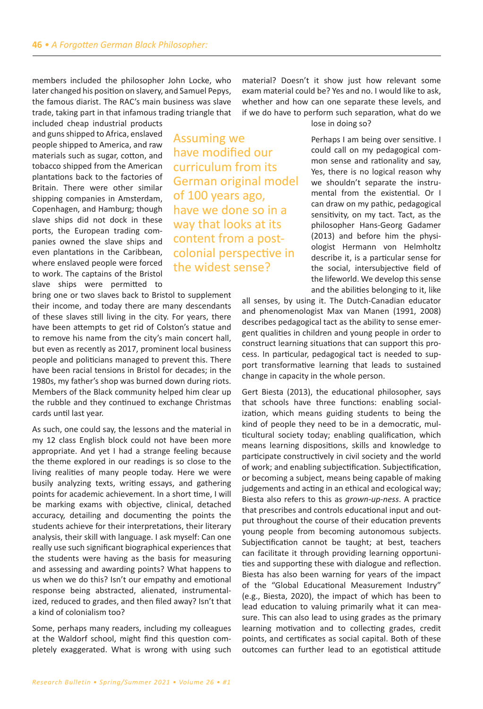members included the philosopher John Locke, who later changed his position on slavery, and Samuel Pepys, the famous diarist. The RAC's main business was slave trade͕ taking part in that infamous trading triangle that

included cheap industrial products and guns shipped to Africa͕ enslaved people shipped to America͕ and raw materials such as sugar͕ cotton͕ and tobacco shipped from the American plantations back to the factories of Britain. There were other similar shipping companies in Amsterdam. Copenhagen͕ and Hamburg͖ though slave ships did not dock in these ports, the European trading companies owned the slave ships and even plantations in the Caribbean, where enslaved people were forced to work. The captains of the Bristol slave ships were permitted to

Assuming we have modified our curriculum from its German original model of 100 years ago, have we done so in a way that looks at its content from a postcolonial perspective in the widest sense?

bring one or two slaves back to Bristol to supplement their income, and today there are many descendants of these slaves still living in the city. For years, there have been attempts to get rid of Colston's statue and to remove his name from the city's main concert hall, but even as recently as 2017, prominent local business people and politicians managed to prevent this. There have been racial tensions in Bristol for decades; in the 1980s, my father's shop was burned down during riots. Members of the Black community helped him clear up the rubble and they continued to exchange Christmas cards until last year.

As such, one could say, the lessons and the material in my 12 class English block could not have been more appropriate. And yet I had a strange feeling because the theme explored in our readings is so close to the living realities of many people today. Here we were busily analyzing texts, writing essays, and gathering points for academic achievement. In a short time, I will be marking exams with objective, clinical, detached accuracy͕ detailing and documenting the points the students achieve for their interpretations͕ their literary analysis, their skill with language. I ask myself: Can one really use such significant biographical experiences that the students were having as the basis for measuring and assessing and awarding points? What happens to us when we do this? Isn't our empathy and emotional response being abstracted, alienated, instrumentalized, reduced to grades, and then filed away? Isn't that a kind of colonialism too?

Some, perhaps many readers, including my colleagues at the Waldorf school, might find this question completely exaggerated. What is wrong with using such material? Doesn't it show just how relevant some exam material could be? Yes and no. I would like to ask, whether and how can one separate these levels, and if we do have to perform such separation, what do we

lose in doing so?

Perhaps I am being over sensitive. I could call on my pedagogical common sense and rationality and say, Yes, there is no logical reason why we shouldn't separate the instrumental from the existential. Or I can draw on my pathic͕ pedagogical sensitivity, on my tact. Tact, as the philosopher Hans-Georg Gadamer  $(2013)$  and before him the physiologist Hermann von Helmholtz describe it͕ is a particular sense for the social, intersubjective field of the lifeworld. We develop this sense and the abilities belonging to it, like

all senses, by using it. The Dutch-Canadian educator and phenomenologist Max van Manen (1991, 2008) describes pedagogical tact as the ability to sense emergent qualities in children and young people in order to construct learning situations that can support this process. In particular, pedagogical tact is needed to support transformative learning that leads to sustained change in capacity in the whole person.

Gert Biesta (2013), the educational philosopher, says that schools have three functions: enabling socialization, which means guiding students to being the kind of people they need to be in a democratic, multicultural society today; enabling qualification, which means learning dispositions͕ skills and knowledge to participate constructively in civil society and the world of work; and enabling subjectification. Subjectification, or becoming a subject, means being capable of making judgements and acting in an ethical and ecological way; Biesta also refers to this as *grown-up-ness*. A practice that prescribes and controls educational input and output throughout the course of their education prevents young people from becoming autonomous subjects. Subjectification cannot be taught; at best, teachers can facilitate it through providing learning opportunities and supporting these with dialogue and reflection. Biesta has also been warning for years of the impact of the "Global Educational Measurement Industry" (e.g., Biesta, 2020), the impact of which has been to lead education to valuing primarily what it can measure. This can also lead to using grades as the primary learning motivation and to collecting grades͕ credit points, and certificates as social capital. Both of these outcomes can further lead to an egotistical attitude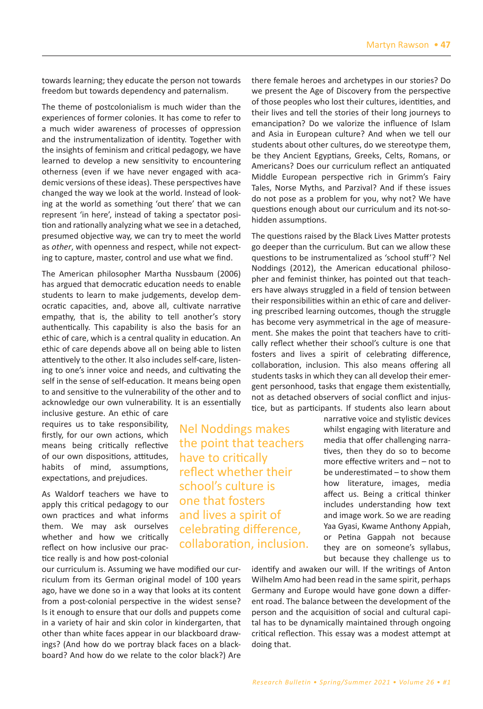towards learning; they educate the person not towards freedom but towards dependency and paternalism.

The theme of postcolonialism is much wider than the experiences of former colonies. It has come to refer to a much wider awareness of processes of oppression and the instrumentalization of identity. Together with the insights of feminism and critical pedagogy͕ we have learned to develop a new sensitivity to encountering otherness (even if we have never engaged with academic versions of these ideas). These perspectives have changed the way we look at the world. Instead of looking at the world as something 'out there' that we can represent 'in here', instead of taking a spectator position and rationally analyzing what we see in a detached, presumed objective way, we can try to meet the world as *other*, with openness and respect, while not expecting to capture, master, control and use what we find.

The American philosopher Martha Nussbaum (2006) has argued that democratic education needs to enable students to learn to make judgements, develop democratic capacities, and, above all, cultivate narrative empathy, that is, the ability to tell another's story authentically. This capability is also the basis for an ethic of care, which is a central quality in education. An ethic of care depends above all on being able to listen attentively to the other. It also includes self-care, listening to one's inner voice and needs, and cultivating the self in the sense of self-education. It means being open to and sensitive to the vulnerability of the other and to acknowledge our own vulnerability. It is an essentially

> Nel Noddings makes the point that teachers

reflect whether their school's culture is one that fosters and lives a spirit of celebrating difference, collaboration, inclusion.

have to critically

inclusive gesture. An ethic of care requires us to take responsibility, firstly͕ for our own actions͕ which means being critically reflective of our own dispositions, attitudes, habits of mind, assumptions, expectations, and prejudices.

As Waldorf teachers we have to apply this critical pedagogy to our own practices and what informs them. We may ask ourselves whether and how we critically reflect on how inclusive our practice really is and how post-colonial

our curriculum is. Assuming we have modified our curriculum from its German original model of 100 years ago, have we done so in a way that looks at its content from a post-colonial perspective in the widest sense? Is it enough to ensure that our dolls and puppets come in a variety of hair and skin color in kindergarten͕ that other than white faces appear in our blackboard drawings? (And how do we portray black faces on a blackboard? And how do we relate to the color black?) Are there female heroes and archetypes in our stories? Do we present the Age of Discovery from the perspective of those peoples who lost their cultures, identities, and their lives and tell the stories of their long journeys to emancipation? Do we valorize the influence of Islam and Asia in European culture? And when we tell our students about other cultures, do we stereotype them, be they Ancient Egyptians͕ Greeks͕ Celts͕ Romans͕ or Americans? Does our curriculum reflect an antiquated Middle European perspective rich in Grimm's Fairy Tales, Norse Myths, and Parzival? And if these issues do not pose as a problem for you, why not? We have Ƌuestions enough about our curriculum and its not-sohidden assumptions.

The questions raised by the Black Lives Matter protests go deeper than the curriculum. But can we allow these questions to be instrumentalized as 'school stuff'? Nel Noddings (2012), the American educational philosopher and feminist thinker, has pointed out that teachers have always struggled in a field of tension between their responsibilities within an ethic of care and delivering prescribed learning outcomes͕ though the struggle has become very asymmetrical in the age of measurement. She makes the point that teachers have to critically reflect whether their school's culture is one that fosters and lives a spirit of celebrating difference, collaboration, inclusion. This also means offering all students tasks in which they can all develop their emergent personhood, tasks that engage them existentially, not as detached observers of social conflict and injustice, but as participants. If students also learn about

narrative voice and stylistic devices whilst engaging with literature and media that offer challenging narratives͕ then they do so to become more effective writers and  $-$  not to be underestimated  $-$  to show them how literature, images, media affect us. Being a critical thinker includes understanding how text and image work. So we are reading Yaa Gyasi, Kwame Anthony Appiah, or Petina Gappah not because they are on someone's syllabus, but because they challenge us to

identify and awaken our will. If the writings of Anton Wilhelm Amo had been read in the same spirit, perhaps Germany and Europe would have gone down a different road. The balance between the development of the person and the acquisition of social and cultural capital has to be dynamically maintained through ongoing critical reflection. This essay was a modest attempt at doing that.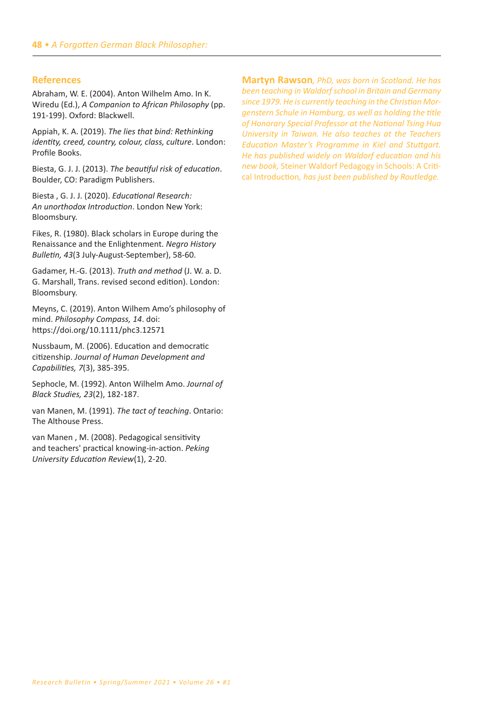# **References**

Abraham, W. E. (2004). Anton Wilhelm Amo. In K. Wiredu (Ed.), A Companion to African Philosophy (pp. 191-199). Oxford: Blackwell.

Appiah, K. A. (2019). The lies that bind: Rethinking *identity, creed, country, colour, class, culture*. London: Profile Books.

Biesta, G. J. J. (2013). The beautiful risk of education. Boulder, CO: Paradigm Publishers.

Biesta, G. J. J. (2020). *Educational Research:* An unorthodox Introduction. London New York: Bloomsbury.

Fikes, R. (1980). Black scholars in Europe during the Renaissance and the Enlightenment͘ *Negro History Bulletin, 43*(3 July-August-September), 58-60.

Gadamer, H.-G. (2013). Truth and method (J. W. a. D. G. Marshall, Trans. revised second edition). London: Bloomsbury.

Meyns, C. (2019). Anton Wilhem Amo's philosophy of mind. Philosophy Compass, 14. doi: https://doi.org/10.1111/phc3.12571

Nussbaum, M. (2006). Education and democratic citizenship͘ *Journal of Human Development and Capabilities, 7*(3), 385-395.

Sephocle, M. (1992). Anton Wilhelm Amo. Journal of *Black Studies, 23*(2), 182-187.

van Manen, M. (1991). The tact of teaching. Ontario: The Althouse Press.

van Manen, M. (2008). Pedagogical sensitivity and teachers' practical knowing-in-action. Peking *University Education Review*(1), 2-20.

**Martyn Rawson***, PhD, was born in Scotland. He has been teaching in Waldorf school in Britain and Germany since 1979. He is currently teaching in the Christian Morgenstern Schule in Hamburg, as well as holding the title of Honorary Special Professor at the National Tsing Hua University in Taiwan. He also teaches at the Teachers Education Master's Programme in Kiel and Stuttgart. He has published widely on Waldorf education and his new book,* Steiner Waldorf Pedagogy in Schools͗ A Critical Introduction*, has just been published by Routledge.*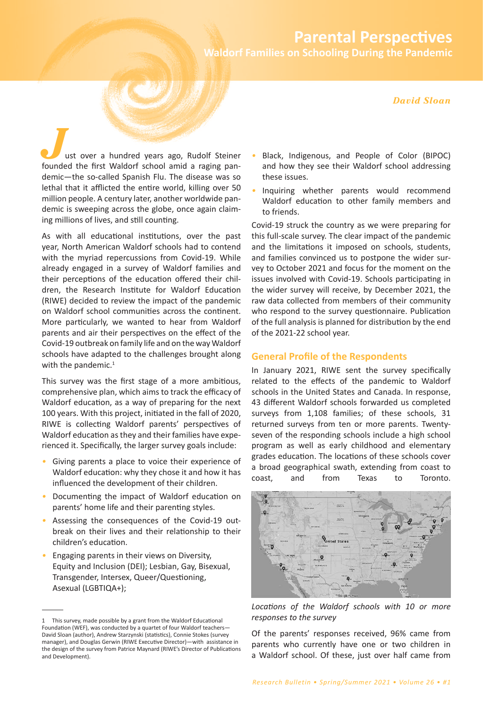# **Parental Perspectives**

**Waldorf Families on Schooling During the Pandemic** 

#### **David Sloan**

ust over a hundred years ago, Rudolf Steiner founded the first Waldorf school amid a raging pandemic-the so-called Spanish Flu. The disease was so lethal that it afflicted the entire world, killing over 50 million people. A century later, another worldwide pandemic is sweeping across the globe, once again claiming millions of lives, and still counting.

As with all educational institutions, over the past year, North American Waldorf schools had to contend with the myriad repercussions from Covid-19. While already engaged in a survey of Waldorf families and their perceptions of the education offered their children, the Research Institute for Waldorf Education (RIWE) decided to review the impact of the pandemic on Waldorf school communities across the continent. More particularly, we wanted to hear from Waldorf parents and air their perspectives on the effect of the Covid-19 outbreak on family life and on the way Waldorf schools have adapted to the challenges brought along with the pandemic.<sup>1</sup>

This survey was the first stage of a more ambitious, comprehensive plan, which aims to track the efficacy of Waldorf education, as a way of preparing for the next 100 years. With this project, initiated in the fall of 2020, RIWE is collecting Waldorf parents' perspectives of Waldorf education as they and their families have experienced it. Specifically, the larger survey goals include:

- Giving parents a place to voice their experience of Waldorf education: why they chose it and how it has influenced the development of their children.
- Documenting the impact of Waldorf education on parents' home life and their parenting styles.
- Assessing the consequences of the Covid-19 outbreak on their lives and their relationship to their children's education.
- Engaging parents in their views on Diversity, Equity and Inclusion (DEI); Lesbian, Gay, Bisexual, Transgender, Intersex, Queer/Questioning, Asexual (LGBTIQA+);
- Black, Indigenous, and People of Color (BIPOC) and how they see their Waldorf school addressing these issues.
- Inquiring whether parents would recommend Waldorf education to other family members and to friends.

Covid-19 struck the country as we were preparing for this full-scale survey. The clear impact of the pandemic and the limitations it imposed on schools, students, and families convinced us to postpone the wider survey to October 2021 and focus for the moment on the issues involved with Covid-19. Schools participating in the wider survey will receive, by December 2021, the raw data collected from members of their community who respond to the survey questionnaire. Publication of the full analysis is planned for distribution by the end of the 2021-22 school year.

## **General Profile of the Respondents**

In January 2021, RIWE sent the survey specifically related to the effects of the pandemic to Waldorf schools in the United States and Canada. In response, 43 different Waldorf schools forwarded us completed surveys from 1,108 families; of these schools, 31 returned surveys from ten or more parents. Twentyseven of the responding schools include a high school program as well as early childhood and elementary grades education. The locations of these schools cover a broad geographical swath, extending from coast to coast. and from **Texas** to Toronto.



Locations of the Waldorf schools with 10 or more responses to the survey

Of the parents' responses received, 96% came from parents who currently have one or two children in a Waldorf school. Of these, just over half came from

<sup>1</sup> This survey, made possible by a grant from the Waldorf Educational Foundation (WEF), was conducted by a quartet of four Waldorf teachers-David Sloan (author), Andrew Starzynski (statistics), Connie Stokes (survey manager), and Douglas Gerwin (RIWE Executive Director)-with assistance in the design of the survey from Patrice Maynard (RIWE's Director of Publications and Development).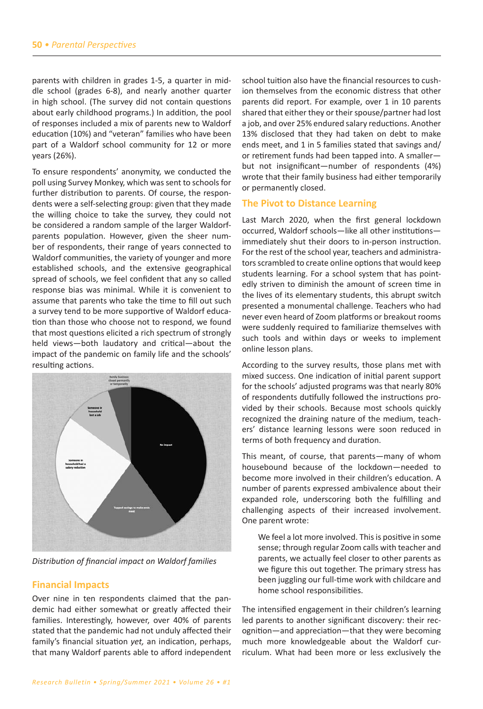parents with children in grades 1-5, a quarter in middle school (grades 6-8), and nearly another quarter in high school. (The survey did not contain questions about early childhood programs.) In addition, the pool of responses included a mix of parents new to Waldorf education (10%) and "veteran" families who have been part of a Waldorf school community for 12 or more years (26%).

To ensure respondents' anonymity, we conducted the poll using Survey Monkey͕ which was sent to schools for further distribution to parents. Of course, the respondents were a self-selecting group: given that they made the willing choice to take the survey͕ they could not be considered a random sample of the larger Waldorfparents population. However, given the sheer number of respondents͕ their range of years connected to Waldorf communities, the variety of younger and more established schools, and the extensive geographical spread of schools, we feel confident that any so called response bias was minimal. While it is convenient to assume that parents who take the time to fill out such a survey tend to be more supportive of Waldorf education than those who choose not to respond͕ we found that most Ƌuestions elicited a rich spectrum of strongly held views-both laudatory and critical-about the impact of the pandemic on family life and the schools' resulting actions.



*Distribution of financial impact on Waldorf families*

## **Financial Impacts**

Over nine in ten respondents claimed that the pandemic had either somewhat or greatly affected their families. Interestingly, however, over 40% of parents stated that the pandemic had not unduly affected their family's financial situation *yet*, an indication, perhaps, that many Waldorf parents able to afford independent school tuition also have the financial resources to cushion themselves from the economic distress that other parents did report. For example, over 1 in 10 parents shared that either they or their spouse/partner had lost a job, and over 25% endured salary reductions. Another 13% disclosed that they had taken on debt to make ends meet, and 1 in 5 families stated that savings and/ or retirement funds had been tapped into. A smallerbut not insignificant-number of respondents (4%) wrote that their family business had either temporarily or permanently closed.

#### **The Pivot to Distance Learning**

Last March 2020, when the first general lockdown occurred, Waldorf schools-like all other institutionsimmediately shut their doors to in-person instruction. For the rest of the school year, teachers and administrators scrambled to create online options that would keep students learning. For a school system that has pointedly striven to diminish the amount of screen time in the lives of its elementary students͕ this abrupt switch presented a monumental challenge. Teachers who had never even heard of Zoom platforms or breakout rooms were suddenly required to familiarize themselves with such tools and within days or weeks to implement online lesson plans.

According to the survey results, those plans met with mixed success. One indication of initial parent support for the schools' adjusted programs was that nearly 80% of respondents dutifully followed the instructions provided by their schools. Because most schools quickly recognized the draining nature of the medium͕ teachers' distance learning lessons were soon reduced in terms of both frequency and duration.

This meant, of course, that parents-many of whom housebound because of the lockdown-needed to become more involved in their children's education. A number of parents expressed ambivalence about their expanded role, underscoring both the fulfilling and challenging aspects of their increased involvement. One parent wrote:

We feel a lot more involved. This is positive in some sense; through regular Zoom calls with teacher and parents͕ we actually feel closer to other parents as we figure this out together. The primary stress has been juggling our full-time work with childcare and home school responsibilities.

The intensified engagement in their children's learning led parents to another significant discovery: their recognition—and appreciation—that they were becoming much more knowledgeable about the Waldorf curriculum. What had been more or less exclusively the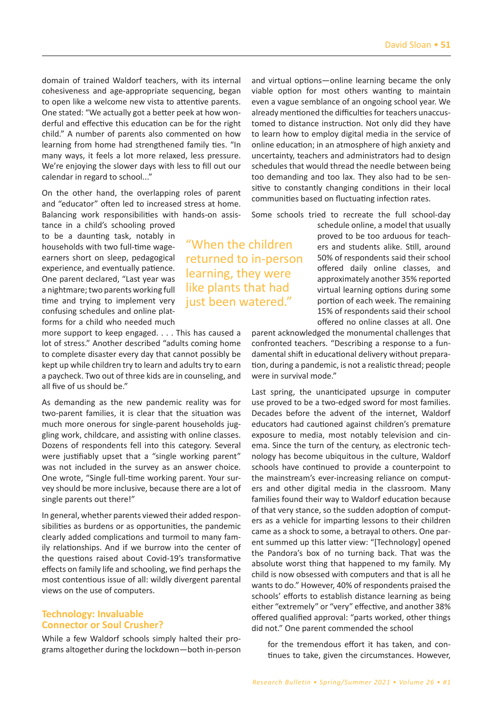domain of trained Waldorf teachers, with its internal cohesiveness and age-appropriate sequencing, began to open like a welcome new vista to attentive parents. One stated: "We actually got a better peek at how wonderful and effective this education can be for the right child." A number of parents also commented on how learning from home had strengthened family ties. "In many ways, it feels a lot more relaxed, less pressure. We're enjoying the slower days with less to fill out our calendar in regard to school..."

On the other hand, the overlapping roles of parent and "educator" often led to increased stress at home. Balancing work responsibilities with hands-on assis-

tance in a child's schooling proved to be a daunting task, notably in households with two full-time wageearners short on sleep, pedagogical experience, and eventually patience. One parent declared, "Last year was a nightmare; two parents working full time and trying to implement very confusing schedules and online platforms for a child who needed much

more support to keep engaged. . . . This has caused a lot of stress." Another described "adults coming home to complete disaster every day that cannot possibly be kept up while children try to learn and adults try to earn a paycheck. Two out of three kids are in counseling, and all five of us should be."

As demanding as the new pandemic reality was for two-parent families, it is clear that the situation was much more onerous for single-parent households juggling work, childcare, and assisting with online classes. Dozens of respondents fell into this category. Several were justifiably upset that a "single working parent" was not included in the survey as an answer choice. One wrote, "Single full-time working parent. Your survey should be more inclusive, because there are a lot of single parents out there!"

In general, whether parents viewed their added responsibilities as burdens or as opportunities, the pandemic clearly added complications and turmoil to many family relationships. And if we burrow into the center of the questions raised about Covid-19's transformative effects on family life and schooling, we find perhaps the most contentious issue of all: wildly divergent parental views on the use of computers.

# **Technology: Invaluable Connector or Soul Crusher?**

While a few Waldorf schools simply halted their programs altogether during the lockdown-both in-person and virtual options-online learning became the only viable option for most others wanting to maintain even a vague semblance of an ongoing school year. We already mentioned the difficulties for teachers unaccustomed to distance instruction. Not only did they have to learn how to employ digital media in the service of online education; in an atmosphere of high anxiety and uncertainty, teachers and administrators had to design schedules that would thread the needle between being too demanding and too lax. They also had to be sensitive to constantly changing conditions in their local communities based on fluctuating infection rates.

Some schools tried to recreate the full school-day

"When the children returned to in-person learning, they were like plants that had just been watered."

schedule online, a model that usually proved to be too arduous for teachers and students alike. Still, around 50% of respondents said their school offered daily online classes, and approximately another 35% reported virtual learning options during some portion of each week. The remaining 15% of respondents said their school offered no online classes at all. One

parent acknowledged the monumental challenges that confronted teachers. "Describing a response to a fundamental shift in educational delivery without preparation, during a pandemic, is not a realistic thread; people were in survival mode."

Last spring, the unanticipated upsurge in computer use proved to be a two-edged sword for most families. Decades before the advent of the internet, Waldorf educators had cautioned against children's premature exposure to media, most notably television and cinema. Since the turn of the century, as electronic technology has become ubiquitous in the culture, Waldorf schools have continued to provide a counterpoint to the mainstream's ever-increasing reliance on computers and other digital media in the classroom. Many families found their way to Waldorf education because of that very stance, so the sudden adoption of computers as a vehicle for imparting lessons to their children came as a shock to some, a betrayal to others. One parent summed up this latter view: "[Technology] opened the Pandora's box of no turning back. That was the absolute worst thing that happened to my family. My child is now obsessed with computers and that is all he wants to do." However, 40% of respondents praised the schools' efforts to establish distance learning as being either "extremely" or "very" effective, and another 38% offered qualified approval: "parts worked, other things did not." One parent commended the school

for the tremendous effort it has taken, and continues to take, given the circumstances. However,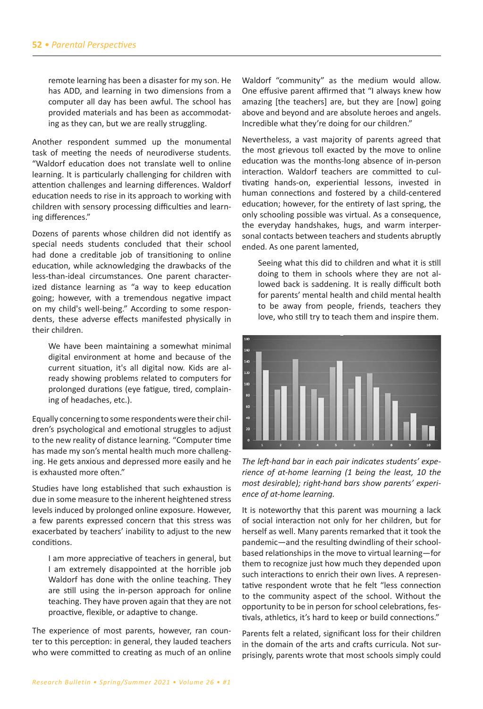remote learning has been a disaster for my son. He has ADD, and learning in two dimensions from a computer all day has been awful. The school has provided materials and has been as accommodating as they can, but we are really struggling.

Another respondent summed up the monumental task of meeting the needs of neurodiverse students. ͞Waldorf education does not translate well to online learning. It is particularly challenging for children with attention challenges and learning differences. Waldorf education needs to rise in its approach to working with children with sensory processing difficulties and learning differences."

Dozens of parents whose children did not identify as special needs students concluded that their school had done a creditable job of transitioning to online education͕ while acknowledging the drawbacks of the less-than-ideal circumstances. One parent characterized distance learning as "a way to keep education going͖ however͕ with a tremendous negative impact on my child's well-being." According to some respondents, these adverse effects manifested physically in their children.

We have been maintaining a somewhat minimal digital environment at home and because of the current situation, it's all digital now. Kids are already showing problems related to computers for prolonged durations (eye fatigue, tired, complaining of headaches, etc.).

Equally concerning to some respondents were their children's psychological and emotional struggles to adjust to the new reality of distance learning. "Computer time has made my son's mental health much more challenging. He gets anxious and depressed more easily and he is exhausted more often."

Studies have long established that such exhaustion is due in some measure to the inherent heightened stress levels induced by prolonged online exposure. However, a few parents expressed concern that this stress was exacerbated by teachers' inability to adjust to the new conditions.

I am more appreciative of teachers in general, but I am extremely disappointed at the horrible job Waldorf has done with the online teaching. They are still using the in-person approach for online teaching. They have proven again that they are not proactive, flexible, or adaptive to change.

The experience of most parents, however, ran counter to this perception: in general, they lauded teachers who were committed to creating as much of an online Waldorf "community" as the medium would allow. One effusive parent affirmed that "I always knew how amazing [the teachers] are, but they are [now] going above and beyond and are absolute heroes and angels. Incredible what they're doing for our children."

Nevertheless, a vast majority of parents agreed that the most grievous toll exacted by the move to online education was the months-long absence of in-person interaction. Waldorf teachers are committed to cultivating hands-on, experiential lessons, invested in human connections and fostered by a child-centered education; however, for the entirety of last spring, the only schooling possible was virtual. As a consequence, the everyday handshakes, hugs, and warm interpersonal contacts between teachers and students abruptly ended. As one parent lamented,

Seeing what this did to children and what it is still doing to them in schools where they are not allowed back is saddening. It is really difficult both for parents' mental health and child mental health to be away from people, friends, teachers they love, who still try to teach them and inspire them.



*The left-hand bar in each pair indicates students' experience of at-home learning (1 being the least, 10 the most desirable); right-hand bars show parents' experience of at-home learning.*

It is noteworthy that this parent was mourning a lack of social interaction not only for her children͕ but for herself as well. Many parents remarked that it took the pandemic-and the resulting dwindling of their schoolbased relationships in the move to virtual learning-for them to recognize just how much they depended upon such interactions to enrich their own lives. A representative respondent wrote that he felt "less connection to the community aspect of the school. Without the opportunity to be in person for school celebrations͕ festivals, athletics, it's hard to keep or build connections."

Parents felt a related, significant loss for their children in the domain of the arts and crafts curricula. Not surprisingly͕ parents wrote that most schools simply could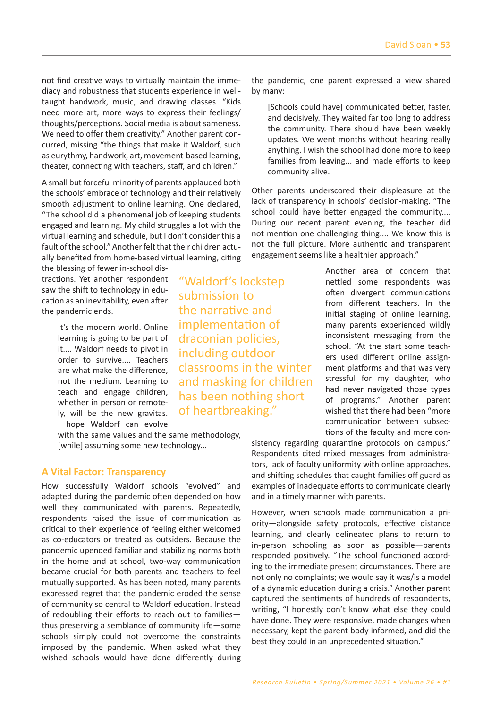not find creative ways to virtually maintain the immediacy and robustness that students experience in welltaught handwork, music, and drawing classes. "Kids need more art, more ways to express their feelings/ thoughts/perceptions. Social media is about sameness. We need to offer them creativity." Another parent concurred, missing "the things that make it Waldorf, such as eurythmy, handwork, art, movement-based learning, theater, connecting with teachers, staff, and children."

A small but forceful minority of parents applauded both the schools' embrace of technology and their relatively smooth adjustment to online learning. One declared, ͞The school did a phenomenal ũob of keeping students engaged and learning. My child struggles a lot with the virtual learning and schedule, but I don't consider this a fault of the school." Another felt that their children actually benefited from home-based virtual learning͕ citing

the blessing of fewer in-school distractions. Yet another respondent saw the shift to technology in education as an inevitability, even after the pandemic ends.

> It's the modern world. Online learning is going to be part of it.... Waldorf needs to pivot in order to survive.... Teachers are what make the difference, not the medium. Learning to teach and engage children, whether in person or remotely, will be the new gravitas. I hope Waldorf can evolve

with the same values and the same methodology, [while] assuming some new technology...

#### **A Vital Factor: Transparency**

How successfully Waldorf schools "evolved" and adapted during the pandemic often depended on how well they communicated with parents. Repeatedly, respondents raised the issue of communication as critical to their experience of feeling either welcomed as co-educators or treated as outsiders. Because the pandemic upended familiar and stabilizing norms both in the home and at school, two-way communication became crucial for both parents and teachers to feel mutually supported. As has been noted, many parents expressed regret that the pandemic eroded the sense of community so central to Waldorf education. Instead of redoubling their efforts to reach out to familiesthus preserving a semblance of community life-some schools simply could not overcome the constraints imposed by the pandemic. When asked what they wished schools would have done differently during

"Waldorf's lockstep submission to the narrative and implementation of draconian policies, including outdoor classrooms in the winter and masking for children has been nothing short of heartbreaking."

the pandemic, one parent expressed a view shared by many:

[Schools could have] communicated better, faster, and decisively. They waited far too long to address the community. There should have been weekly updates. We went months without hearing really anything. I wish the school had done more to keep families from leaving... and made efforts to keep community alive.

Other parents underscored their displeasure at the lack of transparency in schools' decision-making. "The school could have better engaged the community.... During our recent parent evening, the teacher did not mention one challenging thing.... We know this is not the full picture. More authentic and transparent engagement seems like a healthier approach."

> Another area of concern that nettled some respondents was often divergent communications from different teachers. In the initial staging of online learning, many parents experienced wildly inconsistent messaging from the school. "At the start some teachers used different online assignment platforms and that was very stressful for my daughter, who had never navigated those types of programs͘͟ Another parent wished that there had been "more communication between subsections of the faculty and more con-

sistency regarding quarantine protocols on campus." Respondents cited mixed messages from administrators, lack of faculty uniformity with online approaches, and shifting schedules that caught families off guard as examples of inadequate efforts to communicate clearly and in a timely manner with parents.

However͕ when schools made communication a priority-alongside safety protocols, effective distance learning, and clearly delineated plans to return to in-person schooling as soon as possible-parents responded positively. "The school functioned according to the immediate present circumstances. There are not only no complaints; we would say it was/is a model of a dynamic education during a crisis͘͟ Another parent captured the sentiments of hundreds of respondents͕ writing, "I honestly don't know what else they could have done. They were responsive, made changes when necessary, kept the parent body informed, and did the best they could in an unprecedented situation."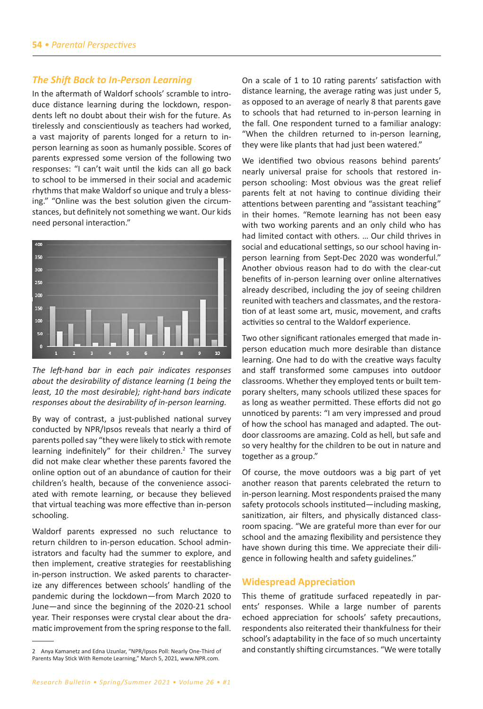#### **The Shift Back to In-Person Learning**

In the aftermath of Waldorf schools' scramble to introduce distance learning during the lockdown, respondents left no doubt about their wish for the future. As tirelessly and conscientiously as teachers had worked, a vast majority of parents longed for a return to inperson learning as soon as humanly possible. Scores of parents expressed some version of the following two responses: "I can't wait until the kids can all go back to school to be immersed in their social and academic rhythms that make Waldorf so unique and truly a blessing." "Online was the best solution given the circumstances, but definitely not something we want. Our kids need personal interaction."



The left-hand bar in each pair indicates responses about the desirability of distance learning (1 being the least, 10 the most desirable); right-hand bars indicate responses about the desirability of in-person learning.

By way of contrast, a just-published national survey conducted by NPR/Ipsos reveals that nearly a third of parents polled say "they were likely to stick with remote learning indefinitely" for their children.<sup>2</sup> The survey did not make clear whether these parents favored the online option out of an abundance of caution for their children's health, because of the convenience associated with remote learning, or because they believed that virtual teaching was more effective than in-person schooling.

Waldorf parents expressed no such reluctance to return children to in-person education. School administrators and faculty had the summer to explore, and then implement, creative strategies for reestablishing in-person instruction. We asked parents to characterize any differences between schools' handling of the pandemic during the lockdown-from March 2020 to June-and since the beginning of the 2020-21 school year. Their responses were crystal clear about the dramatic improvement from the spring response to the fall. On a scale of 1 to 10 rating parents' satisfaction with distance learning, the average rating was just under 5, as opposed to an average of nearly 8 that parents gave to schools that had returned to in-person learning in the fall. One respondent turned to a familiar analogy: "When the children returned to in-person learning, they were like plants that had just been watered."

We identified two obvious reasons behind parents' nearly universal praise for schools that restored inperson schooling: Most obvious was the great relief parents felt at not having to continue dividing their attentions between parenting and "assistant teaching" in their homes. "Remote learning has not been easy with two working parents and an only child who has had limited contact with others. ... Our child thrives in social and educational settings, so our school having inperson learning from Sept-Dec 2020 was wonderful." Another obvious reason had to do with the clear-cut benefits of in-person learning over online alternatives already described, including the joy of seeing children reunited with teachers and classmates, and the restoration of at least some art, music, movement, and crafts activities so central to the Waldorf experience.

Two other significant rationales emerged that made inperson education much more desirable than distance learning. One had to do with the creative ways faculty and staff transformed some campuses into outdoor classrooms. Whether they employed tents or built temporary shelters, many schools utilized these spaces for as long as weather permitted. These efforts did not go unnoticed by parents: "I am very impressed and proud of how the school has managed and adapted. The outdoor classrooms are amazing. Cold as hell, but safe and so very healthy for the children to be out in nature and together as a group."

Of course, the move outdoors was a big part of yet another reason that parents celebrated the return to in-person learning. Most respondents praised the many safety protocols schools instituted—including masking, sanitization, air filters, and physically distanced classroom spacing. "We are grateful more than ever for our school and the amazing flexibility and persistence they have shown during this time. We appreciate their diligence in following health and safety guidelines."

## **Widespread Appreciation**

This theme of gratitude surfaced repeatedly in parents' responses. While a large number of parents echoed appreciation for schools' safety precautions, respondents also reiterated their thankfulness for their school's adaptability in the face of so much uncertainty and constantly shifting circumstances. "We were totally

<sup>2</sup> Anya Kamanetz and Edna Uzunlar, "NPR/Ipsos Poll: Nearly One-Third of Parents May Stick With Remote Learning," March 5, 2021, www.NPR.com.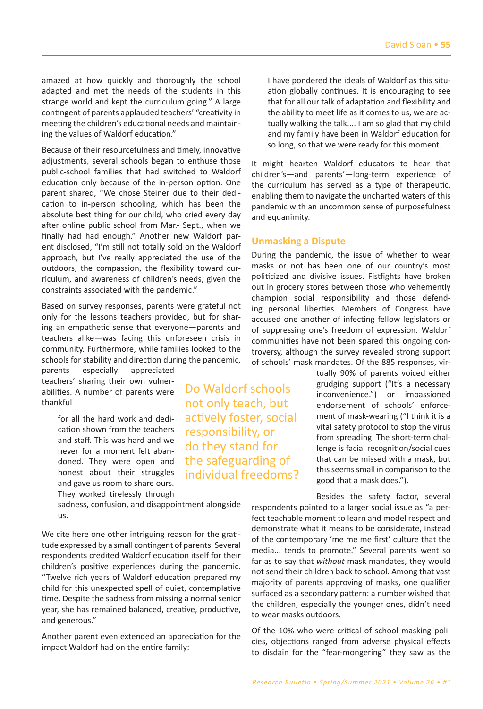amazed at how quickly and thoroughly the school adapted and met the needs of the students in this strange world and kept the curriculum going." A large contingent of parents applauded teachers' "creativity in meeting the children's educational needs and maintaining the values of Waldorf education."

Because of their resourcefulness and timely͕ innovative adjustments, several schools began to enthuse those public-school families that had switched to Waldorf education only because of the in-person option. One parent shared, "We chose Steiner due to their dedication to in-person schooling, which has been the absolute best thing for our child, who cried every day after online public school from Mar.- Sept., when we finally had had enough." Another new Waldorf parent disclosed, "I'm still not totally sold on the Waldorf approach, but I've really appreciated the use of the outdoors, the compassion, the flexibility toward curriculum, and awareness of children's needs, given the constraints associated with the pandemic."

Based on survey responses͕ parents were grateful not only for the lessons teachers provided͕ but for sharing an empathetic sense that everyone - parents and teachers alike-was facing this unforeseen crisis in community. Furthermore, while families looked to the schools for stability and direction during the pandemic,

parents especially appreciated teachers' sharing their own vulnerabilities. A number of parents were thankful

> for all the hard work and dedication shown from the teachers and staff. This was hard and we never for a moment felt abandoned. They were open and honest about their struggles and gave us room to share ours. They worked tirelessly through

sadness, confusion, and disappointment alongside us.

We cite here one other intriguing reason for the gratitude expressed by a small contingent of parents. Several respondents credited Waldorf education itself for their children's positive experiences during the pandemic. ͞Twelve rich years of Waldorf education prepared my child for this unexpected spell of quiet, contemplative time. Despite the sadness from missing a normal senior year, she has remained balanced, creative, productive, and generous."

Another parent even extended an appreciation for the impact Waldorf had on the entire family:

the ability to meet life as it comes to us͕ we are actually walking the talk.... I am so glad that my child and my family have been in Waldorf education for so long, so that we were ready for this moment. It might hearten Waldorf educators to hear that

I have pondered the ideals of Waldorf as this situation globally continues. It is encouraging to see that for all our talk of adaptation and flexibility and

children's—and parents'—long-term experience of the curriculum has served as a type of therapeutic, enabling them to navigate the uncharted waters of this pandemic with an uncommon sense of purposefulness and equanimity.

## **Unmasking a Dispute**

Do Waldorf schools not only teach͕ but actively foster͕ social responsibility͕ or do they stand for the safeguarding of individual freedoms?

During the pandemic, the issue of whether to wear masks or not has been one of our country's most politicized and divisive issues. Fistfights have broken out in grocery stores between those who vehemently champion social responsibility and those defending personal liberties. Members of Congress have accused one another of infecting fellow legislators or of suppressing one's freedom of expression. Waldorf communities have not been spared this ongoing controversy͕ although the survey revealed strong support of schools' mask mandates. Of the 885 responses, vir-

> tually 90% of parents voiced either grudging support ("It's a necessary inconvenience.") or impassioned endorsement of schools' enforcement of mask-wearing ("I think it is a vital safety protocol to stop the virus from spreading. The short-term challenge is facial recognition/social cues that can be missed with a mask, but this seems small in comparison to the good that a mask does.").

> Besides the safety factor, several

respondents pointed to a larger social issue as "a perfect teachable moment to learn and model respect and demonstrate what it means to be considerate, instead of the contemporary 'me me me first' culture that the media... tends to promote." Several parents went so far as to say that *without* mask mandates, they would not send their children back to school. Among that vast majority of parents approving of masks, one qualifier surfaced as a secondary pattern: a number wished that the children, especially the younger ones, didn't need to wear masks outdoors.

Of the 10% who were critical of school masking policies, objections ranged from adverse physical effects to disdain for the "fear-mongering" they saw as the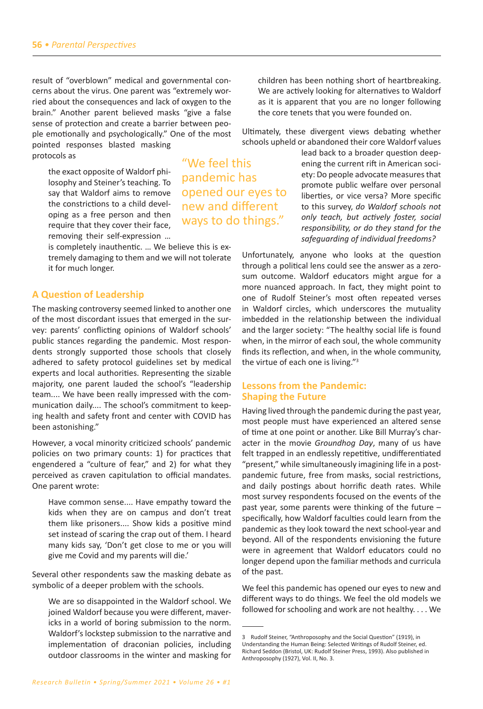result of "overblown" medical and governmental concerns about the virus. One parent was "extremely worried about the consequences and lack of oxygen to the brain." Another parent believed masks "give a false sense of protection and create a barrier between people emotionally and psychologically." One of the most pointed responses blasted masking protocols as

the exact opposite of Waldorf philosophy and Steiner's teaching. To say that Waldorf aims to remove the constrictions to a child developing as a free person and then require that they cover their face, removing their self-expression ...

is completely inauthentic. ... We believe this is extremely damaging to them and we will not tolerate it for much longer.

# **A Question of Leadership**

The masking controversy seemed linked to another one of the most discordant issues that emerged in the survey: parents' conflicting opinions of Waldorf schools' public stances regarding the pandemic. Most respondents strongly supported those schools that closely adhered to safety protocol guidelines set by medical experts and local authorities. Representing the sizable majority, one parent lauded the school's "leadership team.... We have been really impressed with the communication daily.... The school's commitment to keeping health and safety front and center with COVID has been astonishing."

However, a vocal minority criticized schools' pandemic policies on two primary counts: 1) for practices that engendered a "culture of fear," and 2) for what they perceived as craven capitulation to official mandates. One parent wrote:

Have common sense.... Have empathy toward the kids when they are on campus and don't treat them like prisoners.... Show kids a positive mind set instead of scaring the crap out of them. I heard many kids say, 'Don't get close to me or you will give me Covid and my parents will die.'

Several other respondents saw the masking debate as symbolic of a deeper problem with the schools.

We are so disappointed in the Waldorf school. We joined Waldorf because you were different, mavericks in a world of boring submission to the norm. Waldorf's lockstep submission to the narrative and implementation of draconian policies, including outdoor classrooms in the winter and masking for

children has been nothing short of heartbreaking. We are actively looking for alternatives to Waldorf as it is apparent that you are no longer following the core tenets that you were founded on.

Ultimately͕ these divergent views debating whether schools upheld or abandoned their core Waldorf values

> lead back to a broader question deepening the current rift in American society͗ Do people advocate measures that promote public welfare over personal liberties, or vice versa? More specific to this survey͕ *do Waldorf schools not only teach, but actively foster, social responsibility, or do they stand for the safeguarding of individual freedoms?*

Unfortunately, anyone who looks at the question through a political lens could see the answer as a zerosum outcome. Waldorf educators might argue for a more nuanced approach. In fact, they might point to one of Rudolf Steiner's most often repeated verses in Waldorf circles, which underscores the mutuality imbedded in the relationship between the individual and the larger society: "The healthy social life is found when, in the mirror of each soul, the whole community finds its reflection, and when, in the whole community, the virtue of each one is living." $3$ 

# **Lessons from the Pandemic: Shaping the Future**

Having lived through the pandemic during the past year͕ most people must have experienced an altered sense of time at one point or another. Like Bill Murray's character in the movie *Groundhog Day*, many of us have felt trapped in an endlessly repetitive, undifferentiated ͞present͕͟ while simultaneously imagining life in a postpandemic future͕ free from masks͕ social restrictions͕ and daily postings about horrific death rates. While most survey respondents focused on the events of the past year, some parents were thinking of the future  $$ specifically͕ how Waldorf faculties could learn from the pandemic as they look toward the next school-year and beyond. All of the respondents envisioning the future were in agreement that Waldorf educators could no longer depend upon the familiar methods and curricula of the past.

We feel this pandemic has opened our eyes to new and different ways to do things. We feel the old models we followed for schooling and work are not healthy.... We

͞We feel this pandemic has opened our eyes to new and different ways to do things."

<sup>3</sup> Rudolf Steiner, "Anthroposophy and the Social Question" (1919), in Understanding the Human Being: Selected Writings of Rudolf Steiner, ed. Richard Seddon (Bristol, UK: Rudolf Steiner Press, 1993). Also published in Anthroposophy (1927), Vol. II, No. 3.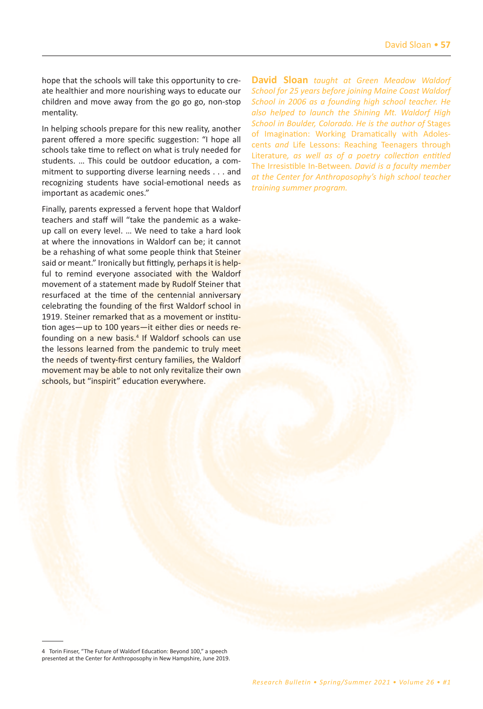hope that the schools will take this opportunity to create healthier and more nourishing ways to educate our children and move away from the go go go͕ non-stop mentality.

In helping schools prepare for this new reality͕ another parent offered a more specific suggestion: "I hope all schools take time to reflect on what is truly needed for students. ... This could be outdoor education, a commitment to supporting diverse learning needs . . . and recognizing students have social-emotional needs as important as academic ones."

Finally, parents expressed a fervent hope that Waldorf teachers and staff will "take the pandemic as a wakeup call on every level. ... We need to take a hard look at where the innovations in Waldorf can be; it cannot be a rehashing of what some people think that Steiner said or meant." Ironically but fittingly, perhaps it is helpful to remind everyone associated with the Waldorf movement of a statement made by Rudolf Steiner that resurfaced at the time of the centennial anniversary celebrating the founding of the first Waldorf school in 1919. Steiner remarked that as a movement or institution ages—up to 100 years—it either dies or needs refounding on a new basis.<sup>4</sup> If Waldorf schools can use the lessons learned from the pandemic to truly meet the needs of twenty-first century families, the Waldorf movement may be able to not only revitalize their own schools, but "inspirit" education everywhere.

**David Sloan** *taught at Green Meadow Waldorf School for 25 years before joining Maine Coast Waldorf School in 2006 as a founding high school teacher. He also helped to launch the Shining Mt. Waldorf High School in Boulder, Colorado. He is the author of* Stages of Imagination: Working Dramatically with Adolescents *and* Life Lessons: Reaching Teenagers through Literature*, as well as of a poetry collection entitled*  The Irresistible In-Between*. David is a faculty member at the Center for Anthroposophy's high school teacher training summer program.* 

<sup>4</sup> Torin Finser, "The Future of Waldorf Education: Beyond 100," a speech presented at the Center for Anthroposophy in New Hampshire, June 2019.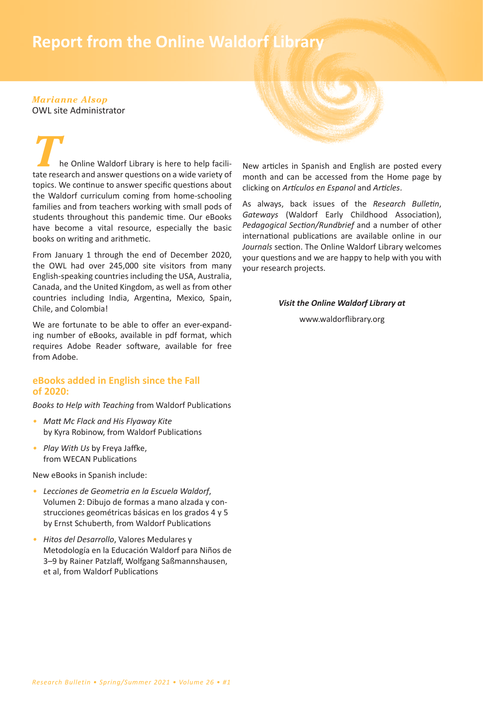# **58** *• Report from the Online Waldorf Library* **Report from the Online Waldorf Library**

#### *Marianne Alsop* OWL site Administrator

he Online Waldorf Library is here to help facilitate research and answer questions on a wide variety of topics. We continue to answer specific questions about the Waldorf curriculum coming from home-schooling families and from teachers working with small pods of students throughout this pandemic time. Our eBooks have become a vital resource, especially the basic books on writing and arithmetic.

From January 1 through the end of December 2020, the OWL had over 245,000 site visitors from many English-speaking countries including the USA͕ Australia͕ Canada͕ and the United Kingdom͕ as well as from other countries including India, Argentina, Mexico, Spain, Chile, and Colombia!

We are fortunate to be able to offer an ever-expanding number of eBooks͕ available in pdf format͕ which requires Adobe Reader software, available for free from Adobe.

# **eBooks added in English since the Fall of 2020:**

*Books to Help with Teaching* from Waldorf Publications

- *• Matt Mc Flack and His Flyaway Kite* by Kyra Robinow͕ from Waldorf Publications
- *Play With Us* by Freya Jaffke, from WECAN Publications

New eBooks in Spanish include:

- *• Lecciones de Geometria en la Escuela Waldorf*͕ Volumen 2: Dibujo de formas a mano alzada y construcciones geométricas básicas en los grados 4 y 5 by Ernst Schuberth͕ from Waldorf Publications
- *• Hitos del Desarrollo*͕ Valores Medulares y Metodología en la Educación Waldorf para Niños de 3-9 by Rainer Patzlaff, Wolfgang Saßmannshausen, et al͕ from Waldorf Publications

New articles in Spanish and English are posted every month and can be accessed from the Home page by clicking on *Artículos en Espanol* and *Articles*.

As always, back issues of the *Research Bulletin*, Gateways (Waldorf Early Childhood Association), *Pedagogical Section/Rundbrief* and a number of other international publications are available online in our Journals section. The Online Waldorf Library welcomes your questions and we are happy to help with you with your research projects.

## *Visit the Online Waldorf Library at*

www.waldorflibrary.org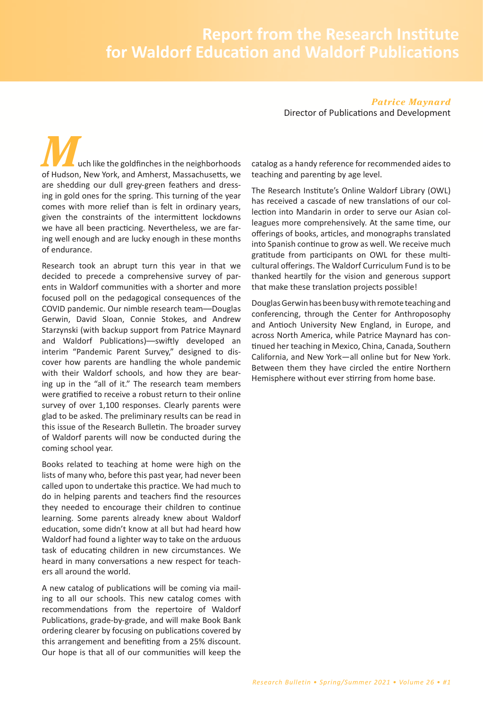*Patrice Maynard* Director of Publications and Development

uch like the goldfinches in the neighborhoods of Hudson, New York, and Amherst, Massachusetts, we are shedding our dull grey-green feathers and dressing in gold ones for the spring. This turning of the year comes with more relief than is felt in ordinary years͕ given the constraints of the intermittent lockdowns we have all been practicing. Nevertheless, we are faring well enough and are lucky enough in these months of endurance.

Research took an abrupt turn this year in that we decided to precede a comprehensive survey of parents in Waldorf communities with a shorter and more focused poll on the pedagogical consequences of the COVID pandemic. Our nimble research team--Douglas Gerwin͕ David Sloan͕ Connie Stokes͕ and Andrew Starzynski (with backup support from Patrice Maynard and Waldorf Publications)—swiftly developed an interim "Pandemic Parent Survey," designed to discover how parents are handling the whole pandemic with their Waldorf schools, and how they are bearing up in the "all of it." The research team members were gratified to receive a robust return to their online survey of over 1,100 responses. Clearly parents were glad to be asked. The preliminary results can be read in this issue of the Research Bulletin. The broader survey of Waldorf parents will now be conducted during the coming school year.

Books related to teaching at home were high on the lists of many who, before this past year, had never been called upon to undertake this practice. We had much to do in helping parents and teachers find the resources they needed to encourage their children to continue learning. Some parents already knew about Waldorf education, some didn't know at all but had heard how Waldorf had found a lighter way to take on the arduous task of educating children in new circumstances. We heard in many conversations a new respect for teachers all around the world.

A new catalog of publications will be coming via mailing to all our schools. This new catalog comes with recommendations from the repertoire of Waldorf Publications͕ grade-by-grade͕ and will make Book Bank ordering clearer by focusing on publications covered by this arrangement and benefiting from a 25% discount. Our hope is that all of our communities will keep the catalog as a handy reference for recommended aides to teaching and parenting by age level.

The Research Institute's Online Waldorf Library (OWL) has received a cascade of new translations of our collection into Mandarin in order to serve our Asian colleagues more comprehensively. At the same time, our offerings of books, articles, and monographs translated into Spanish continue to grow as well. We receive much gratitude from participants on OWL for these multicultural offerings. The Waldorf Curriculum Fund is to be thanked heartily for the vision and generous support that make these translation projects possible!

Douglas Gerwin has been busy with remote teaching and conferencing͕ through the Center for Anthroposophy and Antioch University New England, in Europe, and across North America͕ while Patrice Maynard has continued her teaching in Mexico, China, Canada, Southern California, and New York-all online but for New York. Between them they have circled the entire Northern Hemisphere without ever stirring from home base.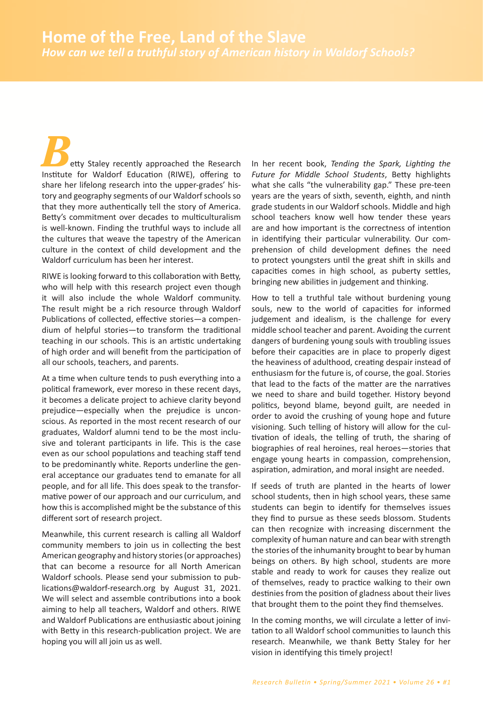etty Staley recently approached the Research Institute for Waldorf Education (RIWE), offering to share her lifelong research into the upper-grades' history and geography segments of our Waldorf schools so that they more authentically tell the story of America. Betty's commitment over decades to multiculturalism is well-known. Finding the truthful ways to include all the cultures that weave the tapestry of the American culture in the context of child development and the Waldorf curriculum has been her interest.

RIWE is looking forward to this collaboration with Betty, who will help with this research project even though it will also include the whole Waldorf community. The result might be a rich resource through Waldorf Publications of collected, effective stories-a compendium of helpful stories-to transform the traditional teaching in our schools. This is an artistic undertaking of high order and will benefit from the participation of all our schools, teachers, and parents.

At a time when culture tends to push everything into a political framework, ever moreso in these recent days, it becomes a delicate project to achieve clarity beyond prejudice-especially when the prejudice is unconscious. As reported in the most recent research of our graduates, Waldorf alumni tend to be the most inclusive and tolerant participants in life. This is the case even as our school populations and teaching staff tend to be predominantly white. Reports underline the general acceptance our graduates tend to emanate for all people, and for all life. This does speak to the transformative power of our approach and our curriculum, and how this is accomplished might be the substance of this different sort of research project.

Meanwhile, this current research is calling all Waldorf community members to join us in collecting the best American geography and history stories (or approaches) that can become a resource for all North American Waldorf schools. Please send your submission to publications@waldorf-research.org by August 31, 2021. We will select and assemble contributions into a book aiming to help all teachers, Waldorf and others. RIWE and Waldorf Publications are enthusiastic about joining with Betty in this research-publication project. We are hoping you will all join us as well.

In her recent book, Tending the Spark, Lighting the Future for Middle School Students, Betty highlights what she calls "the vulnerability gap." These pre-teen years are the years of sixth, seventh, eighth, and ninth grade students in our Waldorf schools. Middle and high school teachers know well how tender these years are and how important is the correctness of intention in identifying their particular vulnerability. Our comprehension of child development defines the need to protect youngsters until the great shift in skills and capacities comes in high school, as puberty settles, bringing new abilities in judgement and thinking.

How to tell a truthful tale without burdening young souls, new to the world of capacities for informed judgement and idealism, is the challenge for every middle school teacher and parent. Avoiding the current dangers of burdening young souls with troubling issues before their capacities are in place to properly digest the heaviness of adulthood, creating despair instead of enthusiasm for the future is, of course, the goal. Stories that lead to the facts of the matter are the narratives we need to share and build together. History beyond politics, beyond blame, beyond guilt, are needed in order to avoid the crushing of young hope and future visioning. Such telling of history will allow for the cultivation of ideals, the telling of truth, the sharing of biographies of real heroines, real heroes-stories that engage young hearts in compassion, comprehension, aspiration, admiration, and moral insight are needed.

If seeds of truth are planted in the hearts of lower school students, then in high school years, these same students can begin to identify for themselves issues they find to pursue as these seeds blossom. Students can then recognize with increasing discernment the complexity of human nature and can bear with strength the stories of the inhumanity brought to bear by human beings on others. By high school, students are more stable and ready to work for causes they realize out of themselves, ready to practice walking to their own destinies from the position of gladness about their lives that brought them to the point they find themselves.

In the coming months, we will circulate a letter of invitation to all Waldorf school communities to launch this research. Meanwhile, we thank Betty Staley for her vision in identifying this timely project!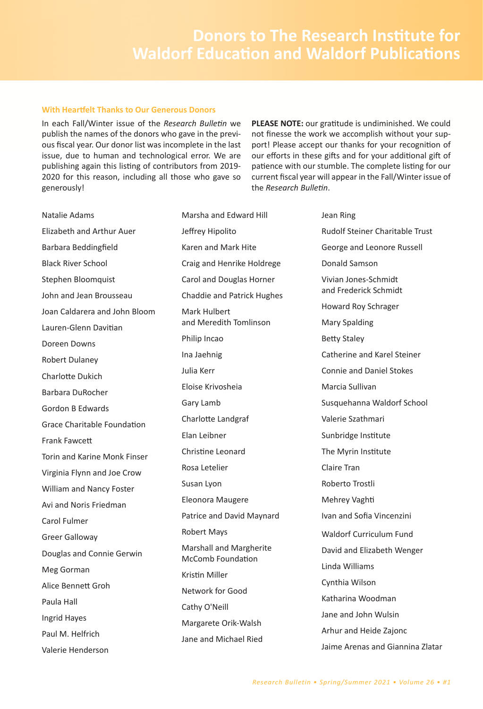#### **With Heartfelt Thanks to Our Generous Donors**

In each Fall/Winter issue of the Research Bulletin we publish the names of the donors who gave in the previous fiscal year. Our donor list was incomplete in the last issue, due to human and technological error. We are publishing again this listing of contributors from 2019-2020 for this reason, including all those who gave so generously!

PLEASE NOTE: our gratitude is undiminished. We could not finesse the work we accomplish without your support! Please accept our thanks for your recognition of our efforts in these gifts and for your additional gift of patience with our stumble. The complete listing for our current fiscal year will appear in the Fall/Winter issue of the Research Bulletin.

Natalie Adams Elizabeth and Arthur Auer Barbara Beddingfield **Black River School** Stephen Bloomquist John and Jean Brousseau Joan Caldarera and John Bloom Lauren-Glenn Davitian Doreen Downs Robert Dulaney Charlotte Dukich Barbara DuRocher Gordon B Edwards Grace Charitable Foundation **Frank Fawcett** Torin and Karine Monk Finser Virginia Flynn and Joe Crow William and Nancy Foster Avi and Noris Friedman Carol Fulmer **Greer Galloway** Douglas and Connie Gerwin Meg Gorman Alice Bennett Groh Paula Hall Ingrid Hayes Paul M. Helfrich Valerie Henderson

Marsha and Edward Hill Jeffrey Hipolito Karen and Mark Hite Craig and Henrike Holdrege Carol and Douglas Horner **Chaddie and Patrick Hughes** Mark Hulbert and Meredith Tomlinson Philip Incao Ina Jaehnig Julia Kerr Eloise Krivosheia Gary Lamb Charlotte Landgraf Elan Leibner Christine Leonard Rosa Letelier Susan Lyon Eleonora Maugere Patrice and David Maynard Robert Mays Marshall and Margherite McComb Foundation Kristin Miller Network for Good Cathy O'Neill Margarete Orik-Walsh Jane and Michael Ried

Jean Ring Rudolf Steiner Charitable Trust George and Leonore Russell Donald Samson Vivian Jones-Schmidt and Frederick Schmidt Howard Roy Schrager **Mary Spalding Betty Staley** Catherine and Karel Steiner **Connie and Daniel Stokes** Marcia Sullivan Susquehanna Waldorf School Valerie Szathmari Sunbridge Institute The Myrin Institute Claire Tran Roberto Trostli Mehrey Vaghti Ivan and Sofia Vincenzini **Waldorf Curriculum Fund** David and Elizabeth Wenger Linda Williams Cynthia Wilson Katharina Woodman Jane and John Wulsin Arhur and Heide Zajonc Jaime Arenas and Giannina Zlatar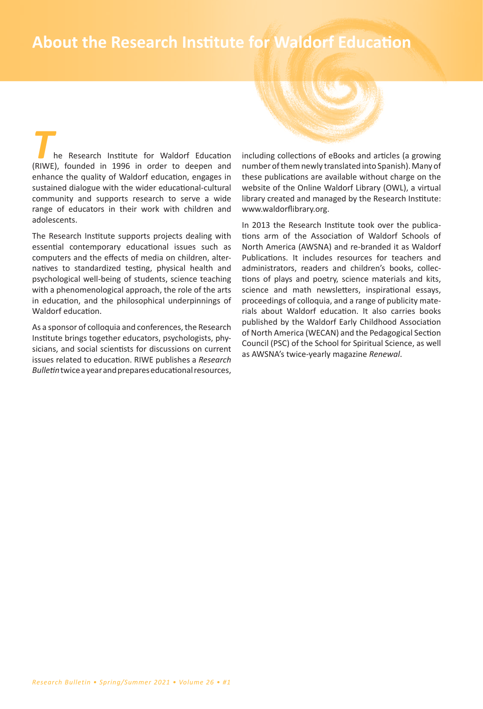# **62** *• About the Research Institute for Waldorf Education* **About the Research Institute for Waldorf Education**

*T*he Research Institute for Waldorf Education (RIWE), founded in 1996 in order to deepen and enhance the quality of Waldorf education, engages in sustained dialogue with the wider educational-cultural community and supports research to serve a wide range of educators in their work with children and adolescents.

The Research Institute supports projects dealing with essential contemporary educational issues such as computers and the effects of media on children, alternatives to standardized testing͕ physical health and psychological well-being of students͕ science teaching with a phenomenological approach, the role of the arts in education, and the philosophical underpinnings of Waldorf education.

As a sponsor of colloquia and conferences, the Research Institute brings together educators͕ psychologists͕ physicians, and social scientists for discussions on current issues related to education͘ RIWE publishes a *Research Bulletin* twice a year and prepares educational resources͕

including collections of eBooks and articles (a growing number of them newly translated into Spanish). Many of these publications are available without charge on the website of the Online Waldorf Library (OWL), a virtual library created and managed by the Research Institute: www.waldorflibrary.org.

In 2013 the Research Institute took over the publications arm of the Association of Waldorf Schools of North America (AWSNA) and re-branded it as Waldorf Publications. It includes resources for teachers and administrators, readers and children's books, collections of plays and poetry͕ science materials and kits͕ science and math newsletters, inspirational essays, proceedings of colloquia, and a range of publicity materials about Waldorf education. It also carries books published by the Waldorf Early Childhood Association of North America (WECAN) and the Pedagogical Section Council (PSC) of the School for Spiritual Science, as well as AWSNA͛s twice-yearly magazine *Renewal*.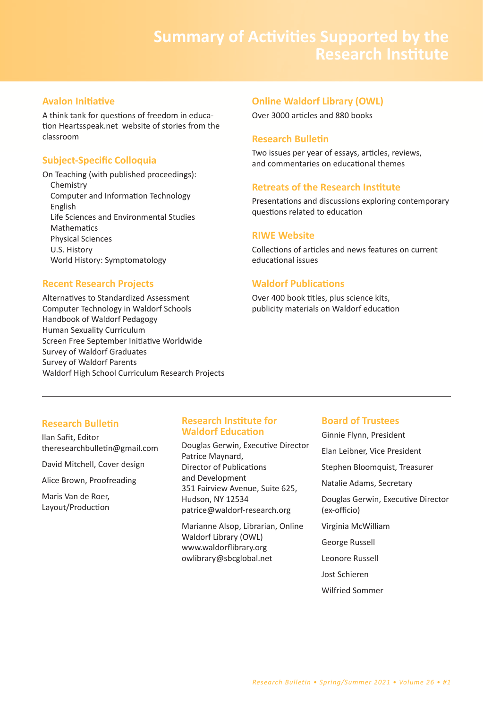# **Avalon Initiative**

A think tank for questions of freedom in education Heartsspeak.net website of stories from the classroom

# **Subject-Specific Colloquia**

On Teaching (with published proceedings): Chemistry Computer and Information Technology English Life Sciences and Environmental Studies **Mathematics** Physical Sciences U.S. History World History: Symptomatology

# **Recent Research Projects**

Alternatives to Standardized Assessment Computer Technology in Waldorf Schools Handbook of Waldorf Pedagogy Human Sexuality Curriculum Screen Free September Initiative Worldwide Survey of Waldorf Graduates Survey of Waldorf Parents Waldorf High School Curriculum Research Projects

# **Online Waldorf Library (OWL)**

Over 3000 articles and 880 books

# **Research Bulletin**

Two issues per year of essays, articles, reviews, and commentaries on educational themes

# **Retreats of the Research Institute**

Presentations and discussions exploring contemporary questions related to education

# **RIWE Website**

Collections of articles and news features on current educational issues

# **Waldorf Publications**

Over 400 book titles, plus science kits, publicity materials on Waldorf education

# **Research Bulletin**

Ilan Safit͕ Editor theresearchbulletin@gmail.com

David Mitchell͕ Cover design

Alice Brown͕ Proofreading

Maris Van de Roer. Layout/Production

# **Research Institute for Waldorf Education**

Douglas Gerwin, Executive Director Patrice Maynard. Director of Publications and Development 351 Fairview Avenue, Suite 625, Hudson, NY 12534 patrice@waldorf-research.org

Marianne Alsop͕ Librarian͕ Online Waldorf Library (OWL) www.waldorflibrary.org owlibrary@sbcglobal.net

# **Board of Trustees**

Ginnie Flynn͕ President Elan Leibner͕ Vice President Stephen Bloomquist, Treasurer Natalie Adams͕ Secretary Douglas Gerwin, Executive Director (ex-officio) Virginia McWilliam George Russell Leonore Russell :ost Schieren Wilfried Sommer